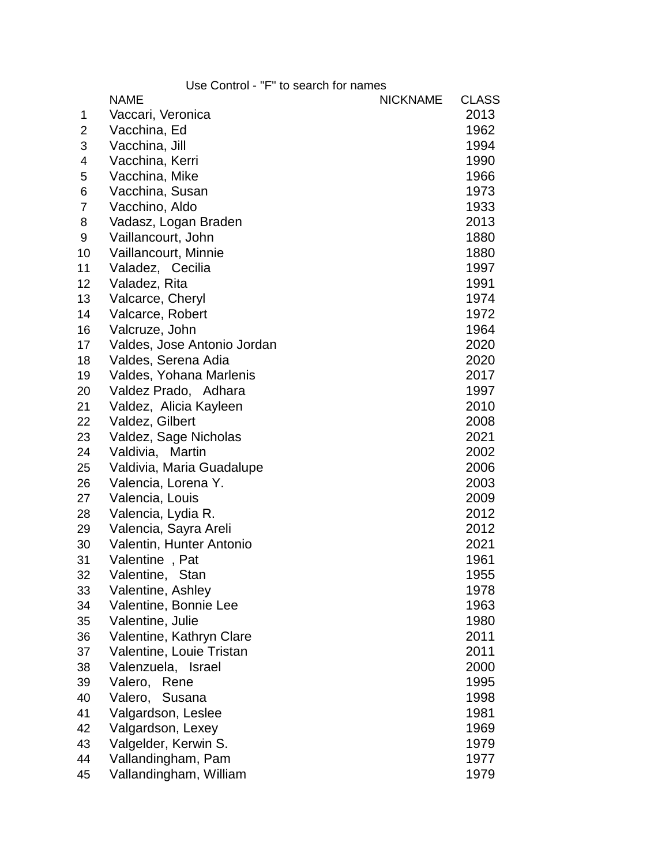|                | Use Control - "F" to search for names |                 |              |
|----------------|---------------------------------------|-----------------|--------------|
|                | <b>NAME</b>                           | <b>NICKNAME</b> | <b>CLASS</b> |
| 1              | Vaccari, Veronica                     |                 | 2013         |
| 2              | Vacchina, Ed                          |                 | 1962         |
| 3              | Vacchina, Jill                        |                 | 1994         |
| 4              | Vacchina, Kerri                       |                 | 1990         |
| 5              | Vacchina, Mike                        |                 | 1966         |
| 6              | Vacchina, Susan                       |                 | 1973         |
| $\overline{7}$ | Vacchino, Aldo                        |                 | 1933         |
| 8              | Vadasz, Logan Braden                  |                 | 2013         |
| 9              | Vaillancourt, John                    |                 | 1880         |
| 10             | Vaillancourt, Minnie                  |                 | 1880         |
| 11             | Valadez, Cecilia                      |                 | 1997         |
| 12             | Valadez, Rita                         |                 | 1991         |
| 13             | Valcarce, Cheryl                      |                 | 1974         |
| 14             | Valcarce, Robert                      |                 | 1972         |
| 16             | Valcruze, John                        |                 | 1964         |
| 17             | Valdes, Jose Antonio Jordan           |                 | 2020         |
| 18             | Valdes, Serena Adia                   |                 | 2020         |
| 19             | Valdes, Yohana Marlenis               |                 | 2017         |
| 20             | Valdez Prado, Adhara                  |                 | 1997         |
| 21             | Valdez, Alicia Kayleen                |                 | 2010         |
| 22             | Valdez, Gilbert                       |                 | 2008         |
| 23             | Valdez, Sage Nicholas                 |                 | 2021         |
| 24             | Valdivia, Martin                      |                 | 2002         |
| 25             | Valdivia, Maria Guadalupe             |                 | 2006         |
| 26             | Valencia, Lorena Y.                   |                 | 2003         |
| 27             | Valencia, Louis                       |                 | 2009         |
| 28             | Valencia, Lydia R.                    |                 | 2012         |
| 29             | Valencia, Sayra Areli                 |                 | 2012         |
| 30             | Valentin, Hunter Antonio              |                 | 2021         |
| 31             | Valentine, Pat                        |                 | 1961         |
| 32             | Valentine, Stan                       |                 | 1955         |
| 33             | Valentine, Ashley                     |                 | 1978         |
| 34             | Valentine, Bonnie Lee                 |                 | 1963         |
| 35             | Valentine, Julie                      |                 | 1980         |
| 36             | Valentine, Kathryn Clare              |                 | 2011         |
| 37             | Valentine, Louie Tristan              |                 | 2011         |
| 38             | Valenzuela, Israel                    |                 | 2000         |
| 39             | Valero, Rene                          |                 | 1995         |
| 40             | Valero,<br>Susana                     |                 | 1998         |
| 41             | Valgardson, Leslee                    |                 | 1981         |
| 42             | Valgardson, Lexey                     |                 | 1969         |
| 43             | Valgelder, Kerwin S.                  |                 | 1979         |
| 44             | Vallandingham, Pam                    |                 | 1977         |
| 45             | Vallandingham, William                |                 | 1979         |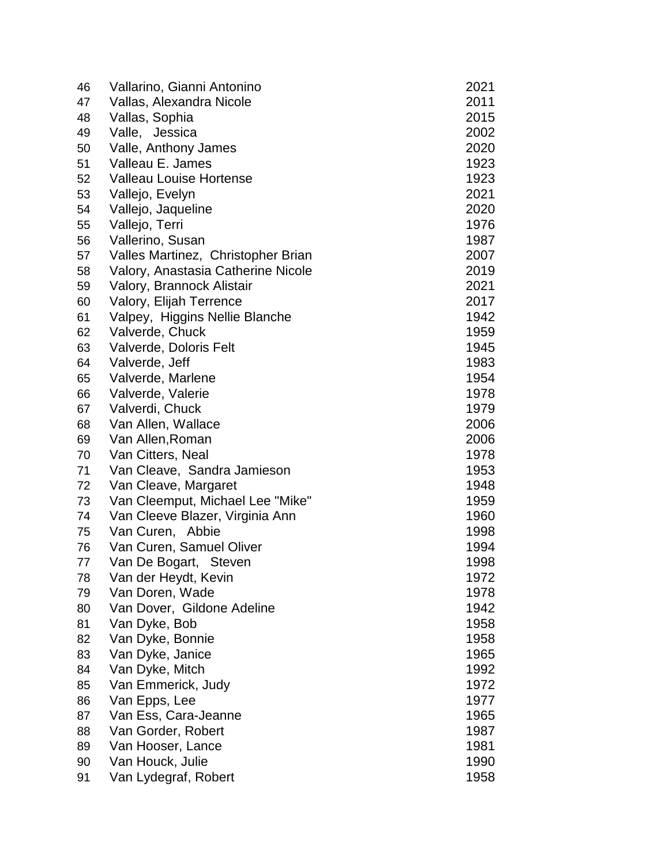| 46 | Vallarino, Gianni Antonino         | 2021 |
|----|------------------------------------|------|
| 47 | Vallas, Alexandra Nicole           | 2011 |
| 48 | Vallas, Sophia                     | 2015 |
| 49 | Valle, Jessica                     | 2002 |
| 50 | Valle, Anthony James               | 2020 |
| 51 | Valleau E. James                   | 1923 |
| 52 | <b>Valleau Louise Hortense</b>     | 1923 |
| 53 | Vallejo, Evelyn                    | 2021 |
| 54 | Vallejo, Jaqueline                 | 2020 |
| 55 | Vallejo, Terri                     | 1976 |
| 56 | Vallerino, Susan                   | 1987 |
| 57 | Valles Martinez, Christopher Brian | 2007 |
| 58 | Valory, Anastasia Catherine Nicole | 2019 |
| 59 | Valory, Brannock Alistair          | 2021 |
| 60 | Valory, Elijah Terrence            | 2017 |
| 61 | Valpey, Higgins Nellie Blanche     | 1942 |
| 62 | Valverde, Chuck                    | 1959 |
| 63 | Valverde, Doloris Felt             | 1945 |
| 64 | Valverde, Jeff                     | 1983 |
| 65 | Valverde, Marlene                  | 1954 |
| 66 | Valverde, Valerie                  | 1978 |
| 67 | Valverdi, Chuck                    | 1979 |
| 68 | Van Allen, Wallace                 | 2006 |
| 69 | Van Allen, Roman                   | 2006 |
| 70 | Van Citters, Neal                  | 1978 |
| 71 | Van Cleave, Sandra Jamieson        | 1953 |
| 72 | Van Cleave, Margaret               | 1948 |
| 73 | Van Cleemput, Michael Lee "Mike"   | 1959 |
| 74 | Van Cleeve Blazer, Virginia Ann    | 1960 |
| 75 | Van Curen, Abbie                   | 1998 |
| 76 | Van Curen, Samuel Oliver           | 1994 |
| 77 | Van De Bogart, Steven              | 1998 |
| 78 | Van der Heydt, Kevin               | 1972 |
| 79 | Van Doren, Wade                    | 1978 |
| 80 | Van Dover, Gildone Adeline         | 1942 |
| 81 | Van Dyke, Bob                      | 1958 |
| 82 | Van Dyke, Bonnie                   | 1958 |
| 83 | Van Dyke, Janice                   | 1965 |
| 84 | Van Dyke, Mitch                    | 1992 |
| 85 | Van Emmerick, Judy                 | 1972 |
| 86 | Van Epps, Lee                      | 1977 |
| 87 | Van Ess, Cara-Jeanne               | 1965 |
| 88 | Van Gorder, Robert                 | 1987 |
| 89 | Van Hooser, Lance                  | 1981 |
| 90 | Van Houck, Julie                   | 1990 |
| 91 | Van Lydegraf, Robert               | 1958 |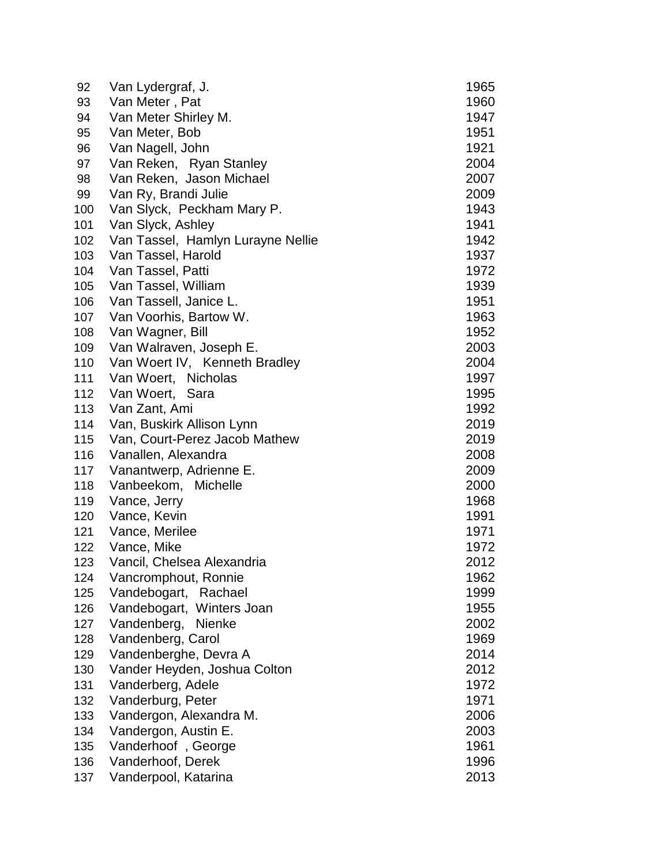| 92  | Van Lydergraf, J.                 | 1965 |
|-----|-----------------------------------|------|
| 93  | Van Meter, Pat                    | 1960 |
| 94  | Van Meter Shirley M.              | 1947 |
| 95  | Van Meter, Bob                    | 1951 |
| 96  | Van Nagell, John                  | 1921 |
| 97  | Van Reken, Ryan Stanley           | 2004 |
| 98  | Van Reken, Jason Michael          | 2007 |
| 99  | Van Ry, Brandi Julie              | 2009 |
| 100 | Van Slyck, Peckham Mary P.        | 1943 |
| 101 | Van Slyck, Ashley                 | 1941 |
| 102 | Van Tassel, Hamlyn Lurayne Nellie | 1942 |
| 103 | Van Tassel, Harold                | 1937 |
| 104 | Van Tassel, Patti                 | 1972 |
| 105 | Van Tassel, William               | 1939 |
| 106 | Van Tassell, Janice L.            | 1951 |
| 107 | Van Voorhis, Bartow W.            | 1963 |
| 108 | Van Wagner, Bill                  | 1952 |
| 109 | Van Walraven, Joseph E.           | 2003 |
| 110 | Van Woert IV, Kenneth Bradley     | 2004 |
| 111 | Van Woert, Nicholas               | 1997 |
| 112 | Van Woert, Sara                   | 1995 |
| 113 | Van Zant, Ami                     | 1992 |
| 114 | Van, Buskirk Allison Lynn         | 2019 |
| 115 | Van, Court-Perez Jacob Mathew     | 2019 |
| 116 | Vanallen, Alexandra               | 2008 |
| 117 | Vanantwerp, Adrienne E.           | 2009 |
| 118 | Vanbeekom, Michelle               | 2000 |
| 119 | Vance, Jerry                      | 1968 |
| 120 | Vance, Kevin                      | 1991 |
| 121 | Vance, Merilee                    | 1971 |
| 122 | Vance, Mike                       | 1972 |
| 123 | Vancil, Chelsea Alexandria        | 2012 |
| 124 | Vancromphout, Ronnie              | 1962 |
| 125 | Vandebogart, Rachael              | 1999 |
| 126 | Vandebogart, Winters Joan         | 1955 |
| 127 | Vandenberg,<br><b>Nienke</b>      | 2002 |
| 128 | Vandenberg, Carol                 | 1969 |
| 129 | Vandenberghe, Devra A             | 2014 |
| 130 | Vander Heyden, Joshua Colton      | 2012 |
| 131 | Vanderberg, Adele                 | 1972 |
| 132 | Vanderburg, Peter                 | 1971 |
| 133 | Vandergon, Alexandra M.           | 2006 |
| 134 | Vandergon, Austin E.              | 2003 |
| 135 | Vanderhoof, George                | 1961 |
| 136 | Vanderhoof, Derek                 | 1996 |
| 137 | Vanderpool, Katarina              | 2013 |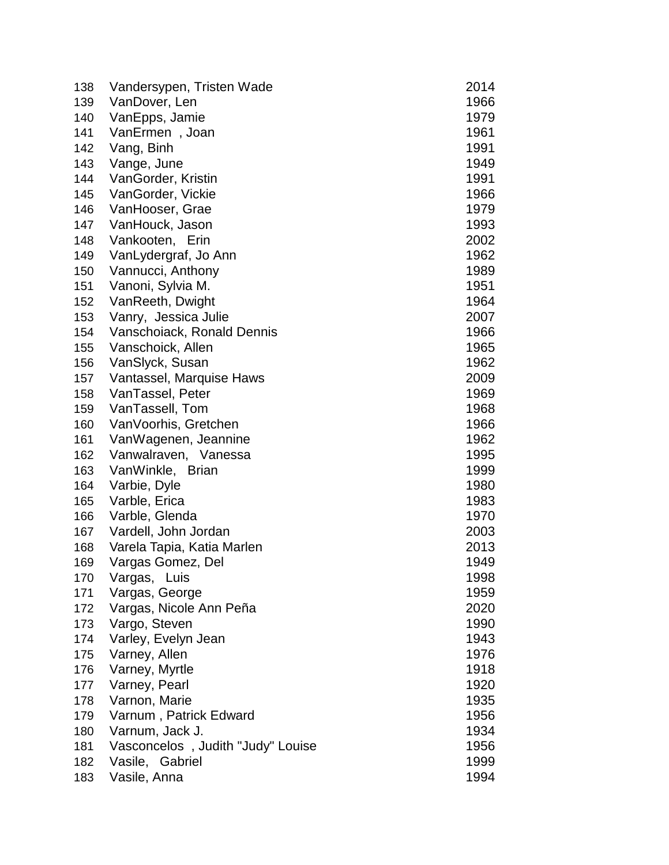| 138 | Vandersypen, Tristen Wade         | 2014 |
|-----|-----------------------------------|------|
| 139 | VanDover, Len                     | 1966 |
| 140 | VanEpps, Jamie                    | 1979 |
| 141 | VanErmen, Joan                    | 1961 |
| 142 | Vang, Binh                        | 1991 |
| 143 | Vange, June                       | 1949 |
| 144 | VanGorder, Kristin                | 1991 |
| 145 | VanGorder, Vickie                 | 1966 |
| 146 | VanHooser, Grae                   | 1979 |
| 147 | VanHouck, Jason                   | 1993 |
| 148 | Vankooten, Erin                   | 2002 |
| 149 | VanLydergraf, Jo Ann              | 1962 |
| 150 | Vannucci, Anthony                 | 1989 |
| 151 | Vanoni, Sylvia M.                 | 1951 |
| 152 | VanReeth, Dwight                  | 1964 |
| 153 | Vanry, Jessica Julie              | 2007 |
| 154 | Vanschoiack, Ronald Dennis        | 1966 |
| 155 | Vanschoick, Allen                 | 1965 |
| 156 | VanSlyck, Susan                   | 1962 |
| 157 | Vantassel, Marquise Haws          | 2009 |
| 158 | VanTassel, Peter                  | 1969 |
| 159 | VanTassell, Tom                   | 1968 |
| 160 | VanVoorhis, Gretchen              | 1966 |
| 161 | VanWagenen, Jeannine              | 1962 |
| 162 | Vanwalraven, Vanessa              | 1995 |
| 163 | VanWinkle, Brian                  | 1999 |
| 164 | Varbie, Dyle                      | 1980 |
| 165 | Varble, Erica                     | 1983 |
| 166 | Varble, Glenda                    | 1970 |
| 167 | Vardell, John Jordan              | 2003 |
| 168 | Varela Tapia, Katia Marlen        | 2013 |
| 169 | Vargas Gomez, Del                 | 1949 |
| 170 | Vargas, Luis                      | 1998 |
| 171 | Vargas, George                    | 1959 |
| 172 | Vargas, Nicole Ann Peña           | 2020 |
| 173 | Vargo, Steven                     | 1990 |
| 174 | Varley, Evelyn Jean               | 1943 |
| 175 | Varney, Allen                     | 1976 |
| 176 | Varney, Myrtle                    | 1918 |
| 177 | Varney, Pearl                     | 1920 |
| 178 | Varnon, Marie                     | 1935 |
| 179 | Varnum, Patrick Edward            | 1956 |
| 180 | Varnum, Jack J.                   | 1934 |
| 181 | Vasconcelos, Judith "Judy" Louise | 1956 |
| 182 | Vasile, Gabriel                   | 1999 |
| 183 | Vasile, Anna                      | 1994 |
|     |                                   |      |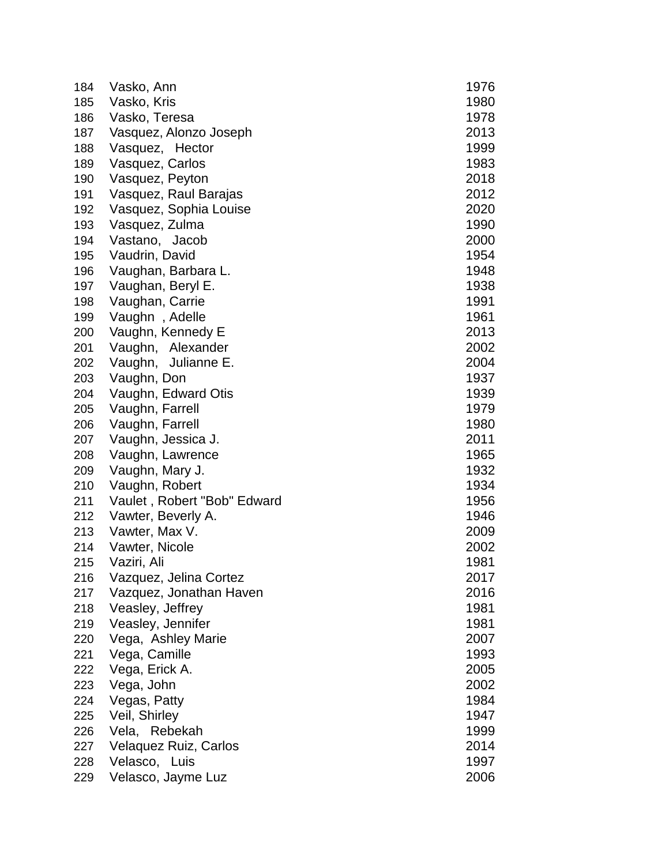| 184 | Vasko, Ann                  | 1976 |
|-----|-----------------------------|------|
| 185 | Vasko, Kris                 | 1980 |
| 186 | Vasko, Teresa               | 1978 |
| 187 | Vasquez, Alonzo Joseph      | 2013 |
| 188 | Vasquez, Hector             | 1999 |
| 189 | Vasquez, Carlos             | 1983 |
| 190 | Vasquez, Peyton             | 2018 |
| 191 | Vasquez, Raul Barajas       | 2012 |
| 192 | Vasquez, Sophia Louise      | 2020 |
| 193 | Vasquez, Zulma              | 1990 |
| 194 | Vastano, Jacob              | 2000 |
| 195 | Vaudrin, David              | 1954 |
| 196 | Vaughan, Barbara L.         | 1948 |
| 197 | Vaughan, Beryl E.           | 1938 |
| 198 | Vaughan, Carrie             | 1991 |
| 199 | Vaughn, Adelle              | 1961 |
| 200 | Vaughn, Kennedy E           | 2013 |
| 201 | Vaughn, Alexander           | 2002 |
| 202 | Vaughn, Julianne E.         | 2004 |
| 203 | Vaughn, Don                 | 1937 |
| 204 | Vaughn, Edward Otis         | 1939 |
| 205 | Vaughn, Farrell             | 1979 |
| 206 | Vaughn, Farrell             | 1980 |
| 207 | Vaughn, Jessica J.          | 2011 |
| 208 | Vaughn, Lawrence            | 1965 |
| 209 | Vaughn, Mary J.             | 1932 |
| 210 | Vaughn, Robert              | 1934 |
| 211 | Vaulet, Robert "Bob" Edward | 1956 |
| 212 | Vawter, Beverly A.          | 1946 |
| 213 | Vawter, Max V.              | 2009 |
| 214 | Vawter, Nicole              | 2002 |
| 215 | Vaziri, Ali                 | 1981 |
| 216 | Vazquez, Jelina Cortez      | 2017 |
| 217 | Vazquez, Jonathan Haven     | 2016 |
| 218 | Veasley, Jeffrey            | 1981 |
| 219 | Veasley, Jennifer           | 1981 |
| 220 | Vega, Ashley Marie          | 2007 |
| 221 | Vega, Camille               | 1993 |
| 222 | Vega, Erick A.              | 2005 |
| 223 | Vega, John                  | 2002 |
| 224 | Vegas, Patty                | 1984 |
| 225 | Veil, Shirley               | 1947 |
| 226 | Vela, Rebekah               | 1999 |
| 227 | Velaquez Ruiz, Carlos       | 2014 |
| 228 | Velasco, Luis               | 1997 |
| 229 | Velasco, Jayme Luz          | 2006 |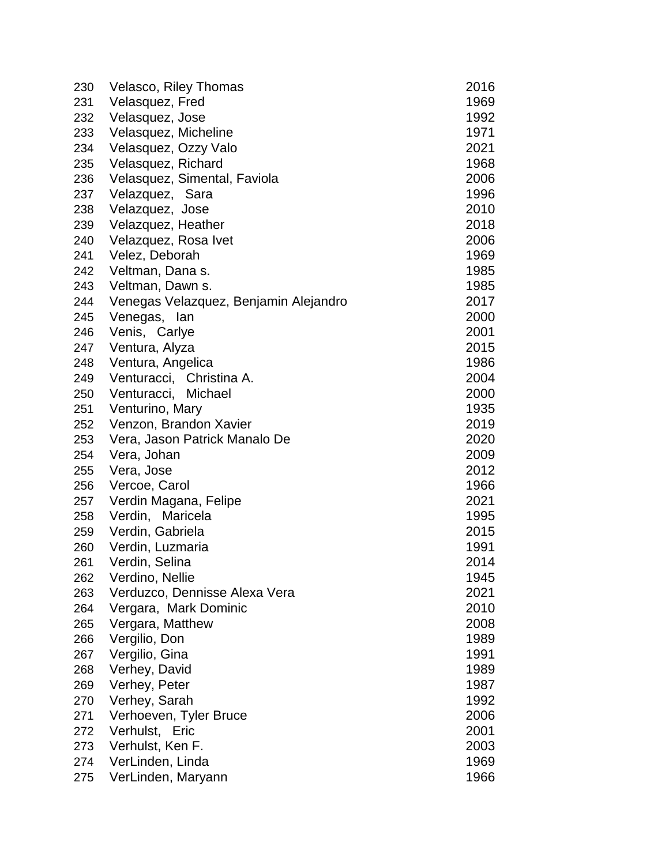| 230 | Velasco, Riley Thomas                 | 2016 |
|-----|---------------------------------------|------|
| 231 | Velasquez, Fred                       | 1969 |
| 232 | Velasquez, Jose                       | 1992 |
| 233 | Velasquez, Micheline                  | 1971 |
| 234 | Velasquez, Ozzy Valo                  | 2021 |
| 235 | Velasquez, Richard                    | 1968 |
| 236 | Velasquez, Simental, Faviola          | 2006 |
| 237 | Velazquez, Sara                       | 1996 |
| 238 | Velazquez, Jose                       | 2010 |
| 239 | Velazquez, Heather                    | 2018 |
| 240 | Velazquez, Rosa Ivet                  | 2006 |
| 241 | Velez, Deborah                        | 1969 |
| 242 | Veltman, Dana s.                      | 1985 |
| 243 | Veltman, Dawn s.                      | 1985 |
| 244 | Venegas Velazquez, Benjamin Alejandro | 2017 |
| 245 | Venegas, lan                          | 2000 |
| 246 | Venis, Carlye                         | 2001 |
| 247 | Ventura, Alyza                        | 2015 |
| 248 | Ventura, Angelica                     | 1986 |
| 249 | Venturacci, Christina A.              | 2004 |
| 250 | Michael<br>Venturacci,                | 2000 |
| 251 | Venturino, Mary                       | 1935 |
| 252 | Venzon, Brandon Xavier                | 2019 |
| 253 | Vera, Jason Patrick Manalo De         | 2020 |
| 254 | Vera, Johan                           | 2009 |
| 255 | Vera, Jose                            | 2012 |
| 256 | Vercoe, Carol                         | 1966 |
| 257 | Verdin Magana, Felipe                 | 2021 |
| 258 | Verdin, Maricela                      | 1995 |
| 259 | Verdin, Gabriela                      | 2015 |
| 260 | Verdin, Luzmaria                      | 1991 |
| 261 | Verdin, Selina                        | 2014 |
| 262 | Verdino, Nellie                       | 1945 |
| 263 | Verduzco, Dennisse Alexa Vera         | 2021 |
| 264 | Vergara, Mark Dominic                 | 2010 |
| 265 | Vergara, Matthew                      | 2008 |
| 266 | Vergilio, Don                         | 1989 |
| 267 | Vergilio, Gina                        | 1991 |
| 268 | Verhey, David                         | 1989 |
| 269 | Verhey, Peter                         | 1987 |
| 270 | Verhey, Sarah                         | 1992 |
| 271 | Verhoeven, Tyler Bruce                | 2006 |
| 272 | Verhulst, Eric                        | 2001 |
| 273 | Verhulst, Ken F.                      | 2003 |
| 274 | VerLinden, Linda                      | 1969 |
| 275 | VerLinden, Maryann                    | 1966 |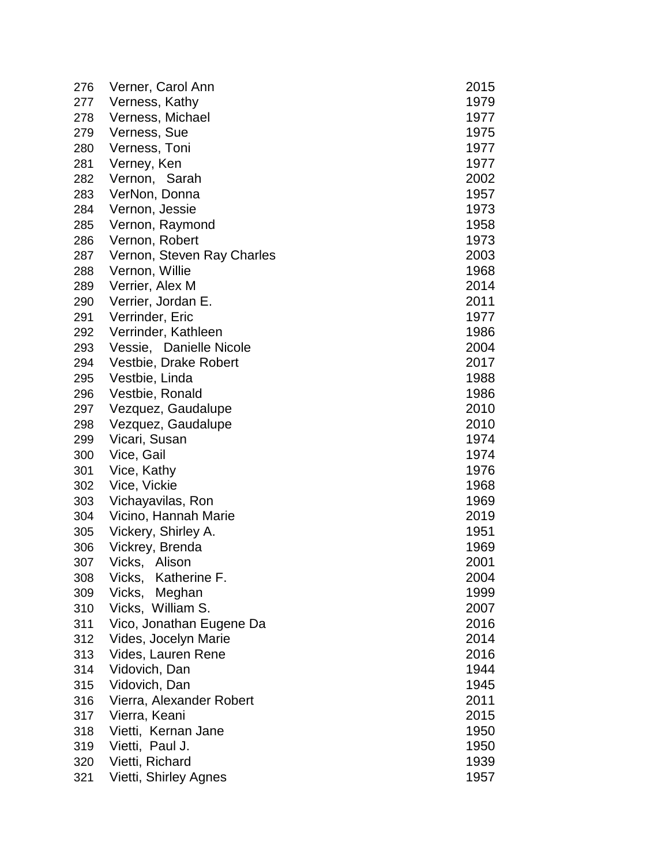| 276 | Verner, Carol Ann          | 2015 |
|-----|----------------------------|------|
| 277 | Verness, Kathy             | 1979 |
| 278 | Verness, Michael           | 1977 |
| 279 | Verness, Sue               | 1975 |
| 280 | Verness, Toni              | 1977 |
| 281 | Verney, Ken                | 1977 |
| 282 | Vernon, Sarah              | 2002 |
| 283 | VerNon, Donna              | 1957 |
| 284 | Vernon, Jessie             | 1973 |
| 285 | Vernon, Raymond            | 1958 |
| 286 | Vernon, Robert             | 1973 |
| 287 | Vernon, Steven Ray Charles | 2003 |
| 288 | Vernon, Willie             | 1968 |
| 289 | Verrier, Alex M            | 2014 |
| 290 | Verrier, Jordan E.         | 2011 |
| 291 | Verrinder, Eric            | 1977 |
| 292 | Verrinder, Kathleen        | 1986 |
| 293 | Vessie, Danielle Nicole    | 2004 |
| 294 | Vestbie, Drake Robert      | 2017 |
| 295 | Vestbie, Linda             | 1988 |
| 296 | Vestbie, Ronald            | 1986 |
| 297 | Vezquez, Gaudalupe         | 2010 |
| 298 | Vezquez, Gaudalupe         | 2010 |
| 299 | Vicari, Susan              | 1974 |
| 300 | Vice, Gail                 | 1974 |
| 301 | Vice, Kathy                | 1976 |
| 302 | Vice, Vickie               | 1968 |
| 303 | Vichayavilas, Ron          | 1969 |
| 304 | Vicino, Hannah Marie       | 2019 |
| 305 | Vickery, Shirley A.        | 1951 |
| 306 | Vickrey, Brenda            | 1969 |
| 307 | Vicks,<br>Alison           | 2001 |
| 308 | Katherine F.<br>Vicks,     | 2004 |
| 309 | Vicks,<br>Meghan           | 1999 |
| 310 | Vicks, William S.          | 2007 |
| 311 | Vico, Jonathan Eugene Da   | 2016 |
| 312 | Vides, Jocelyn Marie       | 2014 |
| 313 | Vides, Lauren Rene         | 2016 |
| 314 | Vidovich, Dan              | 1944 |
| 315 | Vidovich, Dan              | 1945 |
| 316 | Vierra, Alexander Robert   | 2011 |
| 317 | Vierra, Keani              | 2015 |
| 318 | Vietti, Kernan Jane        | 1950 |
| 319 | Vietti, Paul J.            | 1950 |
| 320 | Vietti, Richard            | 1939 |
| 321 | Vietti, Shirley Agnes      | 1957 |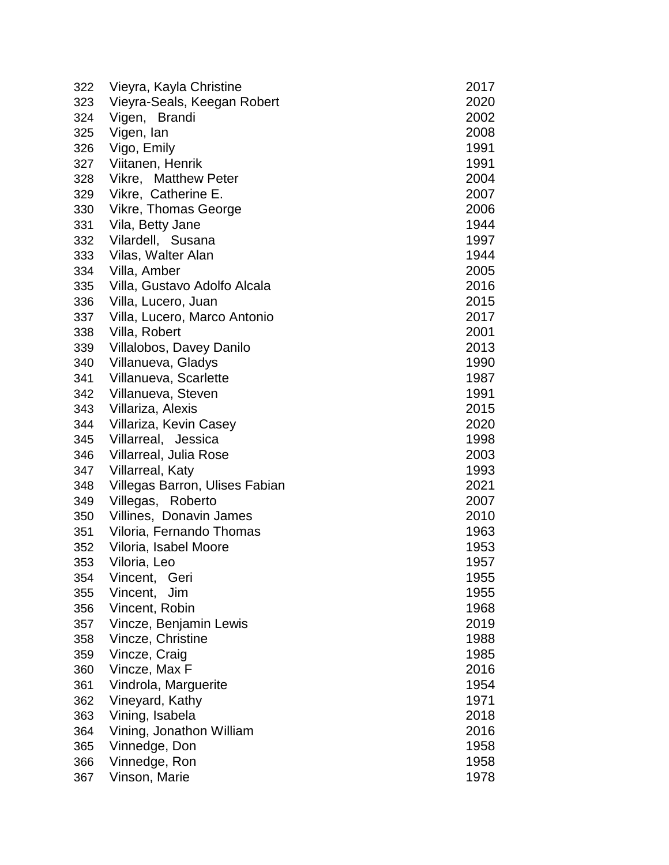| 322 | Vieyra, Kayla Christine        | 2017 |
|-----|--------------------------------|------|
| 323 | Vieyra-Seals, Keegan Robert    | 2020 |
| 324 | Vigen, Brandi                  | 2002 |
| 325 | Vigen, lan                     | 2008 |
| 326 | Vigo, Emily                    | 1991 |
| 327 | Viitanen, Henrik               | 1991 |
| 328 | Vikre, Matthew Peter           | 2004 |
| 329 | Vikre, Catherine E.            | 2007 |
| 330 | Vikre, Thomas George           | 2006 |
| 331 | Vila, Betty Jane               | 1944 |
| 332 | Vilardell, Susana              | 1997 |
| 333 | Vilas, Walter Alan             | 1944 |
| 334 | Villa, Amber                   | 2005 |
| 335 | Villa, Gustavo Adolfo Alcala   | 2016 |
| 336 | Villa, Lucero, Juan            | 2015 |
| 337 | Villa, Lucero, Marco Antonio   | 2017 |
| 338 | Villa, Robert                  | 2001 |
| 339 | Villalobos, Davey Danilo       | 2013 |
| 340 | Villanueva, Gladys             | 1990 |
| 341 | Villanueva, Scarlette          | 1987 |
| 342 | Villanueva, Steven             | 1991 |
| 343 | Villariza, Alexis              | 2015 |
| 344 | Villariza, Kevin Casey         | 2020 |
| 345 | Villarreal, Jessica            | 1998 |
| 346 | Villarreal, Julia Rose         | 2003 |
| 347 | <b>Villarreal, Katy</b>        | 1993 |
| 348 | Villegas Barron, Ulises Fabian | 2021 |
| 349 | Villegas, Roberto              | 2007 |
| 350 | Villines, Donavin James        | 2010 |
| 351 | Viloria, Fernando Thomas       | 1963 |
| 352 | Viloria, Isabel Moore          | 1953 |
| 353 | Viloria, Leo                   | 1957 |
| 354 | Vincent,<br>Geri               | 1955 |
| 355 | Jim<br>Vincent,                | 1955 |
| 356 | Vincent, Robin                 | 1968 |
| 357 | Vincze, Benjamin Lewis         | 2019 |
| 358 | Vincze, Christine              | 1988 |
| 359 | Vincze, Craig                  | 1985 |
| 360 | Vincze, Max F                  | 2016 |
| 361 | Vindrola, Marguerite           | 1954 |
| 362 | Vineyard, Kathy                | 1971 |
| 363 | Vining, Isabela                | 2018 |
| 364 | Vining, Jonathon William       | 2016 |
| 365 | Vinnedge, Don                  | 1958 |
| 366 | Vinnedge, Ron                  | 1958 |
| 367 | Vinson, Marie                  | 1978 |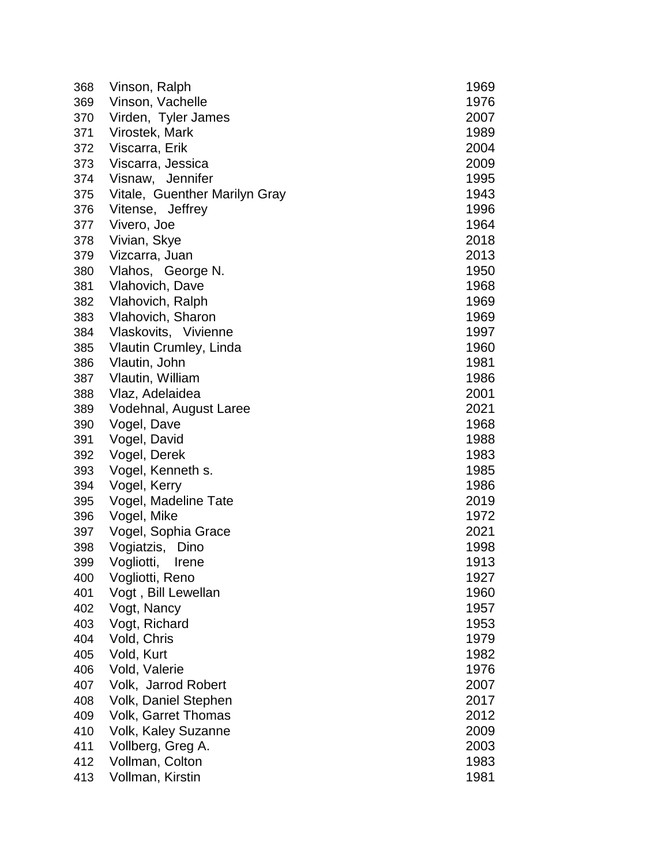| 368 | Vinson, Ralph                 | 1969 |
|-----|-------------------------------|------|
| 369 | Vinson, Vachelle              | 1976 |
| 370 | Virden, Tyler James           | 2007 |
| 371 | Virostek, Mark                | 1989 |
| 372 | Viscarra, Erik                | 2004 |
| 373 | Viscarra, Jessica             | 2009 |
| 374 | Visnaw, Jennifer              | 1995 |
| 375 | Vitale, Guenther Marilyn Gray | 1943 |
| 376 | Vitense, Jeffrey              | 1996 |
| 377 | Vivero, Joe                   | 1964 |
| 378 | Vivian, Skye                  | 2018 |
| 379 | Vizcarra, Juan                | 2013 |
| 380 | Vlahos, George N.             | 1950 |
| 381 | Vlahovich, Dave               | 1968 |
| 382 | Vlahovich, Ralph              | 1969 |
| 383 | Vlahovich, Sharon             | 1969 |
| 384 | Vlaskovits, Vivienne          | 1997 |
| 385 | Vlautin Crumley, Linda        | 1960 |
| 386 | Vlautin, John                 | 1981 |
| 387 | Vlautin, William              | 1986 |
| 388 | Vlaz, Adelaidea               | 2001 |
| 389 | Vodehnal, August Laree        | 2021 |
| 390 | Vogel, Dave                   | 1968 |
| 391 | Vogel, David                  | 1988 |
| 392 | Vogel, Derek                  | 1983 |
| 393 | Vogel, Kenneth s.             | 1985 |
| 394 | Vogel, Kerry                  | 1986 |
| 395 | Vogel, Madeline Tate          | 2019 |
| 396 | Vogel, Mike                   | 1972 |
| 397 | Vogel, Sophia Grace           | 2021 |
| 398 | Vogiatzis,<br>Dino            | 1998 |
| 399 | Vogliotti,<br>Irene           | 1913 |
| 400 | Vogliotti, Reno               | 1927 |
| 401 | Vogt, Bill Lewellan           | 1960 |
| 402 | Vogt, Nancy                   | 1957 |
| 403 | Vogt, Richard                 | 1953 |
| 404 | Vold, Chris                   | 1979 |
| 405 | Vold, Kurt                    | 1982 |
| 406 | Vold, Valerie                 | 1976 |
| 407 | Volk, Jarrod Robert           | 2007 |
| 408 | Volk, Daniel Stephen          | 2017 |
| 409 | <b>Volk, Garret Thomas</b>    | 2012 |
| 410 | <b>Volk, Kaley Suzanne</b>    | 2009 |
| 411 | Vollberg, Greg A.             | 2003 |
| 412 | Vollman, Colton               | 1983 |
| 413 | Vollman, Kirstin              | 1981 |
|     |                               |      |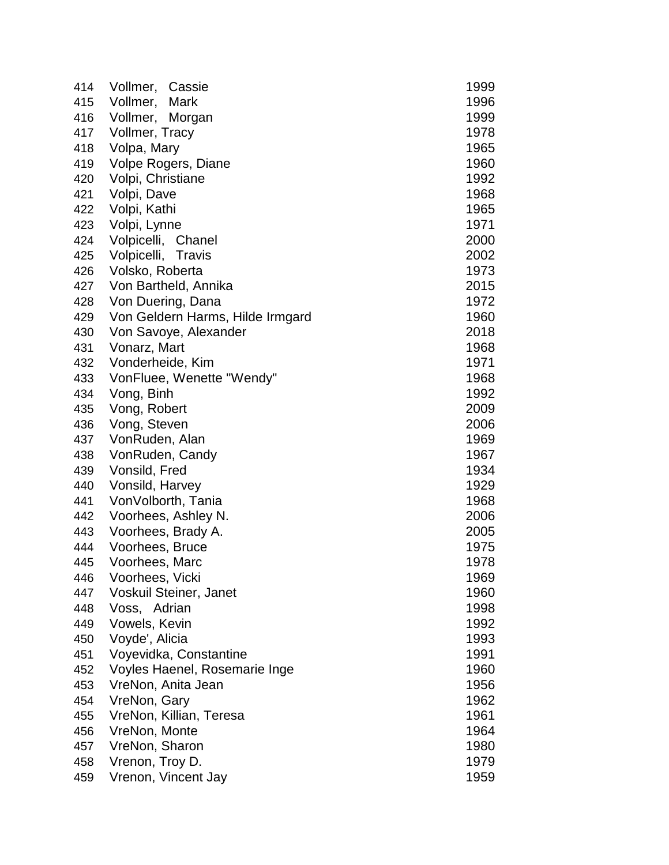| 414 | Vollmer,<br>Cassie               | 1999 |
|-----|----------------------------------|------|
| 415 | Vollmer,<br>Mark                 | 1996 |
| 416 | Vollmer,<br>Morgan               | 1999 |
| 417 | Vollmer, Tracy                   | 1978 |
| 418 | Volpa, Mary                      | 1965 |
| 419 | Volpe Rogers, Diane              | 1960 |
| 420 | Volpi, Christiane                | 1992 |
| 421 | Volpi, Dave                      | 1968 |
| 422 | Volpi, Kathi                     | 1965 |
| 423 | Volpi, Lynne                     | 1971 |
| 424 | Volpicelli, Chanel               | 2000 |
| 425 | Volpicelli, Travis               | 2002 |
| 426 | Volsko, Roberta                  | 1973 |
| 427 | Von Bartheld, Annika             | 2015 |
| 428 | Von Duering, Dana                | 1972 |
| 429 | Von Geldern Harms, Hilde Irmgard | 1960 |
| 430 | Von Savoye, Alexander            | 2018 |
| 431 | Vonarz, Mart                     | 1968 |
| 432 | Vonderheide, Kim                 | 1971 |
| 433 | VonFluee, Wenette "Wendy"        | 1968 |
| 434 | Vong, Binh                       | 1992 |
| 435 | Vong, Robert                     | 2009 |
| 436 | Vong, Steven                     | 2006 |
| 437 | VonRuden, Alan                   | 1969 |
| 438 | VonRuden, Candy                  | 1967 |
| 439 | Vonsild, Fred                    | 1934 |
| 440 | Vonsild, Harvey                  | 1929 |
| 441 | VonVolborth, Tania               | 1968 |
| 442 | Voorhees, Ashley N.              | 2006 |
| 443 | Voorhees, Brady A.               | 2005 |
| 444 | Voorhees, Bruce                  | 1975 |
| 445 | Voorhees, Marc                   | 1978 |
| 446 | Voorhees, Vicki                  | 1969 |
| 447 | Voskuil Steiner, Janet           | 1960 |
| 448 | Voss, Adrian                     | 1998 |
| 449 | Vowels, Kevin                    | 1992 |
| 450 | Voyde', Alicia                   | 1993 |
| 451 | Voyevidka, Constantine           | 1991 |
| 452 | Voyles Haenel, Rosemarie Inge    | 1960 |
| 453 | VreNon, Anita Jean               | 1956 |
| 454 | VreNon, Gary                     | 1962 |
| 455 | VreNon, Killian, Teresa          | 1961 |
| 456 | VreNon, Monte                    | 1964 |
| 457 | VreNon, Sharon                   | 1980 |
| 458 | Vrenon, Troy D.                  | 1979 |
| 459 | Vrenon, Vincent Jay              | 1959 |
|     |                                  |      |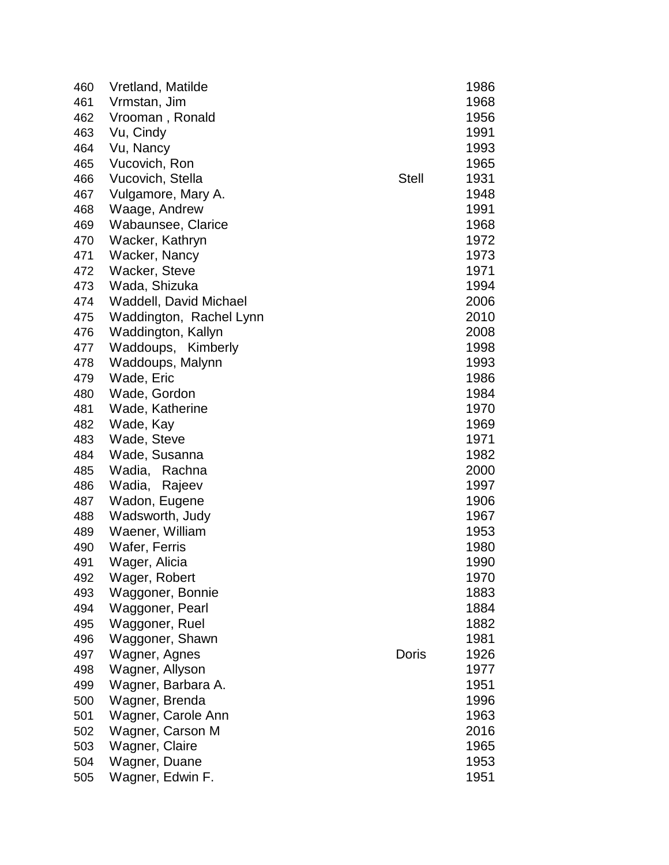| 460 | Vretland, Matilde       |              | 1986 |
|-----|-------------------------|--------------|------|
| 461 | Vrmstan, Jim            |              | 1968 |
| 462 | Vrooman, Ronald         |              | 1956 |
| 463 | Vu, Cindy               |              | 1991 |
| 464 | Vu, Nancy               |              | 1993 |
| 465 | Vucovich, Ron           |              | 1965 |
| 466 | Vucovich, Stella        | <b>Stell</b> | 1931 |
| 467 | Vulgamore, Mary A.      |              | 1948 |
| 468 | Waage, Andrew           |              | 1991 |
| 469 | Wabaunsee, Clarice      |              | 1968 |
| 470 | Wacker, Kathryn         |              | 1972 |
| 471 | Wacker, Nancy           |              | 1973 |
| 472 | Wacker, Steve           |              | 1971 |
| 473 | Wada, Shizuka           |              | 1994 |
| 474 | Waddell, David Michael  |              | 2006 |
| 475 | Waddington, Rachel Lynn |              | 2010 |
| 476 | Waddington, Kallyn      |              | 2008 |
| 477 | Waddoups, Kimberly      |              | 1998 |
| 478 | Waddoups, Malynn        |              | 1993 |
| 479 | Wade, Eric              |              | 1986 |
| 480 | Wade, Gordon            |              | 1984 |
| 481 | Wade, Katherine         |              | 1970 |
| 482 | Wade, Kay               |              | 1969 |
| 483 | Wade, Steve             |              | 1971 |
| 484 | Wade, Susanna           |              | 1982 |
| 485 | Wadia, Rachna           |              | 2000 |
| 486 | Wadia,<br>Rajeev        |              | 1997 |
| 487 | Wadon, Eugene           |              | 1906 |
| 488 | Wadsworth, Judy         |              | 1967 |
| 489 | Waener, William         |              | 1953 |
| 490 | Wafer, Ferris           |              | 1980 |
| 491 | Wager, Alicia           |              | 1990 |
| 492 | Wager, Robert           |              | 1970 |
| 493 | Waggoner, Bonnie        |              | 1883 |
| 494 | Waggoner, Pearl         |              | 1884 |
| 495 | Waggoner, Ruel          |              | 1882 |
| 496 | Waggoner, Shawn         |              | 1981 |
| 497 | Wagner, Agnes           | Doris        | 1926 |
| 498 | Wagner, Allyson         |              | 1977 |
| 499 | Wagner, Barbara A.      |              | 1951 |
| 500 | Wagner, Brenda          |              | 1996 |
| 501 | Wagner, Carole Ann      |              | 1963 |
| 502 | Wagner, Carson M        |              | 2016 |
| 503 | Wagner, Claire          |              | 1965 |
| 504 | Wagner, Duane           |              | 1953 |
| 505 | Wagner, Edwin F.        |              | 1951 |
|     |                         |              |      |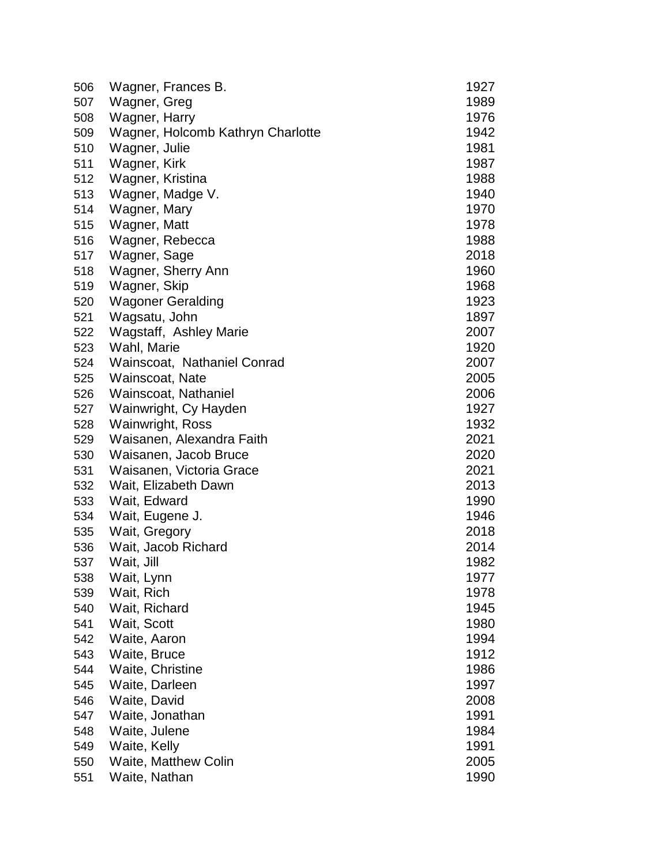| 506 | Wagner, Frances B.                | 1927 |
|-----|-----------------------------------|------|
| 507 | Wagner, Greg                      | 1989 |
| 508 | Wagner, Harry                     | 1976 |
| 509 | Wagner, Holcomb Kathryn Charlotte | 1942 |
| 510 | Wagner, Julie                     | 1981 |
| 511 | Wagner, Kirk                      | 1987 |
| 512 | Wagner, Kristina                  | 1988 |
| 513 | Wagner, Madge V.                  | 1940 |
| 514 | Wagner, Mary                      | 1970 |
| 515 | Wagner, Matt                      | 1978 |
| 516 | Wagner, Rebecca                   | 1988 |
| 517 | Wagner, Sage                      | 2018 |
| 518 | Wagner, Sherry Ann                | 1960 |
| 519 | Wagner, Skip                      | 1968 |
| 520 | <b>Wagoner Geralding</b>          | 1923 |
| 521 | Wagsatu, John                     | 1897 |
| 522 | Wagstaff, Ashley Marie            | 2007 |
| 523 | Wahl, Marie                       | 1920 |
| 524 | Wainscoat, Nathaniel Conrad       | 2007 |
| 525 | Wainscoat, Nate                   | 2005 |
| 526 | Wainscoat, Nathaniel              | 2006 |
| 527 | Wainwright, Cy Hayden             | 1927 |
| 528 | <b>Wainwright, Ross</b>           | 1932 |
| 529 | Waisanen, Alexandra Faith         | 2021 |
| 530 | Waisanen, Jacob Bruce             | 2020 |
| 531 | Waisanen, Victoria Grace          | 2021 |
| 532 | Wait, Elizabeth Dawn              | 2013 |
| 533 | Wait, Edward                      | 1990 |
| 534 | Wait, Eugene J.                   | 1946 |
| 535 | Wait, Gregory                     | 2018 |
|     | Wait, Jacob Richard               | 2014 |
| 536 |                                   |      |
| 537 | Wait, Jill                        | 1982 |
| 538 | Wait, Lynn                        | 1977 |
| 539 | Wait, Rich                        | 1978 |
| 540 | Wait, Richard                     | 1945 |
| 541 | Wait, Scott                       | 1980 |
| 542 | Waite, Aaron                      | 1994 |
| 543 | Waite, Bruce                      | 1912 |
| 544 | Waite, Christine                  | 1986 |
| 545 | Waite, Darleen                    | 1997 |
| 546 | Waite, David                      | 2008 |
| 547 | Waite, Jonathan                   | 1991 |
| 548 | Waite, Julene                     | 1984 |
| 549 | Waite, Kelly                      | 1991 |
| 550 | Waite, Matthew Colin              | 2005 |
| 551 | Waite, Nathan                     | 1990 |
|     |                                   |      |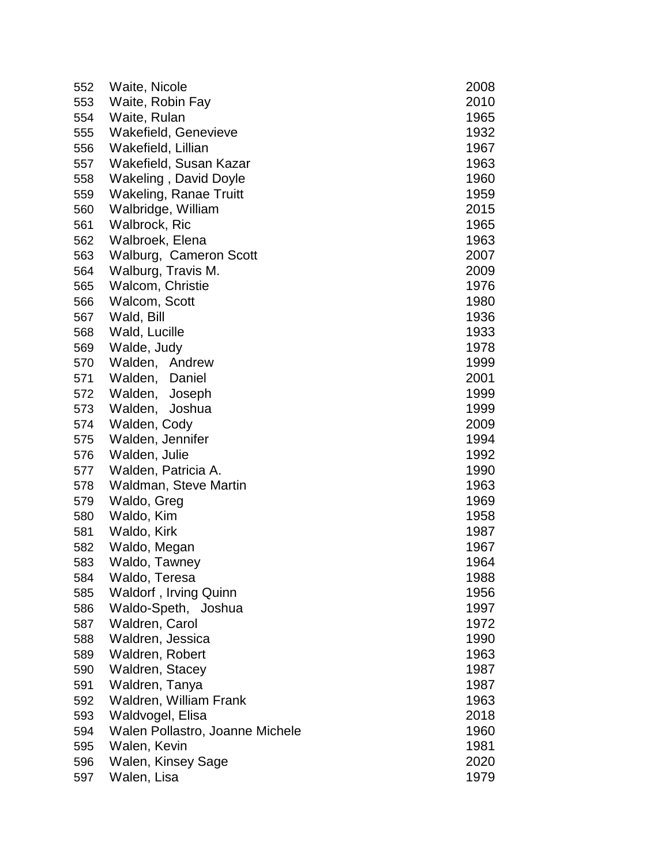| 552 | Waite, Nicole                   | 2008 |
|-----|---------------------------------|------|
| 553 | Waite, Robin Fay                | 2010 |
| 554 | Waite, Rulan                    | 1965 |
| 555 | Wakefield, Genevieve            | 1932 |
| 556 | Wakefield, Lillian              | 1967 |
| 557 | Wakefield, Susan Kazar          | 1963 |
| 558 | Wakeling, David Doyle           | 1960 |
| 559 | <b>Wakeling, Ranae Truitt</b>   | 1959 |
| 560 | Walbridge, William              | 2015 |
| 561 | Walbrock, Ric                   | 1965 |
| 562 | Walbroek, Elena                 | 1963 |
| 563 | Walburg, Cameron Scott          | 2007 |
| 564 | Walburg, Travis M.              | 2009 |
| 565 | Walcom, Christie                | 1976 |
| 566 | Walcom, Scott                   | 1980 |
| 567 | Wald, Bill                      | 1936 |
| 568 | Wald, Lucille                   | 1933 |
| 569 | Walde, Judy                     | 1978 |
| 570 | Walden, Andrew                  | 1999 |
| 571 | Walden, Daniel                  | 2001 |
| 572 | Walden, Joseph                  | 1999 |
| 573 | Walden,<br>Joshua               | 1999 |
| 574 | Walden, Cody                    | 2009 |
| 575 | Walden, Jennifer                | 1994 |
| 576 | Walden, Julie                   | 1992 |
| 577 | Walden, Patricia A.             | 1990 |
| 578 | Waldman, Steve Martin           | 1963 |
| 579 | Waldo, Greg                     | 1969 |
| 580 | Waldo, Kim                      | 1958 |
| 581 | Waldo, Kirk                     | 1987 |
| 582 | Waldo, Megan                    | 1967 |
| 583 | Waldo, Tawney                   | 1964 |
| 584 | Waldo, Teresa                   | 1988 |
| 585 | Waldorf, Irving Quinn           | 1956 |
| 586 | Waldo-Speth, Joshua             | 1997 |
| 587 | Waldren, Carol                  | 1972 |
| 588 | Waldren, Jessica                | 1990 |
| 589 | Waldren, Robert                 | 1963 |
| 590 | Waldren, Stacey                 | 1987 |
| 591 | Waldren, Tanya                  | 1987 |
| 592 | Waldren, William Frank          | 1963 |
| 593 | Waldvogel, Elisa                | 2018 |
| 594 | Walen Pollastro, Joanne Michele | 1960 |
| 595 | Walen, Kevin                    | 1981 |
| 596 | Walen, Kinsey Sage              | 2020 |
| 597 | Walen, Lisa                     | 1979 |
|     |                                 |      |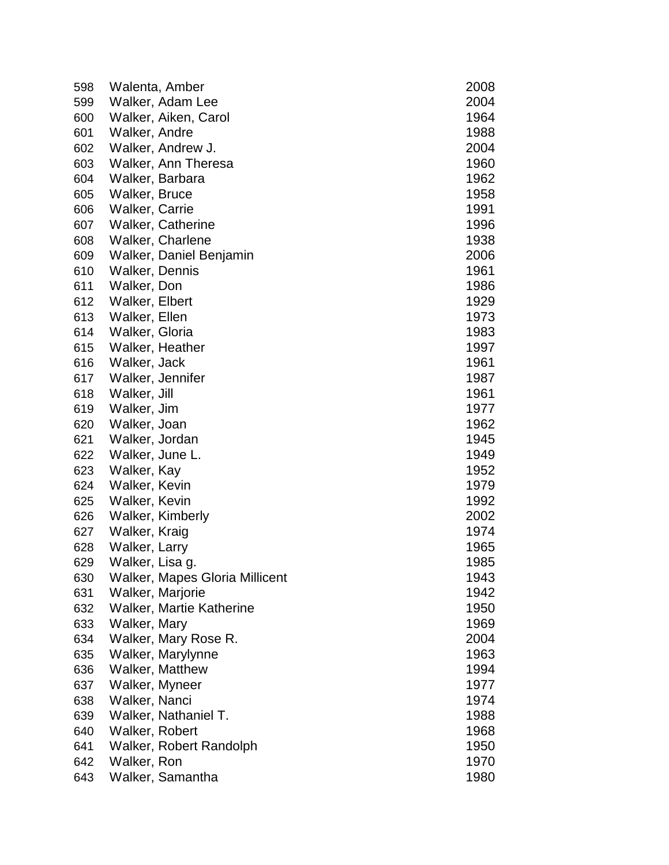| 598 | Walenta, Amber                  | 2008 |
|-----|---------------------------------|------|
| 599 | Walker, Adam Lee                | 2004 |
| 600 | Walker, Aiken, Carol            | 1964 |
| 601 | Walker, Andre                   | 1988 |
| 602 | Walker, Andrew J.               | 2004 |
| 603 | Walker, Ann Theresa             | 1960 |
| 604 | Walker, Barbara                 | 1962 |
| 605 | Walker, Bruce                   | 1958 |
| 606 | Walker, Carrie                  | 1991 |
| 607 | <b>Walker, Catherine</b>        | 1996 |
| 608 | Walker, Charlene                | 1938 |
| 609 | Walker, Daniel Benjamin         | 2006 |
| 610 | Walker, Dennis                  | 1961 |
| 611 | Walker, Don                     | 1986 |
| 612 | Walker, Elbert                  | 1929 |
| 613 | Walker, Ellen                   | 1973 |
| 614 | Walker, Gloria                  | 1983 |
| 615 | Walker, Heather                 | 1997 |
| 616 | Walker, Jack                    | 1961 |
| 617 | Walker, Jennifer                | 1987 |
| 618 | Walker, Jill                    | 1961 |
| 619 | Walker, Jim                     | 1977 |
| 620 | Walker, Joan                    | 1962 |
| 621 | Walker, Jordan                  | 1945 |
| 622 | Walker, June L.                 | 1949 |
| 623 | Walker, Kay                     | 1952 |
| 624 | Walker, Kevin                   | 1979 |
| 625 | Walker, Kevin                   | 1992 |
| 626 | Walker, Kimberly                | 2002 |
| 627 | Walker, Kraig                   | 1974 |
| 628 | Walker, Larry                   | 1965 |
| 629 | Walker, Lisa g.                 | 1985 |
| 630 | Walker, Mapes Gloria Millicent  | 1943 |
| 631 | Walker, Marjorie                | 1942 |
| 632 | <b>Walker, Martie Katherine</b> | 1950 |
| 633 | Walker, Mary                    | 1969 |
| 634 | Walker, Mary Rose R.            | 2004 |
| 635 | Walker, Marylynne               | 1963 |
| 636 | Walker, Matthew                 | 1994 |
| 637 | Walker, Myneer                  | 1977 |
| 638 | Walker, Nanci                   | 1974 |
| 639 | Walker, Nathaniel T.            | 1988 |
| 640 | Walker, Robert                  | 1968 |
| 641 | Walker, Robert Randolph         | 1950 |
| 642 | Walker, Ron                     | 1970 |
| 643 | Walker, Samantha                | 1980 |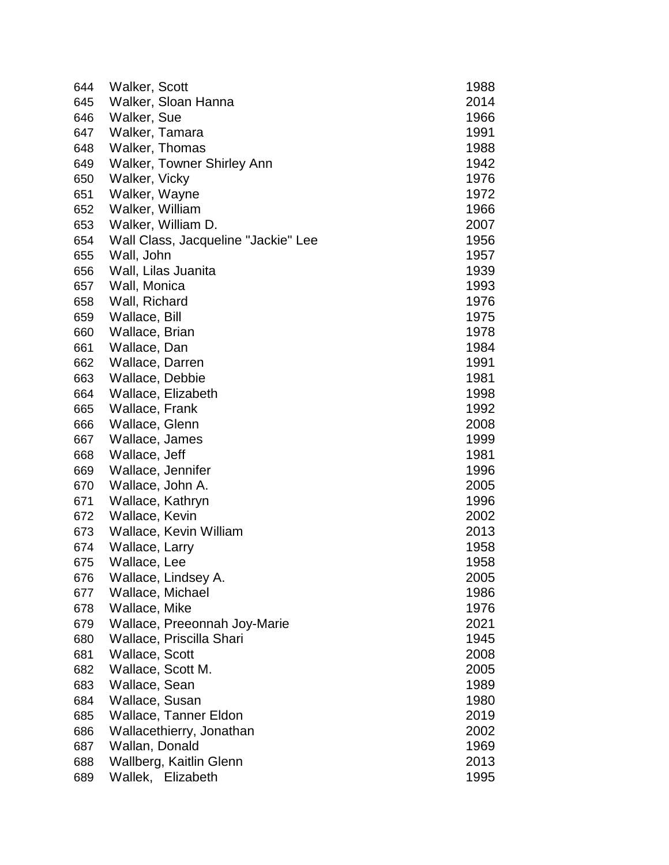| 644 | Walker, Scott                       | 1988 |
|-----|-------------------------------------|------|
| 645 | Walker, Sloan Hanna                 | 2014 |
| 646 | Walker, Sue                         | 1966 |
| 647 | Walker, Tamara                      | 1991 |
| 648 | Walker, Thomas                      | 1988 |
| 649 | <b>Walker, Towner Shirley Ann</b>   | 1942 |
| 650 | Walker, Vicky                       | 1976 |
| 651 | Walker, Wayne                       | 1972 |
| 652 | Walker, William                     | 1966 |
| 653 | Walker, William D.                  | 2007 |
| 654 | Wall Class, Jacqueline "Jackie" Lee | 1956 |
| 655 | Wall, John                          | 1957 |
| 656 | Wall, Lilas Juanita                 | 1939 |
| 657 | Wall, Monica                        | 1993 |
| 658 | Wall, Richard                       | 1976 |
| 659 | Wallace, Bill                       | 1975 |
| 660 | Wallace, Brian                      | 1978 |
| 661 | Wallace, Dan                        | 1984 |
| 662 | Wallace, Darren                     | 1991 |
| 663 | Wallace, Debbie                     | 1981 |
| 664 | Wallace, Elizabeth                  | 1998 |
| 665 | Wallace, Frank                      | 1992 |
| 666 | Wallace, Glenn                      | 2008 |
| 667 | Wallace, James                      | 1999 |
| 668 | Wallace, Jeff                       | 1981 |
| 669 | Wallace, Jennifer                   | 1996 |
| 670 | Wallace, John A.                    | 2005 |
| 671 | Wallace, Kathryn                    | 1996 |
| 672 | Wallace, Kevin                      | 2002 |
| 673 | Wallace, Kevin William              | 2013 |
| 674 | Wallace, Larry                      | 1958 |
| 675 | Wallace, Lee                        | 1958 |
| 676 | Wallace, Lindsey A.                 | 2005 |
| 677 | Wallace, Michael                    | 1986 |
| 678 | Wallace, Mike                       | 1976 |
| 679 | Wallace, Preeonnah Joy-Marie        | 2021 |
| 680 | Wallace, Priscilla Shari            | 1945 |
| 681 | Wallace, Scott                      | 2008 |
| 682 | Wallace, Scott M.                   | 2005 |
| 683 | Wallace, Sean                       | 1989 |
| 684 | Wallace, Susan                      | 1980 |
| 685 | Wallace, Tanner Eldon               | 2019 |
| 686 | Wallacethierry, Jonathan            | 2002 |
| 687 | Wallan, Donald                      | 1969 |
| 688 | Wallberg, Kaitlin Glenn             | 2013 |
| 689 | Wallek, Elizabeth                   | 1995 |
|     |                                     |      |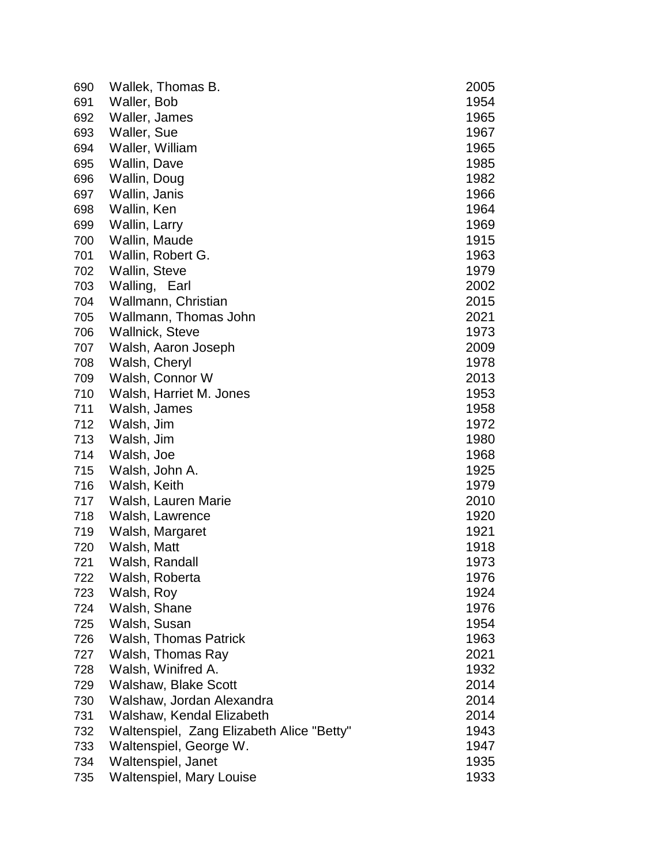| 690 | Wallek, Thomas B.                         | 2005 |
|-----|-------------------------------------------|------|
| 691 | Waller, Bob                               | 1954 |
| 692 | Waller, James                             | 1965 |
| 693 | Waller, Sue                               | 1967 |
| 694 | Waller, William                           | 1965 |
| 695 | Wallin, Dave                              | 1985 |
| 696 | Wallin, Doug                              | 1982 |
| 697 | Wallin, Janis                             | 1966 |
| 698 | Wallin, Ken                               | 1964 |
| 699 | Wallin, Larry                             | 1969 |
| 700 | Wallin, Maude                             | 1915 |
| 701 | Wallin, Robert G.                         | 1963 |
| 702 | Wallin, Steve                             | 1979 |
| 703 | Walling, Earl                             | 2002 |
| 704 | Wallmann, Christian                       | 2015 |
| 705 | Wallmann, Thomas John                     | 2021 |
| 706 | <b>Wallnick, Steve</b>                    | 1973 |
| 707 | Walsh, Aaron Joseph                       | 2009 |
| 708 | Walsh, Cheryl                             | 1978 |
| 709 | Walsh, Connor W                           | 2013 |
| 710 | Walsh, Harriet M. Jones                   | 1953 |
| 711 | Walsh, James                              | 1958 |
| 712 | Walsh, Jim                                | 1972 |
| 713 | Walsh, Jim                                | 1980 |
| 714 | Walsh, Joe                                | 1968 |
| 715 | Walsh, John A.                            | 1925 |
| 716 | Walsh, Keith                              | 1979 |
| 717 | Walsh, Lauren Marie                       | 2010 |
| 718 | Walsh, Lawrence                           | 1920 |
| 719 | Walsh, Margaret                           | 1921 |
| 720 | Walsh, Matt                               | 1918 |
| 721 | Walsh, Randall                            | 1973 |
| 722 | Walsh, Roberta                            | 1976 |
| 723 | Walsh, Roy                                | 1924 |
| 724 | Walsh, Shane                              | 1976 |
| 725 | Walsh, Susan                              | 1954 |
| 726 | <b>Walsh, Thomas Patrick</b>              | 1963 |
| 727 | Walsh, Thomas Ray                         | 2021 |
| 728 | Walsh, Winifred A.                        | 1932 |
| 729 | <b>Walshaw, Blake Scott</b>               | 2014 |
| 730 | Walshaw, Jordan Alexandra                 | 2014 |
| 731 | Walshaw, Kendal Elizabeth                 | 2014 |
| 732 | Waltenspiel, Zang Elizabeth Alice "Betty" | 1943 |
| 733 | Waltenspiel, George W.                    | 1947 |
| 734 | Waltenspiel, Janet                        | 1935 |
| 735 | <b>Waltenspiel, Mary Louise</b>           | 1933 |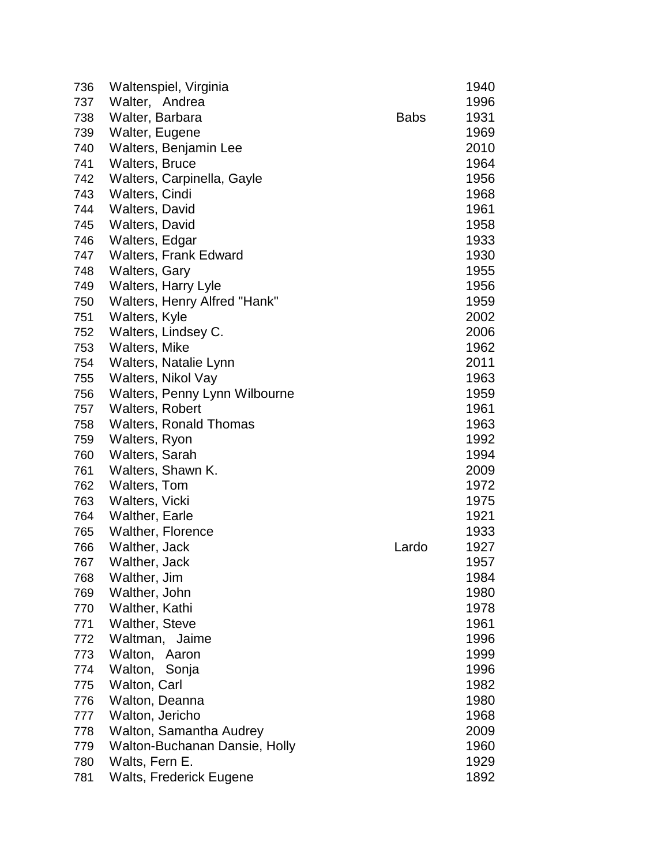| 736 | Waltenspiel, Virginia                |             | 1940 |
|-----|--------------------------------------|-------------|------|
| 737 | Walter, Andrea                       |             | 1996 |
| 738 | Walter, Barbara                      | <b>Babs</b> | 1931 |
| 739 | Walter, Eugene                       |             | 1969 |
| 740 | Walters, Benjamin Lee                |             | 2010 |
| 741 | <b>Walters, Bruce</b>                |             | 1964 |
| 742 | Walters, Carpinella, Gayle           |             | 1956 |
| 743 | Walters, Cindi                       |             | 1968 |
| 744 | <b>Walters, David</b>                |             | 1961 |
| 745 | <b>Walters, David</b>                |             | 1958 |
| 746 | Walters, Edgar                       |             | 1933 |
| 747 | <b>Walters, Frank Edward</b>         |             | 1930 |
| 748 | <b>Walters, Gary</b>                 |             | 1955 |
| 749 | <b>Walters, Harry Lyle</b>           |             | 1956 |
| 750 | Walters, Henry Alfred "Hank"         |             | 1959 |
| 751 | Walters, Kyle                        |             | 2002 |
| 752 | Walters, Lindsey C.                  |             | 2006 |
| 753 | Walters, Mike                        |             | 1962 |
| 754 | Walters, Natalie Lynn                |             | 2011 |
| 755 | Walters, Nikol Vay                   |             | 1963 |
| 756 | Walters, Penny Lynn Wilbourne        |             | 1959 |
| 757 | <b>Walters, Robert</b>               |             | 1961 |
| 758 | <b>Walters, Ronald Thomas</b>        |             | 1963 |
| 759 | Walters, Ryon                        |             | 1992 |
| 760 | Walters, Sarah                       |             | 1994 |
| 761 | Walters, Shawn K.                    |             | 2009 |
| 762 | Walters, Tom                         |             | 1972 |
| 763 | Walters, Vicki                       |             | 1975 |
| 764 | <b>Walther, Earle</b>                |             | 1921 |
| 765 | <b>Walther, Florence</b>             |             | 1933 |
| 766 | Walther, Jack                        | Lardo       | 1927 |
| 767 | Walther, Jack                        |             | 1957 |
| 768 | Walther, Jim                         |             | 1984 |
| 769 | Walther, John                        |             | 1980 |
| 770 | Walther, Kathi                       |             | 1978 |
| 771 | <b>Walther, Steve</b>                |             | 1961 |
| 772 | Waltman,<br>Jaime                    |             | 1996 |
| 773 | Walton, Aaron                        |             | 1999 |
| 774 | Walton,<br>Sonja                     |             | 1996 |
| 775 | Walton, Carl                         |             | 1982 |
| 776 | Walton, Deanna                       |             | 1980 |
| 777 | Walton, Jericho                      |             | 1968 |
| 778 | Walton, Samantha Audrey              |             | 2009 |
| 779 | <b>Walton-Buchanan Dansie, Holly</b> |             | 1960 |
| 780 | Walts, Fern E.                       |             | 1929 |
| 781 | Walts, Frederick Eugene              |             | 1892 |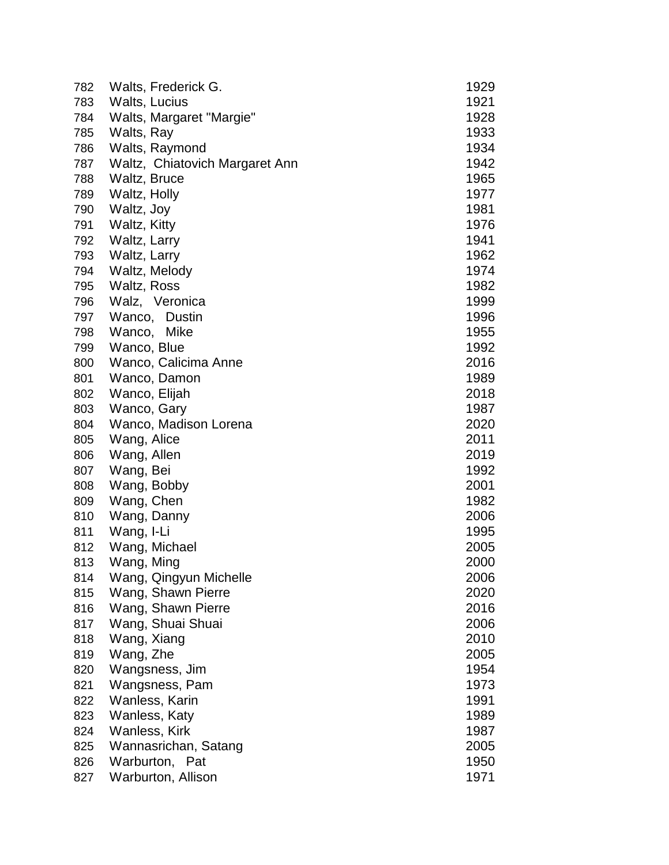| 782 | Walts, Frederick G.            | 1929 |
|-----|--------------------------------|------|
| 783 | Walts, Lucius                  | 1921 |
| 784 | Walts, Margaret "Margie"       | 1928 |
| 785 | Walts, Ray                     | 1933 |
| 786 | Walts, Raymond                 | 1934 |
| 787 | Waltz, Chiatovich Margaret Ann | 1942 |
| 788 | Waltz, Bruce                   | 1965 |
| 789 | Waltz, Holly                   | 1977 |
| 790 | Waltz, Joy                     | 1981 |
| 791 | Waltz, Kitty                   | 1976 |
| 792 | Waltz, Larry                   | 1941 |
| 793 | Waltz, Larry                   | 1962 |
| 794 | Waltz, Melody                  | 1974 |
| 795 | Waltz, Ross                    | 1982 |
| 796 | Walz, Veronica                 | 1999 |
| 797 | Wanco, Dustin                  | 1996 |
| 798 | Wanco, Mike                    | 1955 |
| 799 | Wanco, Blue                    | 1992 |
| 800 | Wanco, Calicima Anne           | 2016 |
| 801 | Wanco, Damon                   | 1989 |
| 802 | Wanco, Elijah                  | 2018 |
| 803 | Wanco, Gary                    | 1987 |
| 804 | Wanco, Madison Lorena          | 2020 |
| 805 | Wang, Alice                    | 2011 |
| 806 | Wang, Allen                    | 2019 |
| 807 | Wang, Bei                      | 1992 |
| 808 | Wang, Bobby                    | 2001 |
| 809 | Wang, Chen                     | 1982 |
| 810 | Wang, Danny                    | 2006 |
| 811 | Wang, I-Li                     | 1995 |
| 812 | Wang, Michael                  | 2005 |
| 813 | Wang, Ming                     | 2000 |
| 814 | Wang, Qingyun Michelle         | 2006 |
| 815 | Wang, Shawn Pierre             | 2020 |
| 816 | Wang, Shawn Pierre             | 2016 |
| 817 | Wang, Shuai Shuai              | 2006 |
| 818 | Wang, Xiang                    | 2010 |
| 819 | Wang, Zhe                      | 2005 |
| 820 | Wangsness, Jim                 | 1954 |
| 821 | Wangsness, Pam                 | 1973 |
| 822 | Wanless, Karin                 | 1991 |
| 823 | Wanless, Katy                  | 1989 |
| 824 | Wanless, Kirk                  | 1987 |
| 825 | Wannasrichan, Satang           | 2005 |
| 826 | Warburton, Pat                 | 1950 |
| 827 | Warburton, Allison             | 1971 |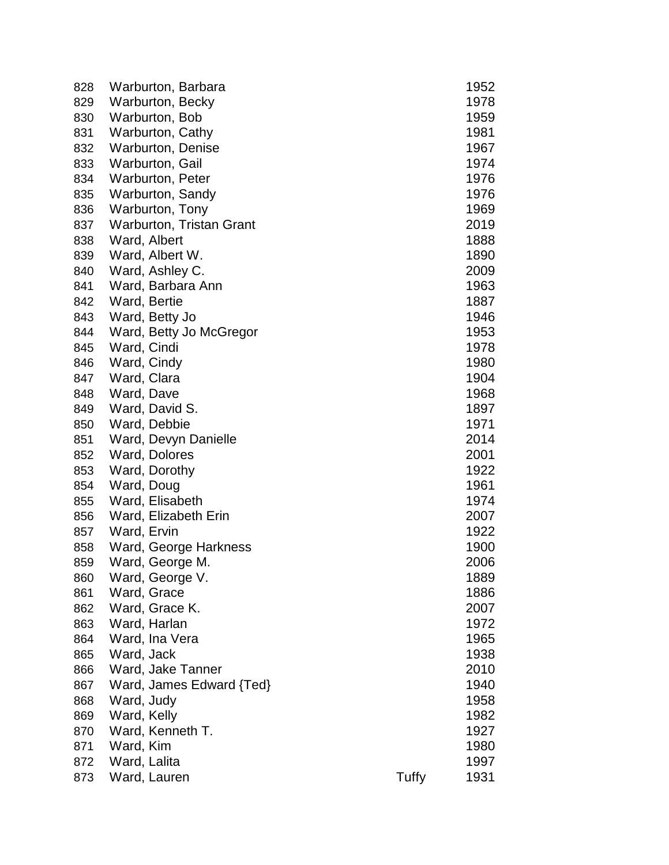| 828 | Warburton, Barbara       |       | 1952 |
|-----|--------------------------|-------|------|
| 829 | Warburton, Becky         |       | 1978 |
| 830 | Warburton, Bob           |       | 1959 |
| 831 | Warburton, Cathy         |       | 1981 |
| 832 | <b>Warburton, Denise</b> |       | 1967 |
| 833 | Warburton, Gail          |       | 1974 |
| 834 | <b>Warburton, Peter</b>  |       | 1976 |
| 835 | Warburton, Sandy         |       | 1976 |
| 836 | Warburton, Tony          |       | 1969 |
| 837 | Warburton, Tristan Grant |       | 2019 |
| 838 | Ward, Albert             |       | 1888 |
| 839 | Ward, Albert W.          |       | 1890 |
| 840 | Ward, Ashley C.          |       | 2009 |
| 841 | Ward, Barbara Ann        |       | 1963 |
| 842 | Ward, Bertie             |       | 1887 |
| 843 | Ward, Betty Jo           |       | 1946 |
| 844 | Ward, Betty Jo McGregor  |       | 1953 |
| 845 | Ward, Cindi              |       | 1978 |
| 846 | Ward, Cindy              |       | 1980 |
| 847 | Ward, Clara              |       | 1904 |
| 848 | Ward, Dave               |       | 1968 |
| 849 | Ward, David S.           |       | 1897 |
| 850 | Ward, Debbie             |       | 1971 |
| 851 | Ward, Devyn Danielle     |       | 2014 |
| 852 | Ward, Dolores            |       | 2001 |
| 853 | Ward, Dorothy            |       | 1922 |
| 854 | Ward, Doug               |       | 1961 |
| 855 | Ward, Elisabeth          |       | 1974 |
| 856 | Ward, Elizabeth Erin     |       | 2007 |
| 857 | Ward, Ervin              |       | 1922 |
| 858 | Ward, George Harkness    |       | 1900 |
| 859 | Ward, George M.          |       | 2006 |
| 860 | Ward, George V.          |       | 1889 |
| 861 | Ward, Grace              |       | 1886 |
| 862 | Ward, Grace K.           |       | 2007 |
| 863 | Ward, Harlan             |       | 1972 |
| 864 | Ward, Ina Vera           |       | 1965 |
| 865 | Ward, Jack               |       | 1938 |
| 866 | Ward, Jake Tanner        |       | 2010 |
| 867 | Ward, James Edward {Ted} |       | 1940 |
| 868 | Ward, Judy               |       | 1958 |
| 869 | Ward, Kelly              |       | 1982 |
| 870 | Ward, Kenneth T.         |       | 1927 |
| 871 | Ward, Kim                |       | 1980 |
| 872 | Ward, Lalita             |       | 1997 |
| 873 | Ward, Lauren             | Tuffy | 1931 |
|     |                          |       |      |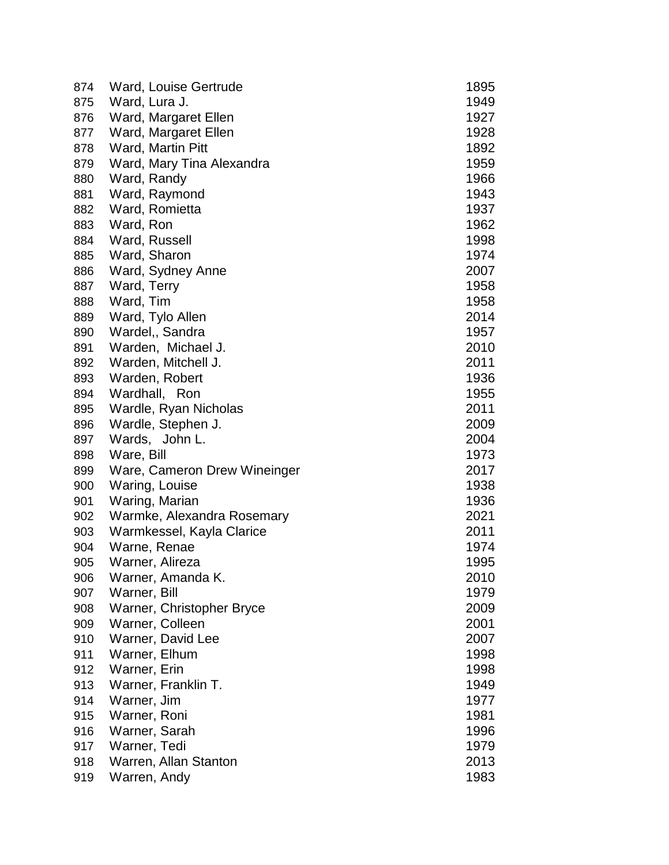| 874 | Ward, Louise Gertrude        | 1895 |
|-----|------------------------------|------|
| 875 | Ward, Lura J.                | 1949 |
| 876 | Ward, Margaret Ellen         | 1927 |
| 877 | Ward, Margaret Ellen         | 1928 |
| 878 | Ward, Martin Pitt            | 1892 |
| 879 | Ward, Mary Tina Alexandra    | 1959 |
| 880 | Ward, Randy                  | 1966 |
| 881 | Ward, Raymond                | 1943 |
| 882 | Ward, Romietta               | 1937 |
| 883 | Ward, Ron                    | 1962 |
| 884 | Ward, Russell                | 1998 |
| 885 | Ward, Sharon                 | 1974 |
| 886 | Ward, Sydney Anne            | 2007 |
| 887 | Ward, Terry                  | 1958 |
| 888 | Ward, Tim                    | 1958 |
| 889 | Ward, Tylo Allen             | 2014 |
| 890 | Wardel,, Sandra              | 1957 |
| 891 | Warden, Michael J.           | 2010 |
| 892 | Warden, Mitchell J.          | 2011 |
| 893 | Warden, Robert               | 1936 |
| 894 | Wardhall, Ron                | 1955 |
| 895 | Wardle, Ryan Nicholas        | 2011 |
| 896 | Wardle, Stephen J.           | 2009 |
| 897 | Wards, John L.               | 2004 |
| 898 | Ware, Bill                   | 1973 |
| 899 | Ware, Cameron Drew Wineinger | 2017 |
| 900 | Waring, Louise               | 1938 |
| 901 | Waring, Marian               | 1936 |
| 902 | Warmke, Alexandra Rosemary   | 2021 |
| 903 | Warmkessel, Kayla Clarice    | 2011 |
| 904 | Warne, Renae                 | 1974 |
| 905 | Warner, Alireza              | 1995 |
| 906 | Warner, Amanda K.            | 2010 |
| 907 | Warner, Bill                 | 1979 |
| 908 | Warner, Christopher Bryce    | 2009 |
| 909 | Warner, Colleen              | 2001 |
| 910 | Warner, David Lee            | 2007 |
| 911 | Warner, Elhum                | 1998 |
| 912 | Warner, Erin                 | 1998 |
| 913 | Warner, Franklin T.          | 1949 |
| 914 | Warner, Jim                  | 1977 |
| 915 | Warner, Roni                 | 1981 |
| 916 | Warner, Sarah                | 1996 |
| 917 | Warner, Tedi                 | 1979 |
| 918 | Warren, Allan Stanton        | 2013 |
| 919 | Warren, Andy                 | 1983 |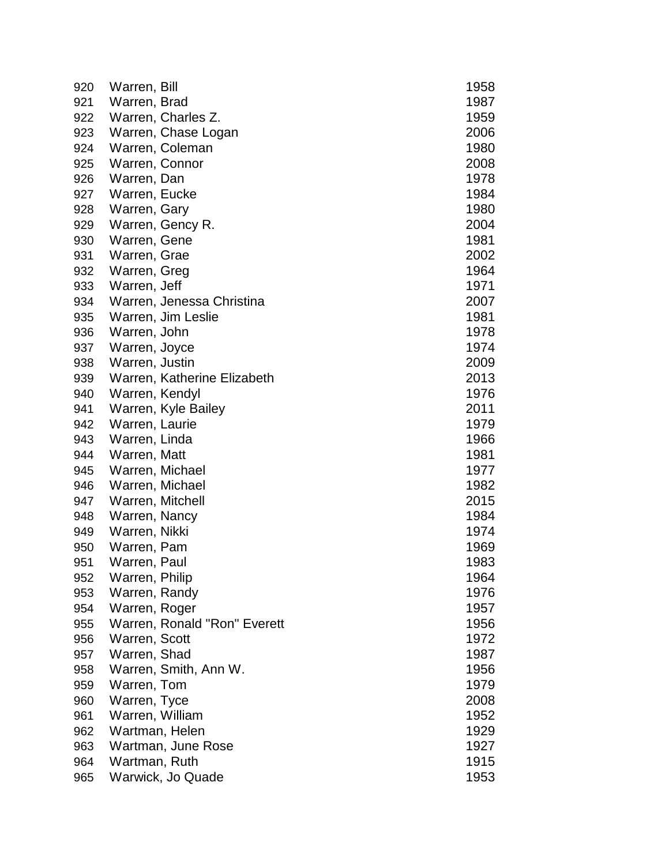| 920 | Warren, Bill                 | 1958 |
|-----|------------------------------|------|
| 921 | Warren, Brad                 | 1987 |
| 922 | Warren, Charles Z.           | 1959 |
| 923 | Warren, Chase Logan          | 2006 |
| 924 | Warren, Coleman              | 1980 |
| 925 | Warren, Connor               | 2008 |
| 926 | Warren, Dan                  | 1978 |
| 927 | Warren, Eucke                | 1984 |
| 928 | Warren, Gary                 | 1980 |
| 929 | Warren, Gency R.             | 2004 |
| 930 | Warren, Gene                 | 1981 |
| 931 | Warren, Grae                 | 2002 |
| 932 | Warren, Greg                 | 1964 |
| 933 | Warren, Jeff                 | 1971 |
| 934 | Warren, Jenessa Christina    | 2007 |
| 935 | Warren, Jim Leslie           | 1981 |
| 936 | Warren, John                 | 1978 |
| 937 | Warren, Joyce                | 1974 |
| 938 | Warren, Justin               | 2009 |
| 939 | Warren, Katherine Elizabeth  | 2013 |
| 940 | Warren, Kendyl               | 1976 |
| 941 | Warren, Kyle Bailey          | 2011 |
| 942 | Warren, Laurie               | 1979 |
| 943 | Warren, Linda                | 1966 |
| 944 | Warren, Matt                 | 1981 |
| 945 | Warren, Michael              | 1977 |
| 946 | Warren, Michael              | 1982 |
| 947 | Warren, Mitchell             | 2015 |
| 948 | Warren, Nancy                | 1984 |
| 949 | Warren, Nikki                | 1974 |
| 950 | Warren, Pam                  | 1969 |
| 951 | Warren, Paul                 | 1983 |
| 952 | Warren, Philip               | 1964 |
| 953 | Warren, Randy                | 1976 |
| 954 | Warren, Roger                | 1957 |
| 955 | Warren, Ronald "Ron" Everett | 1956 |
| 956 | Warren, Scott                | 1972 |
| 957 | Warren, Shad                 | 1987 |
| 958 | Warren, Smith, Ann W.        | 1956 |
| 959 | Warren, Tom                  | 1979 |
| 960 | Warren, Tyce                 | 2008 |
| 961 | Warren, William              | 1952 |
| 962 | Wartman, Helen               | 1929 |
| 963 | Wartman, June Rose           | 1927 |
| 964 | Wartman, Ruth                | 1915 |
| 965 | Warwick, Jo Quade            | 1953 |
|     |                              |      |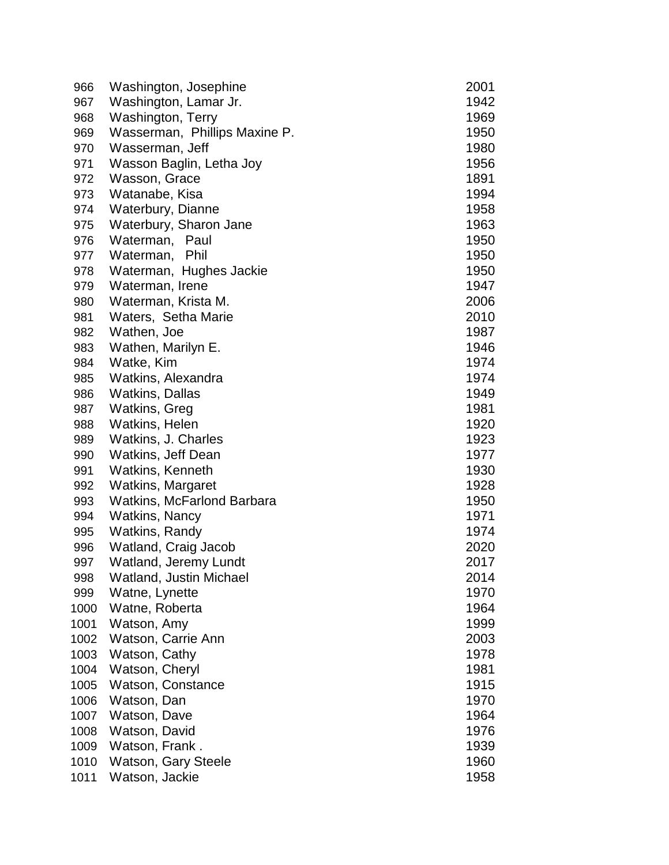| 966  | Washington, Josephine             | 2001 |
|------|-----------------------------------|------|
| 967  | Washington, Lamar Jr.             | 1942 |
| 968  | Washington, Terry                 | 1969 |
| 969  | Wasserman, Phillips Maxine P.     | 1950 |
| 970  | Wasserman, Jeff                   | 1980 |
| 971  | Wasson Baglin, Letha Joy          | 1956 |
| 972  | Wasson, Grace                     | 1891 |
| 973  | Watanabe, Kisa                    | 1994 |
| 974  | Waterbury, Dianne                 | 1958 |
| 975  | Waterbury, Sharon Jane            | 1963 |
| 976  | Waterman, Paul                    | 1950 |
| 977  | Waterman, Phil                    | 1950 |
| 978  | Waterman, Hughes Jackie           | 1950 |
| 979  | Waterman, Irene                   | 1947 |
| 980  | Waterman, Krista M.               | 2006 |
| 981  | Waters, Setha Marie               | 2010 |
| 982  | Wathen, Joe                       | 1987 |
| 983  | Wathen, Marilyn E.                | 1946 |
| 984  | Watke, Kim                        | 1974 |
| 985  | Watkins, Alexandra                | 1974 |
| 986  | <b>Watkins, Dallas</b>            | 1949 |
| 987  | Watkins, Greg                     | 1981 |
| 988  | <b>Watkins, Helen</b>             | 1920 |
| 989  | Watkins, J. Charles               | 1923 |
| 990  | Watkins, Jeff Dean                | 1977 |
| 991  | Watkins, Kenneth                  | 1930 |
| 992  | Watkins, Margaret                 | 1928 |
| 993  | <b>Watkins, McFarlond Barbara</b> | 1950 |
| 994  | <b>Watkins, Nancy</b>             | 1971 |
| 995  | Watkins, Randy                    | 1974 |
| 996  | Watland, Craig Jacob              | 2020 |
| 997  | <b>Watland, Jeremy Lundt</b>      | 2017 |
| 998  | Watland, Justin Michael           | 2014 |
| 999  | Watne, Lynette                    | 1970 |
| 1000 | Watne, Roberta                    | 1964 |
| 1001 | Watson, Amy                       | 1999 |
| 1002 | Watson, Carrie Ann                | 2003 |
| 1003 | Watson, Cathy                     | 1978 |
| 1004 | Watson, Cheryl                    | 1981 |
| 1005 | Watson, Constance                 | 1915 |
| 1006 | Watson, Dan                       | 1970 |
| 1007 | Watson, Dave                      | 1964 |
| 1008 | Watson, David                     | 1976 |
| 1009 | Watson, Frank.                    | 1939 |
| 1010 | <b>Watson, Gary Steele</b>        | 1960 |
| 1011 | Watson, Jackie                    | 1958 |
|      |                                   |      |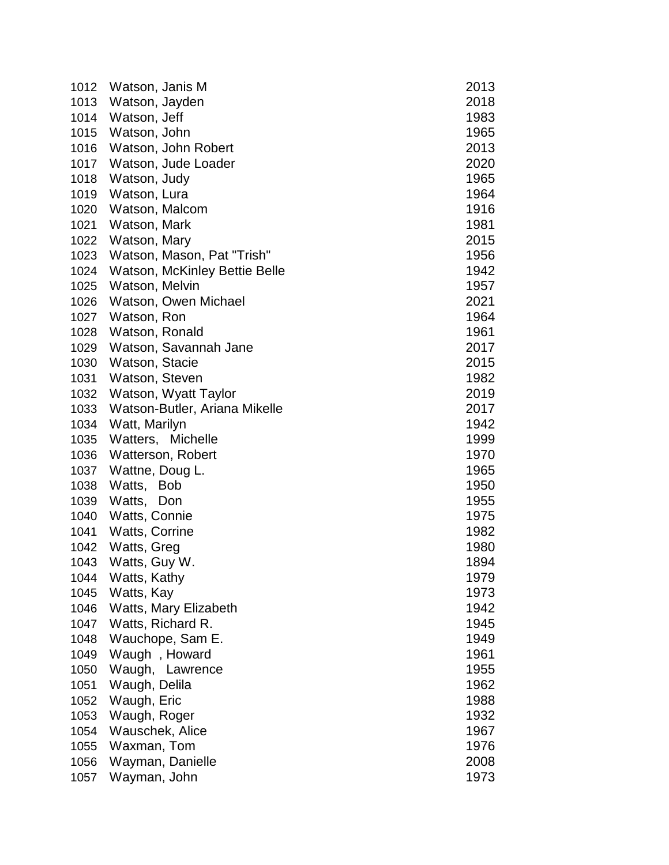| 1012 | Watson, Janis M               | 2013 |
|------|-------------------------------|------|
| 1013 | Watson, Jayden                | 2018 |
| 1014 | Watson, Jeff                  | 1983 |
| 1015 | Watson, John                  | 1965 |
| 1016 | Watson, John Robert           | 2013 |
| 1017 | Watson, Jude Loader           | 2020 |
| 1018 | Watson, Judy                  | 1965 |
| 1019 | Watson, Lura                  | 1964 |
| 1020 | Watson, Malcom                | 1916 |
| 1021 | Watson, Mark                  | 1981 |
| 1022 | Watson, Mary                  | 2015 |
| 1023 | Watson, Mason, Pat "Trish"    | 1956 |
| 1024 | Watson, McKinley Bettie Belle | 1942 |
| 1025 | Watson, Melvin                | 1957 |
| 1026 | Watson, Owen Michael          | 2021 |
| 1027 | Watson, Ron                   | 1964 |
| 1028 | Watson, Ronald                | 1961 |
| 1029 | Watson, Savannah Jane         | 2017 |
| 1030 | Watson, Stacie                | 2015 |
| 1031 | Watson, Steven                | 1982 |
| 1032 | Watson, Wyatt Taylor          | 2019 |
| 1033 | Watson-Butler, Ariana Mikelle | 2017 |
| 1034 | Watt, Marilyn                 | 1942 |
| 1035 | Watters, Michelle             | 1999 |
| 1036 | Watterson, Robert             | 1970 |
| 1037 | Wattne, Doug L.               | 1965 |
| 1038 | Watts, Bob                    | 1950 |
| 1039 | Watts,<br>Don                 | 1955 |
| 1040 | Watts, Connie                 | 1975 |
| 1041 | <b>Watts, Corrine</b>         | 1982 |
| 1042 | Watts, Greg                   | 1980 |
| 1043 | Watts, Guy W.                 | 1894 |
| 1044 | Watts, Kathy                  | 1979 |
| 1045 | Watts, Kay                    | 1973 |
| 1046 | Watts, Mary Elizabeth         | 1942 |
| 1047 | Watts, Richard R.             | 1945 |
| 1048 | Wauchope, Sam E.              | 1949 |
| 1049 | Waugh, Howard                 | 1961 |
| 1050 | Waugh, Lawrence               | 1955 |
| 1051 | Waugh, Delila                 | 1962 |
| 1052 | Waugh, Eric                   | 1988 |
| 1053 | Waugh, Roger                  | 1932 |
| 1054 | Wauschek, Alice               | 1967 |
| 1055 | Waxman, Tom                   | 1976 |
| 1056 | Wayman, Danielle              | 2008 |
| 1057 | Wayman, John                  | 1973 |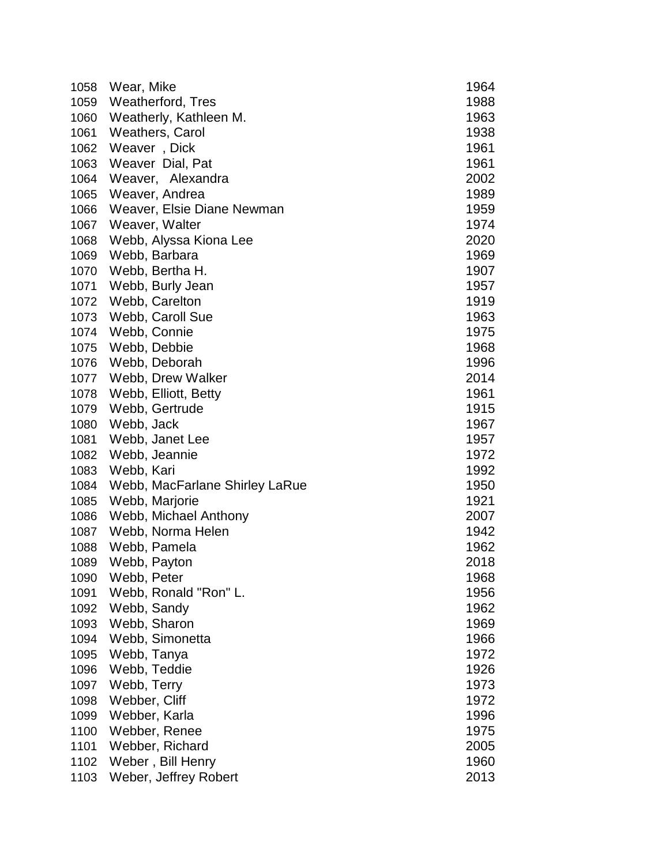| 1058 | Wear, Mike                     | 1964 |
|------|--------------------------------|------|
| 1059 | Weatherford, Tres              | 1988 |
| 1060 | Weatherly, Kathleen M.         | 1963 |
| 1061 | <b>Weathers, Carol</b>         | 1938 |
| 1062 | Weaver, Dick                   | 1961 |
| 1063 | Weaver Dial, Pat               | 1961 |
| 1064 | Weaver, Alexandra              | 2002 |
| 1065 | Weaver, Andrea                 | 1989 |
| 1066 | Weaver, Elsie Diane Newman     | 1959 |
| 1067 | Weaver, Walter                 | 1974 |
| 1068 | Webb, Alyssa Kiona Lee         | 2020 |
| 1069 | Webb, Barbara                  | 1969 |
| 1070 | Webb, Bertha H.                | 1907 |
| 1071 | Webb, Burly Jean               | 1957 |
| 1072 | Webb, Carelton                 | 1919 |
| 1073 | Webb, Caroll Sue               | 1963 |
| 1074 | Webb, Connie                   | 1975 |
| 1075 | Webb, Debbie                   | 1968 |
| 1076 | Webb, Deborah                  | 1996 |
| 1077 | Webb, Drew Walker              | 2014 |
| 1078 | Webb, Elliott, Betty           | 1961 |
| 1079 | Webb, Gertrude                 | 1915 |
| 1080 | Webb, Jack                     | 1967 |
| 1081 | Webb, Janet Lee                | 1957 |
| 1082 | Webb, Jeannie                  | 1972 |
| 1083 | Webb, Kari                     | 1992 |
| 1084 | Webb, MacFarlane Shirley LaRue | 1950 |
| 1085 | Webb, Marjorie                 | 1921 |
| 1086 | Webb, Michael Anthony          | 2007 |
| 1087 | Webb, Norma Helen              | 1942 |
| 1088 | Webb, Pamela                   | 1962 |
| 1089 | Webb, Payton                   | 2018 |
| 1090 | Webb, Peter                    | 1968 |
| 1091 | Webb, Ronald "Ron" L.          | 1956 |
| 1092 | Webb, Sandy                    | 1962 |
| 1093 | Webb, Sharon                   | 1969 |
| 1094 | Webb, Simonetta                | 1966 |
| 1095 | Webb, Tanya                    | 1972 |
| 1096 | Webb, Teddie                   | 1926 |
| 1097 | Webb, Terry                    | 1973 |
| 1098 | Webber, Cliff                  | 1972 |
| 1099 | Webber, Karla                  | 1996 |
| 1100 | Webber, Renee                  | 1975 |
| 1101 | Webber, Richard                | 2005 |
| 1102 | Weber, Bill Henry              | 1960 |
| 1103 | Weber, Jeffrey Robert          | 2013 |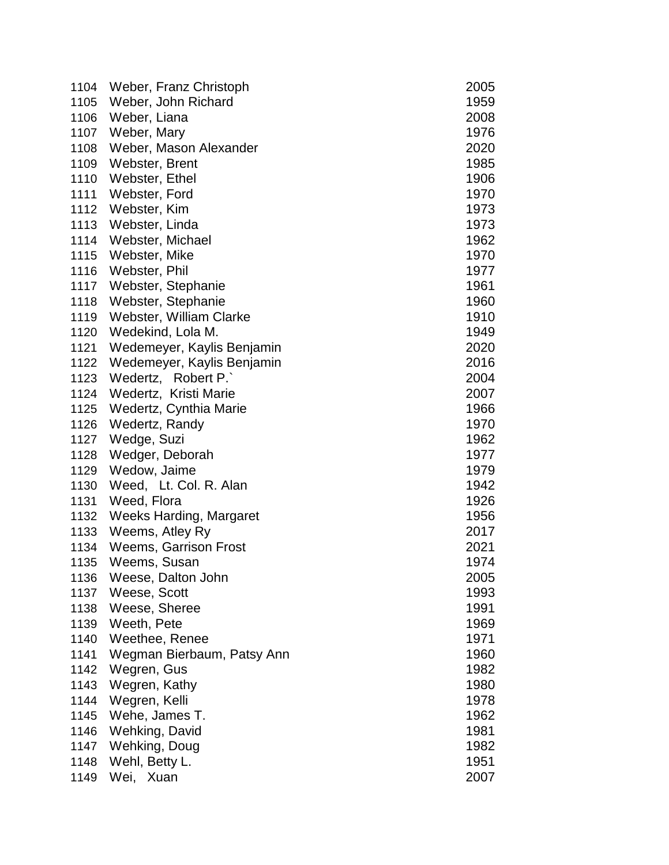| 1104 | Weber, Franz Christoph       | 2005 |
|------|------------------------------|------|
| 1105 | Weber, John Richard          | 1959 |
| 1106 | Weber, Liana                 | 2008 |
| 1107 | Weber, Mary                  | 1976 |
| 1108 | Weber, Mason Alexander       | 2020 |
| 1109 | Webster, Brent               | 1985 |
| 1110 | Webster, Ethel               | 1906 |
| 1111 | Webster, Ford                | 1970 |
| 1112 | Webster, Kim                 | 1973 |
| 1113 | Webster, Linda               | 1973 |
| 1114 | Webster, Michael             | 1962 |
| 1115 | Webster, Mike                | 1970 |
| 1116 | Webster, Phil                | 1977 |
| 1117 | Webster, Stephanie           | 1961 |
| 1118 | Webster, Stephanie           | 1960 |
| 1119 | Webster, William Clarke      | 1910 |
| 1120 | Wedekind, Lola M.            | 1949 |
| 1121 | Wedemeyer, Kaylis Benjamin   | 2020 |
| 1122 | Wedemeyer, Kaylis Benjamin   | 2016 |
| 1123 | Wedertz, Robert P.           | 2004 |
| 1124 | Wedertz, Kristi Marie        | 2007 |
| 1125 | Wedertz, Cynthia Marie       | 1966 |
| 1126 | Wedertz, Randy               | 1970 |
| 1127 | Wedge, Suzi                  | 1962 |
| 1128 | Wedger, Deborah              | 1977 |
| 1129 | Wedow, Jaime                 | 1979 |
| 1130 | Weed, Lt. Col. R. Alan       | 1942 |
| 1131 | Weed, Flora                  | 1926 |
| 1132 | Weeks Harding, Margaret      | 1956 |
| 1133 | Weems, Atley Ry              | 2017 |
| 1134 | <b>Weems, Garrison Frost</b> | 2021 |
| 1135 | Weems, Susan                 | 1974 |
| 1136 | Weese, Dalton John           | 2005 |
| 1137 | Weese, Scott                 | 1993 |
| 1138 | Weese, Sheree                | 1991 |
| 1139 | Weeth, Pete                  | 1969 |
| 1140 | Weethee, Renee               | 1971 |
| 1141 | Wegman Bierbaum, Patsy Ann   | 1960 |
| 1142 | Wegren, Gus                  | 1982 |
| 1143 | Wegren, Kathy                | 1980 |
| 1144 | Wegren, Kelli                | 1978 |
| 1145 | Wehe, James T.               | 1962 |
| 1146 | Wehking, David               | 1981 |
| 1147 | Wehking, Doug                | 1982 |
| 1148 | Wehl, Betty L.               | 1951 |
| 1149 | Wei, Xuan                    | 2007 |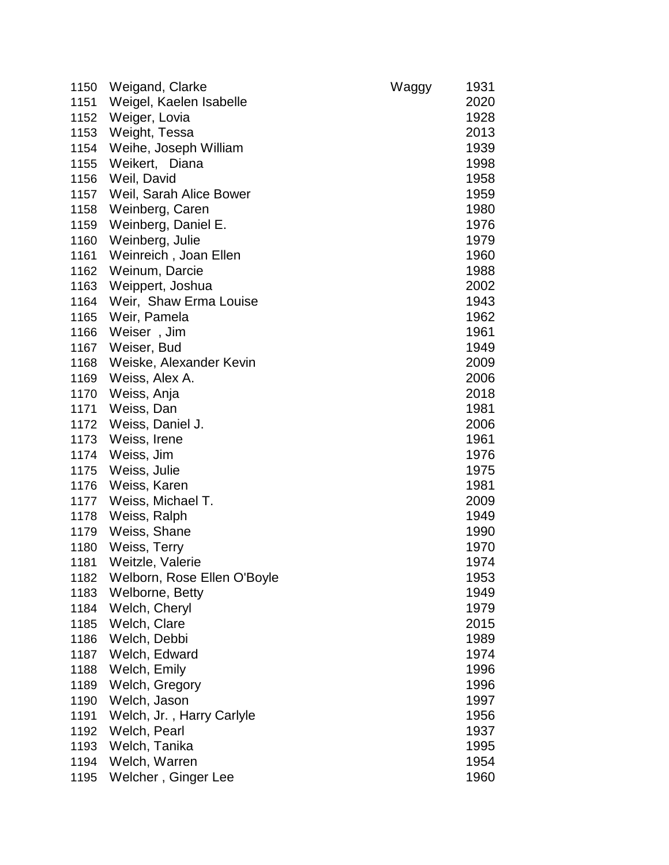| 1150 | Weigand, Clarke             | Waggy | 1931 |
|------|-----------------------------|-------|------|
| 1151 | Weigel, Kaelen Isabelle     |       | 2020 |
| 1152 | Weiger, Lovia               |       | 1928 |
| 1153 | Weight, Tessa               |       | 2013 |
| 1154 | Weihe, Joseph William       |       | 1939 |
| 1155 | Weikert, Diana              |       | 1998 |
| 1156 | Weil, David                 |       | 1958 |
| 1157 | Weil, Sarah Alice Bower     |       | 1959 |
| 1158 | Weinberg, Caren             |       | 1980 |
| 1159 | Weinberg, Daniel E.         |       | 1976 |
| 1160 | Weinberg, Julie             |       | 1979 |
| 1161 | Weinreich, Joan Ellen       |       | 1960 |
| 1162 | Weinum, Darcie              |       | 1988 |
| 1163 | Weippert, Joshua            |       | 2002 |
| 1164 | Weir, Shaw Erma Louise      |       | 1943 |
| 1165 | Weir, Pamela                |       | 1962 |
| 1166 | Weiser, Jim                 |       | 1961 |
| 1167 | Weiser, Bud                 |       | 1949 |
| 1168 | Weiske, Alexander Kevin     |       | 2009 |
| 1169 | Weiss, Alex A.              |       | 2006 |
| 1170 | Weiss, Anja                 |       | 2018 |
| 1171 | Weiss, Dan                  |       | 1981 |
| 1172 | Weiss, Daniel J.            |       | 2006 |
| 1173 | Weiss, Irene                |       | 1961 |
| 1174 | Weiss, Jim                  |       | 1976 |
| 1175 | Weiss, Julie                |       | 1975 |
| 1176 | Weiss, Karen                |       | 1981 |
| 1177 | Weiss, Michael T.           |       | 2009 |
| 1178 | Weiss, Ralph                |       | 1949 |
| 1179 | Weiss, Shane                |       | 1990 |
| 1180 | Weiss, Terry                |       | 1970 |
| 1181 | Weitzle, Valerie            |       | 1974 |
| 1182 | Welborn, Rose Ellen O'Boyle |       | 1953 |
| 1183 | Welborne, Betty             |       | 1949 |
| 1184 | Welch, Cheryl               |       | 1979 |
| 1185 | Welch, Clare                |       | 2015 |
| 1186 | Welch, Debbi                |       | 1989 |
| 1187 | Welch, Edward               |       | 1974 |
| 1188 | Welch, Emily                |       | 1996 |
| 1189 | Welch, Gregory              |       | 1996 |
| 1190 | Welch, Jason                |       | 1997 |
| 1191 | Welch, Jr., Harry Carlyle   |       | 1956 |
| 1192 | Welch, Pearl                |       | 1937 |
| 1193 | Welch, Tanika               |       | 1995 |
| 1194 | Welch, Warren               |       | 1954 |
| 1195 | Welcher, Ginger Lee         |       | 1960 |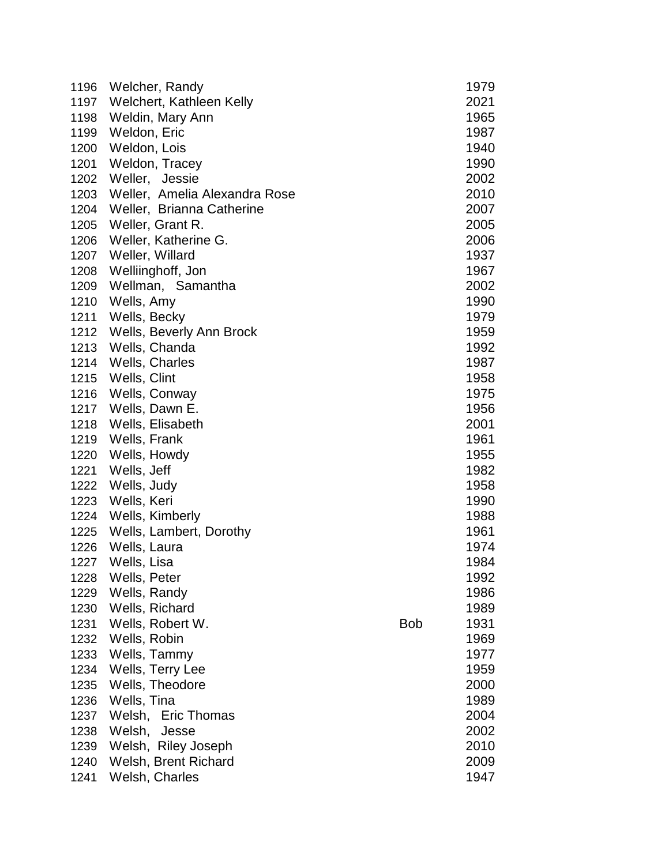| 1196 | Welcher, Randy                |            | 1979 |
|------|-------------------------------|------------|------|
| 1197 | Welchert, Kathleen Kelly      |            | 2021 |
| 1198 | Weldin, Mary Ann              |            | 1965 |
| 1199 | Weldon, Eric                  |            | 1987 |
| 1200 | Weldon, Lois                  |            | 1940 |
| 1201 | Weldon, Tracey                |            | 1990 |
| 1202 | Weller, Jessie                |            | 2002 |
| 1203 | Weller, Amelia Alexandra Rose |            | 2010 |
| 1204 | Weller, Brianna Catherine     |            | 2007 |
| 1205 | Weller, Grant R.              |            | 2005 |
| 1206 | Weller, Katherine G.          |            | 2006 |
| 1207 | Weller, Willard               |            | 1937 |
| 1208 | Welliinghoff, Jon             |            | 1967 |
| 1209 | Wellman, Samantha             |            | 2002 |
| 1210 | Wells, Amy                    |            | 1990 |
| 1211 | Wells, Becky                  |            | 1979 |
| 1212 | Wells, Beverly Ann Brock      |            | 1959 |
| 1213 | Wells, Chanda                 |            | 1992 |
| 1214 | Wells, Charles                |            | 1987 |
| 1215 | Wells, Clint                  |            | 1958 |
| 1216 | Wells, Conway                 |            | 1975 |
| 1217 | Wells, Dawn E.                |            | 1956 |
| 1218 | Wells, Elisabeth              |            | 2001 |
| 1219 | Wells, Frank                  |            | 1961 |
| 1220 | Wells, Howdy                  |            | 1955 |
| 1221 | Wells, Jeff                   |            | 1982 |
| 1222 | Wells, Judy                   |            | 1958 |
| 1223 | Wells, Keri                   |            | 1990 |
| 1224 | Wells, Kimberly               |            | 1988 |
| 1225 | Wells, Lambert, Dorothy       |            | 1961 |
| 1226 | Wells, Laura                  |            | 1974 |
| 1227 | Wells, Lisa                   |            | 1984 |
| 1228 | Wells, Peter                  |            | 1992 |
| 1229 | Wells, Randy                  |            | 1986 |
| 1230 | Wells, Richard                |            | 1989 |
| 1231 | Wells, Robert W.              | <b>Bob</b> | 1931 |
| 1232 | Wells, Robin                  |            | 1969 |
| 1233 | Wells, Tammy                  |            | 1977 |
| 1234 | Wells, Terry Lee              |            | 1959 |
| 1235 | Wells, Theodore               |            | 2000 |
| 1236 | Wells, Tina                   |            | 1989 |
| 1237 | Welsh,<br><b>Eric Thomas</b>  |            | 2004 |
| 1238 | Welsh,<br>Jesse               |            | 2002 |
| 1239 | Welsh, Riley Joseph           |            | 2010 |
| 1240 | Welsh, Brent Richard          |            | 2009 |
| 1241 | Welsh, Charles                |            | 1947 |
|      |                               |            |      |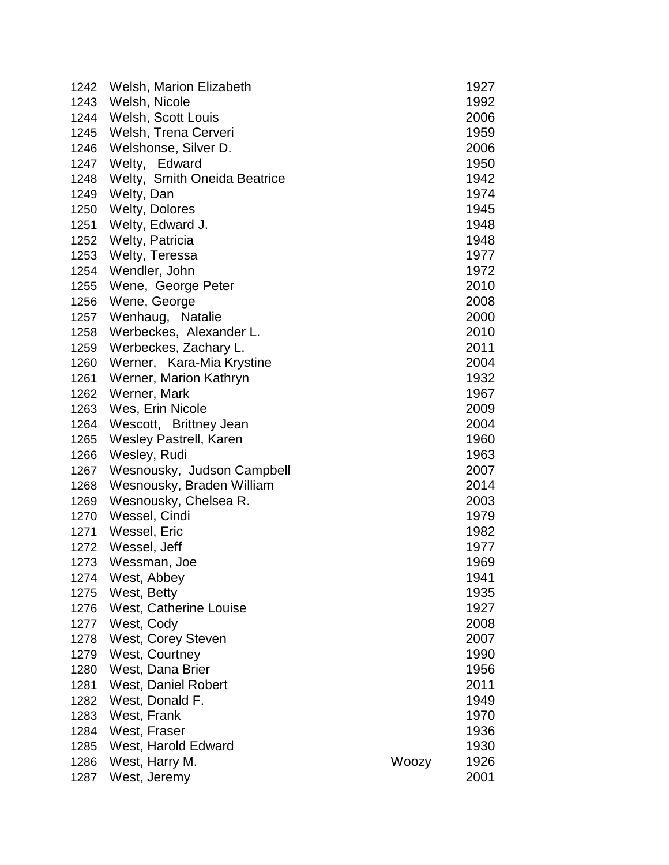|      | 1242 Welsh, Marion Elizabeth |       | 1927 |
|------|------------------------------|-------|------|
| 1243 | Welsh, Nicole                |       | 1992 |
| 1244 | Welsh, Scott Louis           |       | 2006 |
| 1245 | Welsh, Trena Cerveri         |       | 1959 |
| 1246 | Welshonse, Silver D.         |       | 2006 |
| 1247 | Welty, Edward                |       | 1950 |
| 1248 | Welty, Smith Oneida Beatrice |       | 1942 |
| 1249 | Welty, Dan                   |       | 1974 |
| 1250 | <b>Welty, Dolores</b>        |       | 1945 |
| 1251 | Welty, Edward J.             |       | 1948 |
| 1252 | Welty, Patricia              |       | 1948 |
| 1253 | Welty, Teressa               |       | 1977 |
| 1254 | Wendler, John                |       | 1972 |
| 1255 | Wene, George Peter           |       | 2010 |
| 1256 | Wene, George                 |       | 2008 |
| 1257 | Wenhaug, Natalie             |       | 2000 |
| 1258 | Werbeckes, Alexander L.      |       | 2010 |
| 1259 | Werbeckes, Zachary L.        |       | 2011 |
| 1260 | Werner, Kara-Mia Krystine    |       | 2004 |
| 1261 | Werner, Marion Kathryn       |       | 1932 |
| 1262 | Werner, Mark                 |       | 1967 |
| 1263 | Wes, Erin Nicole             |       | 2009 |
| 1264 | Wescott, Brittney Jean       |       | 2004 |
| 1265 | Wesley Pastrell, Karen       |       | 1960 |
| 1266 | Wesley, Rudi                 |       | 1963 |
| 1267 | Wesnousky, Judson Campbell   |       | 2007 |
| 1268 | Wesnousky, Braden William    |       | 2014 |
| 1269 | Wesnousky, Chelsea R.        |       | 2003 |
| 1270 | Wessel, Cindi                |       | 1979 |
| 1271 | Wessel, Eric                 |       | 1982 |
| 1272 | Wessel, Jeff                 |       | 1977 |
| 1273 | Wessman, Joe                 |       | 1969 |
| 1274 | West, Abbey                  |       | 1941 |
| 1275 | West, Betty                  |       | 1935 |
| 1276 | West, Catherine Louise       |       | 1927 |
| 1277 | West, Cody                   |       | 2008 |
| 1278 | West, Corey Steven           |       | 2007 |
| 1279 | West, Courtney               |       | 1990 |
| 1280 | West, Dana Brier             |       | 1956 |
| 1281 | West, Daniel Robert          |       | 2011 |
| 1282 | West, Donald F.              |       | 1949 |
| 1283 | West, Frank                  |       | 1970 |
| 1284 | West, Fraser                 |       | 1936 |
| 1285 | West, Harold Edward          |       | 1930 |
| 1286 | West, Harry M.               | Woozy | 1926 |
| 1287 | West, Jeremy                 |       | 2001 |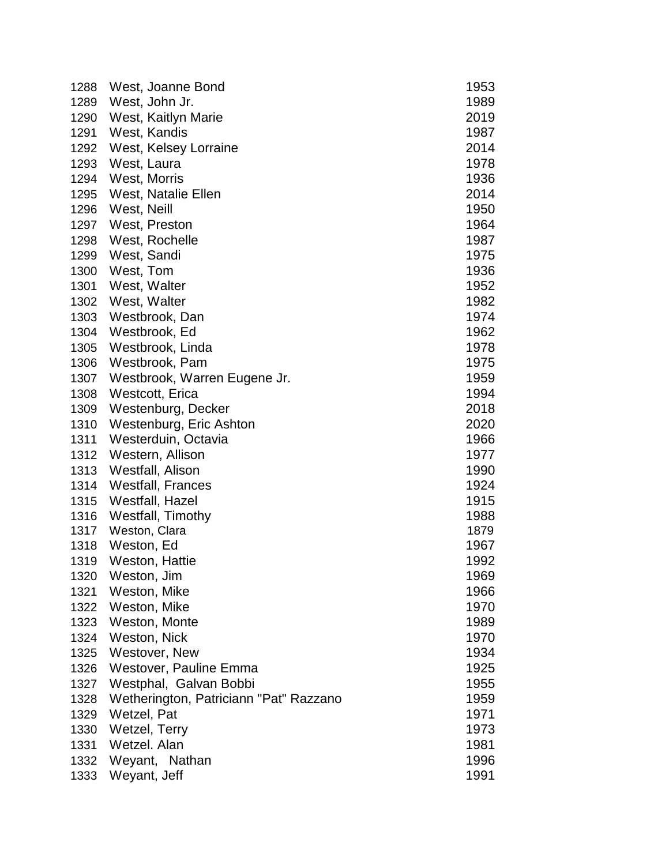| 1288 | West, Joanne Bond                      | 1953 |
|------|----------------------------------------|------|
| 1289 | West, John Jr.                         | 1989 |
| 1290 | West, Kaitlyn Marie                    | 2019 |
| 1291 | West, Kandis                           | 1987 |
| 1292 | West, Kelsey Lorraine                  | 2014 |
| 1293 | West, Laura                            | 1978 |
| 1294 | West, Morris                           | 1936 |
| 1295 | West, Natalie Ellen                    | 2014 |
| 1296 | West, Neill                            | 1950 |
| 1297 | West, Preston                          | 1964 |
| 1298 | West, Rochelle                         | 1987 |
| 1299 | West, Sandi                            | 1975 |
| 1300 | West, Tom                              | 1936 |
| 1301 | West, Walter                           | 1952 |
| 1302 | West, Walter                           | 1982 |
| 1303 | Westbrook, Dan                         | 1974 |
| 1304 | Westbrook, Ed                          | 1962 |
| 1305 | Westbrook, Linda                       | 1978 |
| 1306 | Westbrook, Pam                         | 1975 |
| 1307 | Westbrook, Warren Eugene Jr.           | 1959 |
| 1308 | Westcott, Erica                        | 1994 |
| 1309 | Westenburg, Decker                     | 2018 |
| 1310 | Westenburg, Eric Ashton                | 2020 |
| 1311 | Westerduin, Octavia                    | 1966 |
| 1312 | Western, Allison                       | 1977 |
| 1313 | Westfall, Alison                       | 1990 |
| 1314 | <b>Westfall, Frances</b>               | 1924 |
| 1315 | Westfall, Hazel                        | 1915 |
| 1316 | Westfall, Timothy                      | 1988 |
| 1317 | Weston, Clara                          | 1879 |
| 1318 | Weston, Ed                             | 1967 |
| 1319 | Weston, Hattie                         | 1992 |
| 1320 | Weston, Jim                            | 1969 |
| 1321 | Weston, Mike                           | 1966 |
| 1322 | Weston, Mike                           | 1970 |
| 1323 | Weston, Monte                          | 1989 |
| 1324 | Weston, Nick                           | 1970 |
| 1325 | Westover, New                          | 1934 |
| 1326 | Westover, Pauline Emma                 | 1925 |
| 1327 | Westphal, Galvan Bobbi                 | 1955 |
| 1328 | Wetherington, Patriciann "Pat" Razzano | 1959 |
| 1329 | Wetzel, Pat                            | 1971 |
| 1330 | Wetzel, Terry                          | 1973 |
| 1331 | Wetzel. Alan                           | 1981 |
| 1332 | Weyant, Nathan                         | 1996 |
| 1333 | Weyant, Jeff                           | 1991 |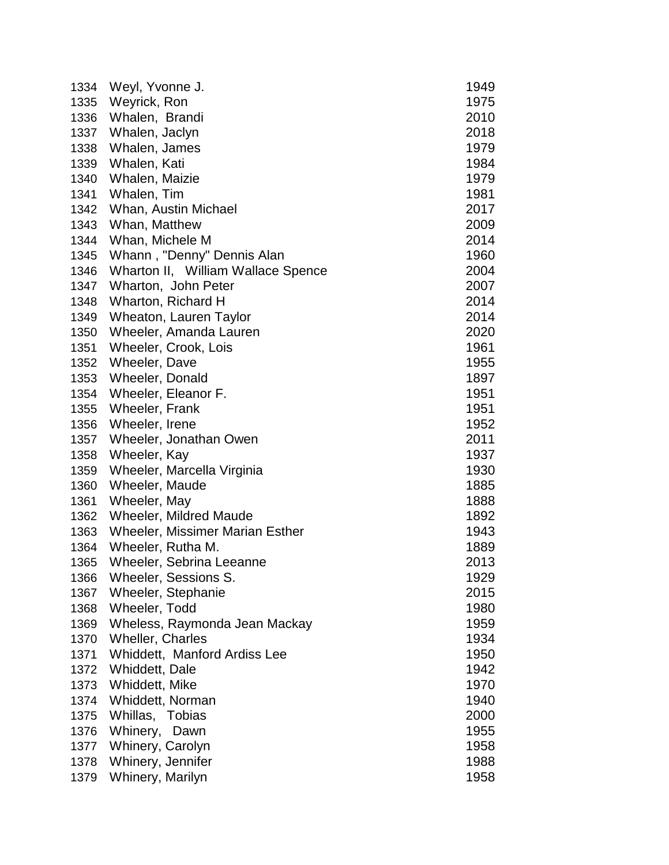| 1334 | Weyl, Yvonne J.                        | 1949 |
|------|----------------------------------------|------|
| 1335 | Weyrick, Ron                           | 1975 |
| 1336 | Whalen, Brandi                         | 2010 |
| 1337 | Whalen, Jaclyn                         | 2018 |
| 1338 | Whalen, James                          | 1979 |
| 1339 | Whalen, Kati                           | 1984 |
| 1340 | Whalen, Maizie                         | 1979 |
| 1341 | Whalen, Tim                            | 1981 |
| 1342 | Whan, Austin Michael                   | 2017 |
| 1343 | Whan, Matthew                          | 2009 |
| 1344 | Whan, Michele M                        | 2014 |
| 1345 | Whann, "Denny" Dennis Alan             | 1960 |
| 1346 | Wharton II, William Wallace Spence     | 2004 |
| 1347 | Wharton, John Peter                    | 2007 |
| 1348 | Wharton, Richard H                     | 2014 |
| 1349 | Wheaton, Lauren Taylor                 | 2014 |
| 1350 | Wheeler, Amanda Lauren                 | 2020 |
| 1351 | Wheeler, Crook, Lois                   | 1961 |
| 1352 | Wheeler, Dave                          | 1955 |
| 1353 | Wheeler, Donald                        | 1897 |
| 1354 | Wheeler, Eleanor F.                    | 1951 |
| 1355 | Wheeler, Frank                         | 1951 |
| 1356 | Wheeler, Irene                         | 1952 |
| 1357 | Wheeler, Jonathan Owen                 | 2011 |
| 1358 | Wheeler, Kay                           | 1937 |
| 1359 | Wheeler, Marcella Virginia             | 1930 |
| 1360 | Wheeler, Maude                         | 1885 |
| 1361 | Wheeler, May                           | 1888 |
| 1362 | <b>Wheeler, Mildred Maude</b>          | 1892 |
| 1363 | <b>Wheeler, Missimer Marian Esther</b> | 1943 |
| 1364 | Wheeler, Rutha M.                      | 1889 |
| 1365 | <b>Wheeler, Sebrina Leeanne</b>        | 2013 |
| 1366 | Wheeler, Sessions S.                   | 1929 |
| 1367 | Wheeler, Stephanie                     | 2015 |
| 1368 | Wheeler, Todd                          | 1980 |
| 1369 | Wheless, Raymonda Jean Mackay          | 1959 |
| 1370 | <b>Wheller, Charles</b>                | 1934 |
| 1371 | Whiddett, Manford Ardiss Lee           | 1950 |
| 1372 | Whiddett, Dale                         | 1942 |
| 1373 | Whiddett, Mike                         | 1970 |
| 1374 | Whiddett, Norman                       | 1940 |
| 1375 | Whillas, Tobias                        | 2000 |
| 1376 | Whinery,<br>Dawn                       | 1955 |
| 1377 | Whinery, Carolyn                       | 1958 |
| 1378 | Whinery, Jennifer                      | 1988 |
| 1379 | Whinery, Marilyn                       | 1958 |
|      |                                        |      |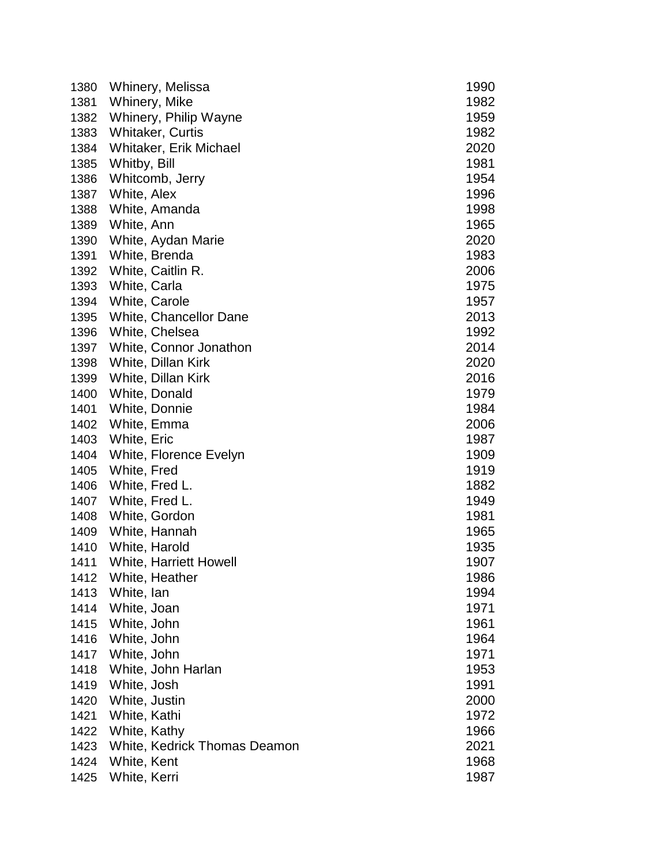| 1380 | Whinery, Melissa              | 1990 |
|------|-------------------------------|------|
| 1381 | Whinery, Mike                 | 1982 |
| 1382 | Whinery, Philip Wayne         | 1959 |
| 1383 | <b>Whitaker, Curtis</b>       | 1982 |
| 1384 | Whitaker, Erik Michael        | 2020 |
| 1385 | Whitby, Bill                  | 1981 |
| 1386 | Whitcomb, Jerry               | 1954 |
| 1387 | White, Alex                   | 1996 |
| 1388 | White, Amanda                 | 1998 |
| 1389 | White, Ann                    | 1965 |
| 1390 | White, Aydan Marie            | 2020 |
| 1391 | White, Brenda                 | 1983 |
| 1392 | White, Caitlin R.             | 2006 |
| 1393 | White, Carla                  | 1975 |
| 1394 | White, Carole                 | 1957 |
| 1395 | White, Chancellor Dane        | 2013 |
| 1396 | White, Chelsea                | 1992 |
| 1397 | White, Connor Jonathon        | 2014 |
| 1398 | White, Dillan Kirk            | 2020 |
| 1399 | White, Dillan Kirk            | 2016 |
| 1400 | White, Donald                 | 1979 |
| 1401 | White, Donnie                 | 1984 |
| 1402 | White, Emma                   | 2006 |
| 1403 | White, Eric                   | 1987 |
| 1404 | White, Florence Evelyn        | 1909 |
| 1405 | White, Fred                   | 1919 |
| 1406 | White, Fred L.                | 1882 |
| 1407 | White, Fred L.                | 1949 |
| 1408 | White, Gordon                 | 1981 |
| 1409 | White, Hannah                 | 1965 |
| 1410 | White, Harold                 | 1935 |
| 1411 | <b>White, Harriett Howell</b> | 1907 |
| 1412 | White, Heather                | 1986 |
| 1413 | White, lan                    | 1994 |
| 1414 | White, Joan                   | 1971 |
| 1415 | White, John                   | 1961 |
| 1416 | White, John                   | 1964 |
| 1417 | White, John                   | 1971 |
| 1418 | White, John Harlan            | 1953 |
| 1419 | White, Josh                   | 1991 |
| 1420 | White, Justin                 | 2000 |
| 1421 | White, Kathi                  | 1972 |
| 1422 | White, Kathy                  | 1966 |
| 1423 | White, Kedrick Thomas Deamon  | 2021 |
| 1424 | White, Kent                   | 1968 |
| 1425 | White, Kerri                  | 1987 |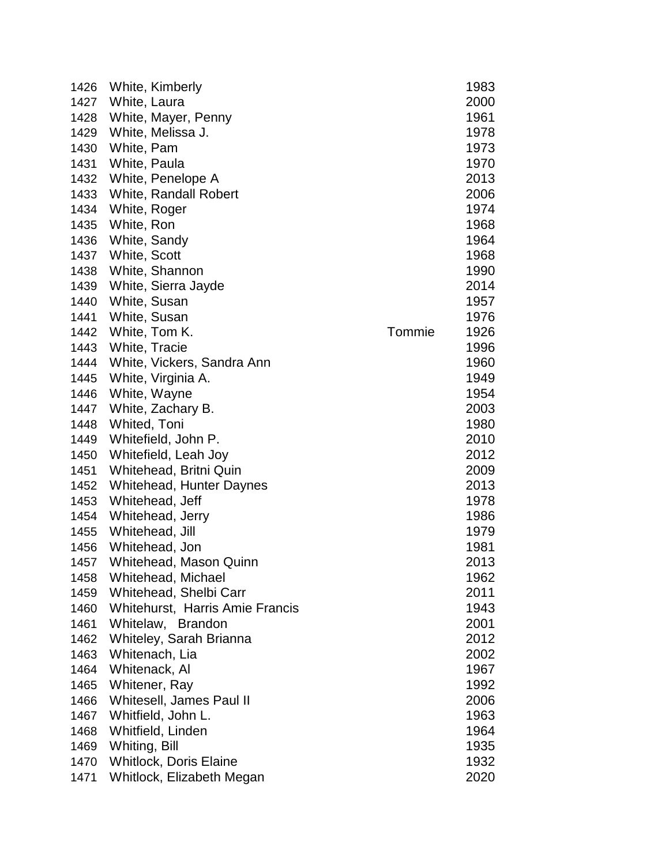| 1426 | White, Kimberly                 |        | 1983 |
|------|---------------------------------|--------|------|
| 1427 | White, Laura                    |        | 2000 |
| 1428 | White, Mayer, Penny             |        | 1961 |
| 1429 | White, Melissa J.               |        | 1978 |
| 1430 | White, Pam                      |        | 1973 |
| 1431 | White, Paula                    |        | 1970 |
| 1432 | White, Penelope A               |        | 2013 |
| 1433 | <b>White, Randall Robert</b>    |        | 2006 |
| 1434 | White, Roger                    |        | 1974 |
| 1435 | White, Ron                      |        | 1968 |
| 1436 | White, Sandy                    |        | 1964 |
| 1437 | White, Scott                    |        | 1968 |
| 1438 | White, Shannon                  |        | 1990 |
| 1439 | White, Sierra Jayde             |        | 2014 |
| 1440 | White, Susan                    |        | 1957 |
| 1441 | White, Susan                    |        | 1976 |
| 1442 | White, Tom K.                   | Tommie | 1926 |
| 1443 | White, Tracie                   |        | 1996 |
| 1444 | White, Vickers, Sandra Ann      |        | 1960 |
| 1445 | White, Virginia A.              |        | 1949 |
| 1446 | White, Wayne                    |        | 1954 |
| 1447 | White, Zachary B.               |        | 2003 |
| 1448 | Whited, Toni                    |        | 1980 |
| 1449 | Whitefield, John P.             |        | 2010 |
| 1450 | Whitefield, Leah Joy            |        | 2012 |
| 1451 | Whitehead, Britni Quin          |        | 2009 |
| 1452 | <b>Whitehead, Hunter Daynes</b> |        | 2013 |
| 1453 | Whitehead, Jeff                 |        | 1978 |
| 1454 | Whitehead, Jerry                |        | 1986 |
| 1455 | Whitehead, Jill                 |        | 1979 |
| 1456 | Whitehead, Jon                  |        | 1981 |
| 1457 | <b>Whitehead, Mason Quinn</b>   |        | 2013 |
| 1458 | Whitehead, Michael              |        | 1962 |
| 1459 | Whitehead, Shelbi Carr          |        | 2011 |
| 1460 | Whitehurst, Harris Amie Francis |        | 1943 |
| 1461 | Whitelaw, Brandon               |        | 2001 |
| 1462 | Whiteley, Sarah Brianna         |        | 2012 |
| 1463 | Whitenach, Lia                  |        | 2002 |
| 1464 | Whitenack, Al                   |        | 1967 |
| 1465 | Whitener, Ray                   |        | 1992 |
| 1466 | Whitesell, James Paul II        |        | 2006 |
| 1467 | Whitfield, John L.              |        | 1963 |
| 1468 | Whitfield, Linden               |        | 1964 |
| 1469 | Whiting, Bill                   |        | 1935 |
| 1470 | <b>Whitlock, Doris Elaine</b>   |        | 1932 |
| 1471 | Whitlock, Elizabeth Megan       |        | 2020 |
|      |                                 |        |      |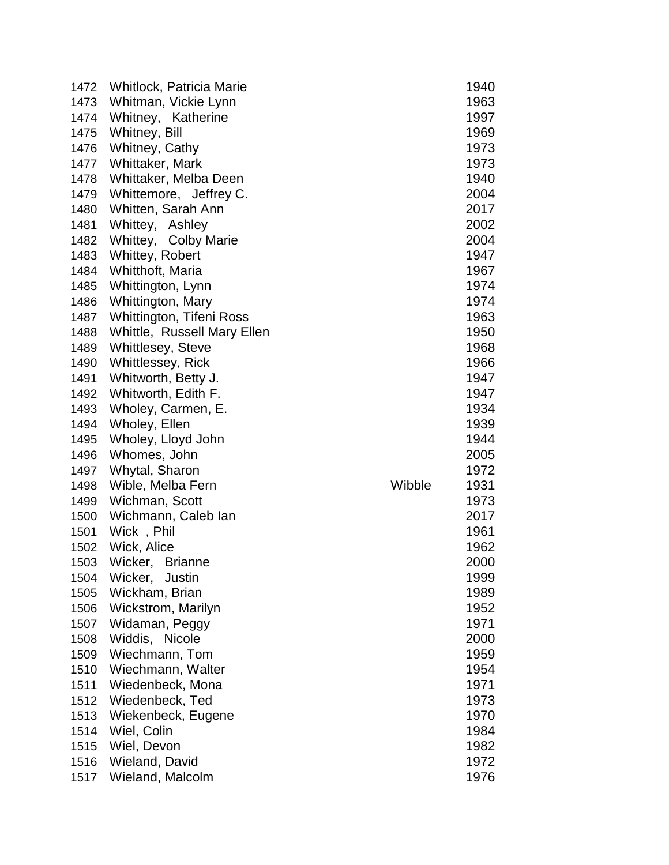| 1472 | Whitlock, Patricia Marie    |        | 1940 |
|------|-----------------------------|--------|------|
| 1473 | Whitman, Vickie Lynn        |        | 1963 |
| 1474 | Whitney, Katherine          |        | 1997 |
| 1475 | Whitney, Bill               |        | 1969 |
| 1476 | Whitney, Cathy              |        | 1973 |
| 1477 | Whittaker, Mark             |        | 1973 |
| 1478 | Whittaker, Melba Deen       |        | 1940 |
| 1479 | Whittemore, Jeffrey C.      |        | 2004 |
| 1480 | Whitten, Sarah Ann          |        | 2017 |
| 1481 | Whittey, Ashley             |        | 2002 |
| 1482 | Whittey, Colby Marie        |        | 2004 |
| 1483 | Whittey, Robert             |        | 1947 |
| 1484 | Whitthoft, Maria            |        | 1967 |
| 1485 | Whittington, Lynn           |        | 1974 |
| 1486 | Whittington, Mary           |        | 1974 |
| 1487 | Whittington, Tifeni Ross    |        | 1963 |
| 1488 | Whittle, Russell Mary Ellen |        | 1950 |
| 1489 | <b>Whittlesey, Steve</b>    |        | 1968 |
| 1490 | <b>Whittlessey, Rick</b>    |        | 1966 |
| 1491 | Whitworth, Betty J.         |        | 1947 |
| 1492 | Whitworth, Edith F.         |        | 1947 |
| 1493 | Wholey, Carmen, E.          |        | 1934 |
| 1494 | Wholey, Ellen               |        | 1939 |
| 1495 | Wholey, Lloyd John          |        | 1944 |
| 1496 | Whomes, John                |        | 2005 |
| 1497 | Whytal, Sharon              |        | 1972 |
| 1498 | Wible, Melba Fern           | Wibble | 1931 |
| 1499 | Wichman, Scott              |        | 1973 |
| 1500 | Wichmann, Caleb Ian         |        | 2017 |
| 1501 | Wick, Phil                  |        | 1961 |
| 1502 | Wick, Alice                 |        | 1962 |
| 1503 | Wicker,<br><b>Brianne</b>   |        | 2000 |
| 1504 | Wicker, Justin              |        | 1999 |
| 1505 | Wickham, Brian              |        | 1989 |
| 1506 | Wickstrom, Marilyn          |        | 1952 |
| 1507 | Widaman, Peggy              |        | 1971 |
| 1508 | Widdis, Nicole              |        | 2000 |
| 1509 | Wiechmann, Tom              |        | 1959 |
| 1510 | Wiechmann, Walter           |        | 1954 |
| 1511 | Wiedenbeck, Mona            |        | 1971 |
| 1512 | Wiedenbeck, Ted             |        | 1973 |
| 1513 | Wiekenbeck, Eugene          |        | 1970 |
| 1514 | Wiel, Colin                 |        | 1984 |
| 1515 | Wiel, Devon                 |        | 1982 |
| 1516 | Wieland, David              |        | 1972 |
| 1517 | Wieland, Malcolm            |        | 1976 |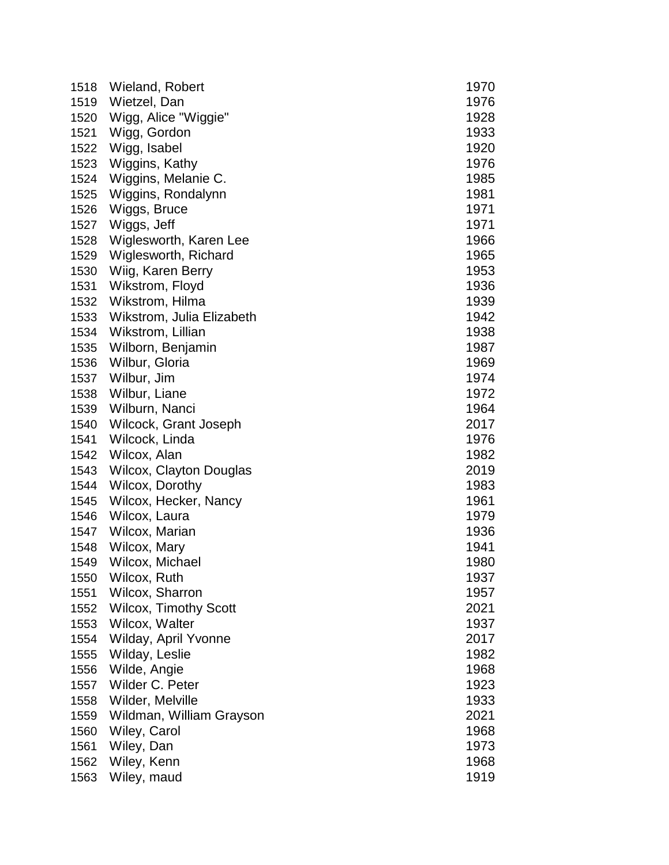| 1518 | Wieland, Robert                | 1970 |
|------|--------------------------------|------|
| 1519 | Wietzel, Dan                   | 1976 |
| 1520 | Wigg, Alice "Wiggie"           | 1928 |
| 1521 | Wigg, Gordon                   | 1933 |
| 1522 | Wigg, Isabel                   | 1920 |
| 1523 | Wiggins, Kathy                 | 1976 |
| 1524 | Wiggins, Melanie C.            | 1985 |
| 1525 | Wiggins, Rondalynn             | 1981 |
| 1526 | Wiggs, Bruce                   | 1971 |
| 1527 | Wiggs, Jeff                    | 1971 |
| 1528 | Wiglesworth, Karen Lee         | 1966 |
| 1529 | Wiglesworth, Richard           | 1965 |
| 1530 | Wiig, Karen Berry              | 1953 |
| 1531 | Wikstrom, Floyd                | 1936 |
| 1532 | Wikstrom, Hilma                | 1939 |
| 1533 | Wikstrom, Julia Elizabeth      | 1942 |
| 1534 | Wikstrom, Lillian              | 1938 |
| 1535 | Wilborn, Benjamin              | 1987 |
| 1536 | Wilbur, Gloria                 | 1969 |
| 1537 | Wilbur, Jim                    | 1974 |
| 1538 | Wilbur, Liane                  | 1972 |
| 1539 | Wilburn, Nanci                 | 1964 |
| 1540 | Wilcock, Grant Joseph          | 2017 |
| 1541 | Wilcock, Linda                 | 1976 |
| 1542 | Wilcox, Alan                   | 1982 |
| 1543 | <b>Wilcox, Clayton Douglas</b> | 2019 |
| 1544 | Wilcox, Dorothy                | 1983 |
| 1545 | Wilcox, Hecker, Nancy          | 1961 |
| 1546 | Wilcox, Laura                  | 1979 |
| 1547 | Wilcox, Marian                 | 1936 |
| 1548 | Wilcox, Mary                   | 1941 |
| 1549 | Wilcox, Michael                | 1980 |
| 1550 | Wilcox, Ruth                   | 1937 |
| 1551 | Wilcox, Sharron                | 1957 |
| 1552 | <b>Wilcox, Timothy Scott</b>   | 2021 |
| 1553 | Wilcox, Walter                 | 1937 |
| 1554 | Wilday, April Yvonne           | 2017 |
| 1555 | Wilday, Leslie                 | 1982 |
| 1556 | Wilde, Angie                   | 1968 |
| 1557 | Wilder C. Peter                | 1923 |
| 1558 | Wilder, Melville               | 1933 |
| 1559 | Wildman, William Grayson       | 2021 |
| 1560 | Wiley, Carol                   | 1968 |
| 1561 | Wiley, Dan                     | 1973 |
| 1562 | Wiley, Kenn                    | 1968 |
| 1563 | Wiley, maud                    | 1919 |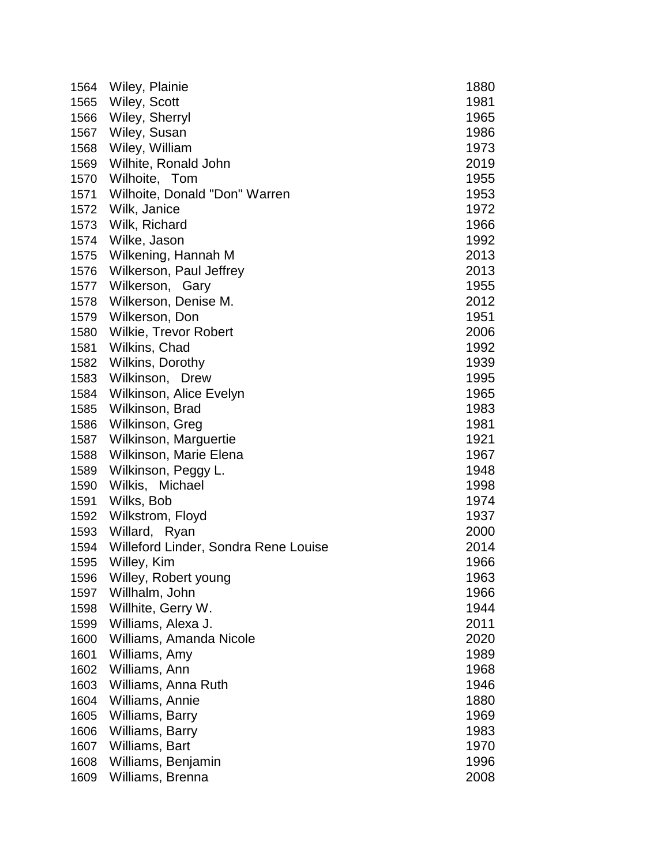| 1564 | Wiley, Plainie                       | 1880 |
|------|--------------------------------------|------|
| 1565 | Wiley, Scott                         | 1981 |
| 1566 | Wiley, Sherryl                       | 1965 |
| 1567 | Wiley, Susan                         | 1986 |
| 1568 | Wiley, William                       | 1973 |
| 1569 | Wilhite, Ronald John                 | 2019 |
| 1570 | Wilhoite, Tom                        | 1955 |
| 1571 | Wilhoite, Donald "Don" Warren        | 1953 |
|      | 1572 Wilk, Janice                    | 1972 |
| 1573 | Wilk, Richard                        | 1966 |
| 1574 | Wilke, Jason                         | 1992 |
| 1575 | Wilkening, Hannah M                  | 2013 |
| 1576 | Wilkerson, Paul Jeffrey              | 2013 |
| 1577 | Wilkerson, Gary                      | 1955 |
| 1578 | Wilkerson, Denise M.                 | 2012 |
| 1579 | Wilkerson, Don                       | 1951 |
| 1580 | Wilkie, Trevor Robert                | 2006 |
| 1581 | Wilkins, Chad                        | 1992 |
| 1582 | Wilkins, Dorothy                     | 1939 |
| 1583 | Wilkinson, Drew                      | 1995 |
| 1584 | Wilkinson, Alice Evelyn              | 1965 |
| 1585 | Wilkinson, Brad                      | 1983 |
| 1586 | Wilkinson, Greg                      | 1981 |
| 1587 | Wilkinson, Marguertie                | 1921 |
| 1588 | Wilkinson, Marie Elena               | 1967 |
| 1589 | Wilkinson, Peggy L.                  | 1948 |
| 1590 | Wilkis, Michael                      | 1998 |
| 1591 | Wilks, Bob                           | 1974 |
| 1592 | Wilkstrom, Floyd                     | 1937 |
| 1593 | Willard, Ryan                        | 2000 |
| 1594 | Willeford Linder, Sondra Rene Louise | 2014 |
| 1595 | Willey, Kim                          | 1966 |
| 1596 | Willey, Robert young                 | 1963 |
| 1597 | Willhalm, John                       | 1966 |
| 1598 | Willhite, Gerry W.                   | 1944 |
| 1599 | Williams, Alexa J.                   | 2011 |
| 1600 | Williams, Amanda Nicole              | 2020 |
| 1601 | Williams, Amy                        | 1989 |
| 1602 | Williams, Ann                        | 1968 |
| 1603 | Williams, Anna Ruth                  | 1946 |
| 1604 | Williams, Annie                      | 1880 |
| 1605 | Williams, Barry                      | 1969 |
| 1606 | Williams, Barry                      | 1983 |
| 1607 | Williams, Bart                       | 1970 |
| 1608 | Williams, Benjamin                   | 1996 |
| 1609 | Williams, Brenna                     | 2008 |
|      |                                      |      |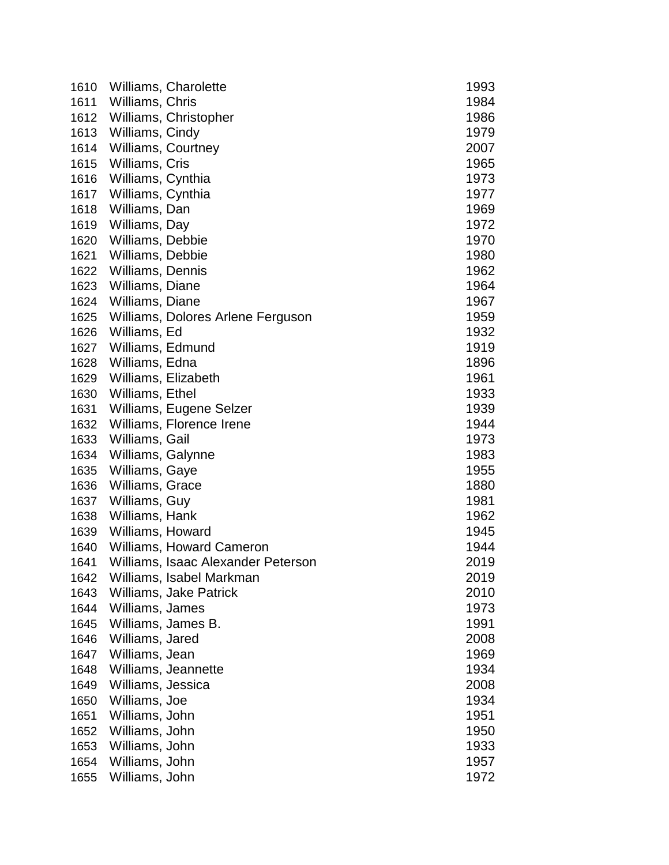| 1610 |                   | Williams, Charolette               | 1993 |
|------|-------------------|------------------------------------|------|
| 1611 | Williams, Chris   |                                    | 1984 |
| 1612 |                   | Williams, Christopher              | 1986 |
| 1613 | Williams, Cindy   |                                    | 1979 |
| 1614 |                   | Williams, Courtney                 | 2007 |
| 1615 | Williams, Cris    |                                    | 1965 |
| 1616 | Williams, Cynthia |                                    | 1973 |
| 1617 | Williams, Cynthia |                                    | 1977 |
| 1618 | Williams, Dan     |                                    | 1969 |
| 1619 | Williams, Day     |                                    | 1972 |
| 1620 | Williams, Debbie  |                                    | 1970 |
| 1621 | Williams, Debbie  |                                    | 1980 |
| 1622 | Williams, Dennis  |                                    | 1962 |
| 1623 | Williams, Diane   |                                    | 1964 |
| 1624 | Williams, Diane   |                                    | 1967 |
| 1625 |                   | Williams, Dolores Arlene Ferguson  | 1959 |
| 1626 | Williams, Ed      |                                    | 1932 |
| 1627 | Williams, Edmund  |                                    | 1919 |
| 1628 | Williams, Edna    |                                    | 1896 |
| 1629 |                   | Williams, Elizabeth                | 1961 |
| 1630 | Williams, Ethel   |                                    | 1933 |
| 1631 |                   | Williams, Eugene Selzer            | 1939 |
| 1632 |                   | Williams, Florence Irene           | 1944 |
| 1633 | Williams, Gail    |                                    | 1973 |
| 1634 | Williams, Galynne |                                    | 1983 |
| 1635 | Williams, Gaye    |                                    | 1955 |
| 1636 | Williams, Grace   |                                    | 1880 |
| 1637 | Williams, Guy     |                                    | 1981 |
| 1638 | Williams, Hank    |                                    | 1962 |
| 1639 | Williams, Howard  |                                    | 1945 |
| 1640 |                   | Williams, Howard Cameron           | 1944 |
| 1641 |                   | Williams, Isaac Alexander Peterson | 2019 |
| 1642 |                   | Williams, Isabel Markman           | 2019 |
| 1643 |                   | Williams, Jake Patrick             | 2010 |
| 1644 | Williams, James   |                                    | 1973 |
| 1645 |                   | Williams, James B.                 | 1991 |
| 1646 | Williams, Jared   |                                    | 2008 |
| 1647 | Williams, Jean    |                                    | 1969 |
| 1648 |                   | Williams, Jeannette                | 1934 |
| 1649 | Williams, Jessica |                                    | 2008 |
| 1650 | Williams, Joe     |                                    | 1934 |
| 1651 | Williams, John    |                                    | 1951 |
| 1652 | Williams, John    |                                    | 1950 |
| 1653 | Williams, John    |                                    | 1933 |
| 1654 | Williams, John    |                                    | 1957 |
| 1655 | Williams, John    |                                    | 1972 |
|      |                   |                                    |      |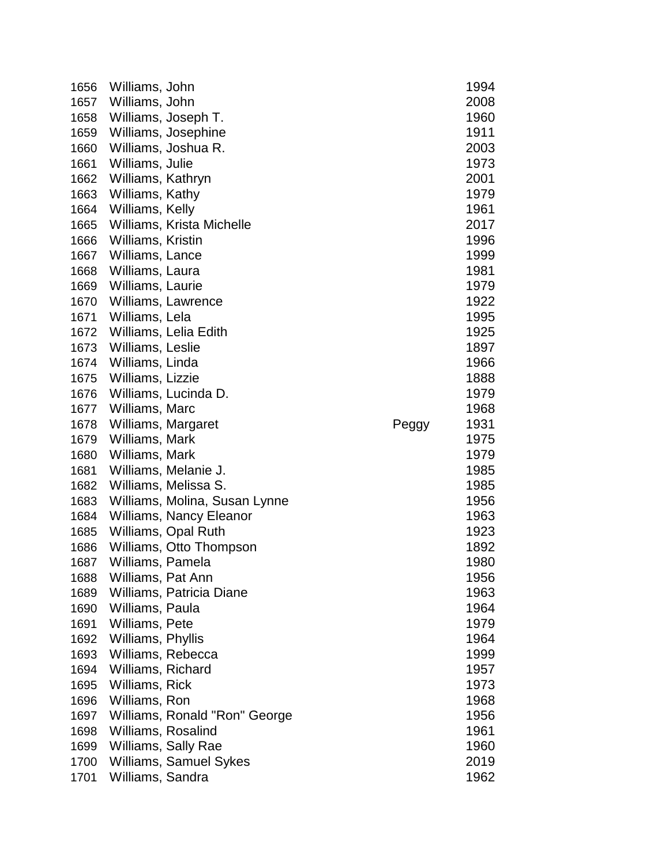| 1656 | Williams, John      |                               |       | 1994 |
|------|---------------------|-------------------------------|-------|------|
| 1657 | Williams, John      |                               |       | 2008 |
| 1658 | Williams, Joseph T. |                               |       | 1960 |
| 1659 |                     | Williams, Josephine           |       | 1911 |
| 1660 |                     | Williams, Joshua R.           |       | 2003 |
| 1661 | Williams, Julie     |                               |       | 1973 |
| 1662 | Williams, Kathryn   |                               |       | 2001 |
| 1663 | Williams, Kathy     |                               |       | 1979 |
| 1664 | Williams, Kelly     |                               |       | 1961 |
| 1665 |                     | Williams, Krista Michelle     |       | 2017 |
| 1666 | Williams, Kristin   |                               |       | 1996 |
| 1667 | Williams, Lance     |                               |       | 1999 |
| 1668 | Williams, Laura     |                               |       | 1981 |
| 1669 | Williams, Laurie    |                               |       | 1979 |
| 1670 | Williams, Lawrence  |                               |       | 1922 |
| 1671 | Williams, Lela      |                               |       | 1995 |
| 1672 |                     | Williams, Lelia Edith         |       | 1925 |
| 1673 | Williams, Leslie    |                               |       | 1897 |
| 1674 | Williams, Linda     |                               |       | 1966 |
| 1675 | Williams, Lizzie    |                               |       | 1888 |
| 1676 |                     | Williams, Lucinda D.          |       | 1979 |
| 1677 | Williams, Marc      |                               |       | 1968 |
| 1678 | Williams, Margaret  |                               | Peggy | 1931 |
| 1679 | Williams, Mark      |                               |       | 1975 |
| 1680 | Williams, Mark      |                               |       | 1979 |
| 1681 |                     | Williams, Melanie J.          |       | 1985 |
| 1682 |                     | Williams, Melissa S.          |       | 1985 |
| 1683 |                     | Williams, Molina, Susan Lynne |       | 1956 |
| 1684 |                     | Williams, Nancy Eleanor       |       | 1963 |
| 1685 |                     | Williams, Opal Ruth           |       | 1923 |
| 1686 |                     | Williams, Otto Thompson       |       | 1892 |
| 1687 | Williams, Pamela    |                               |       | 1980 |
| 1688 | Williams, Pat Ann   |                               |       | 1956 |
| 1689 |                     | Williams, Patricia Diane      |       | 1963 |
| 1690 | Williams, Paula     |                               |       | 1964 |
| 1691 | Williams, Pete      |                               |       | 1979 |
| 1692 | Williams, Phyllis   |                               |       | 1964 |
| 1693 | Williams, Rebecca   |                               |       | 1999 |
| 1694 | Williams, Richard   |                               |       | 1957 |
| 1695 | Williams, Rick      |                               |       | 1973 |
| 1696 | Williams, Ron       |                               |       | 1968 |
| 1697 |                     | Williams, Ronald "Ron" George |       | 1956 |
| 1698 | Williams, Rosalind  |                               |       | 1961 |
| 1699 | Williams, Sally Rae |                               |       | 1960 |
| 1700 |                     | Williams, Samuel Sykes        |       | 2019 |
| 1701 | Williams, Sandra    |                               |       | 1962 |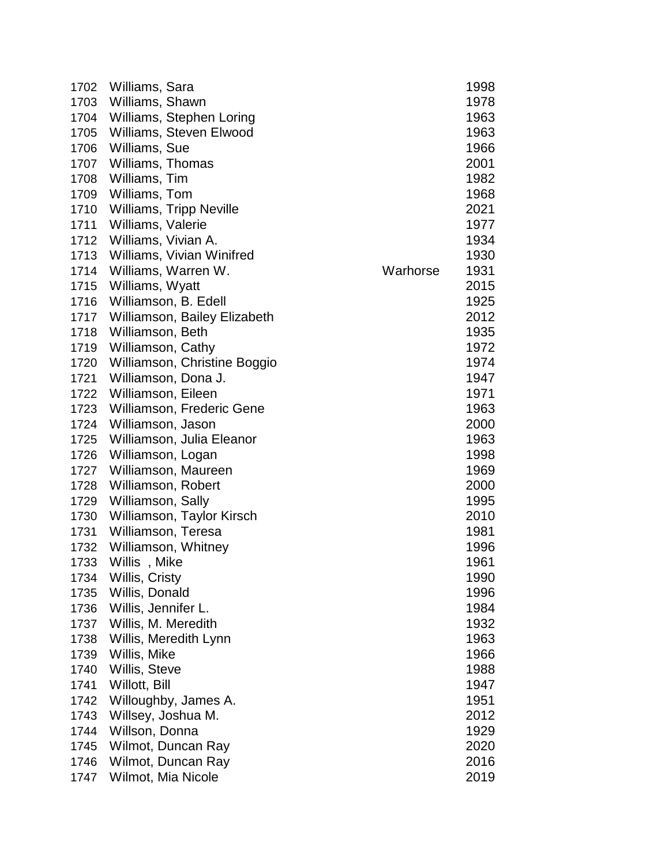| 1702 | Williams, Sara               |          | 1998 |
|------|------------------------------|----------|------|
| 1703 | Williams, Shawn              |          | 1978 |
| 1704 | Williams, Stephen Loring     |          | 1963 |
| 1705 | Williams, Steven Elwood      |          | 1963 |
| 1706 | Williams, Sue                |          | 1966 |
| 1707 | Williams, Thomas             |          | 2001 |
| 1708 | Williams, Tim                |          | 1982 |
| 1709 | Williams, Tom                |          | 1968 |
| 1710 | Williams, Tripp Neville      |          | 2021 |
| 1711 | Williams, Valerie            |          | 1977 |
| 1712 | Williams, Vivian A.          |          | 1934 |
| 1713 | Williams, Vivian Winifred    |          | 1930 |
| 1714 | Williams, Warren W.          | Warhorse | 1931 |
| 1715 | Williams, Wyatt              |          | 2015 |
| 1716 | Williamson, B. Edell         |          | 1925 |
| 1717 | Williamson, Bailey Elizabeth |          | 2012 |
| 1718 | Williamson, Beth             |          | 1935 |
| 1719 | Williamson, Cathy            |          | 1972 |
| 1720 | Williamson, Christine Boggio |          | 1974 |
| 1721 | Williamson, Dona J.          |          | 1947 |
| 1722 | Williamson, Eileen           |          | 1971 |
| 1723 | Williamson, Frederic Gene    |          | 1963 |
| 1724 | Williamson, Jason            |          | 2000 |
| 1725 | Williamson, Julia Eleanor    |          | 1963 |
| 1726 | Williamson, Logan            |          | 1998 |
| 1727 | Williamson, Maureen          |          | 1969 |
| 1728 | Williamson, Robert           |          | 2000 |
| 1729 | Williamson, Sally            |          | 1995 |
| 1730 | Williamson, Taylor Kirsch    |          | 2010 |
| 1731 | Williamson, Teresa           |          | 1981 |
| 1732 | Williamson, Whitney          |          | 1996 |
| 1733 | Willis, Mike                 |          | 1961 |
| 1734 | Willis, Cristy               |          | 1990 |
| 1735 | Willis, Donald               |          | 1996 |
| 1736 | Willis, Jennifer L.          |          | 1984 |
| 1737 | Willis, M. Meredith          |          | 1932 |
| 1738 | Willis, Meredith Lynn        |          | 1963 |
| 1739 | Willis, Mike                 |          | 1966 |
| 1740 | Willis, Steve                |          | 1988 |
| 1741 | Willott, Bill                |          | 1947 |
| 1742 | Willoughby, James A.         |          | 1951 |
| 1743 | Willsey, Joshua M.           |          | 2012 |
| 1744 | Willson, Donna               |          | 1929 |
| 1745 | Wilmot, Duncan Ray           |          | 2020 |
| 1746 | Wilmot, Duncan Ray           |          | 2016 |
|      |                              |          |      |
| 1747 | Wilmot, Mia Nicole           |          | 2019 |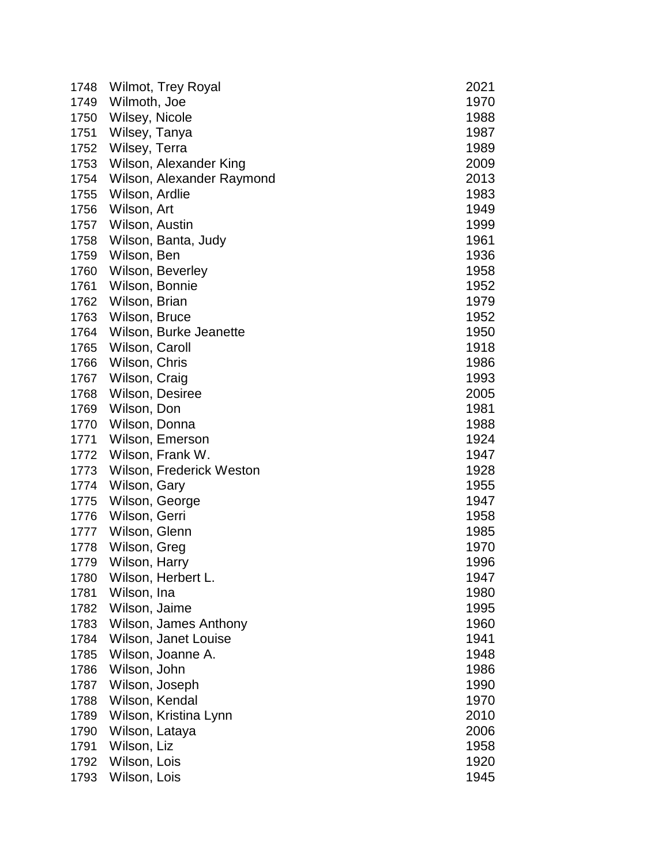| 1748 | <b>Wilmot, Trey Royal</b>    | 2021         |
|------|------------------------------|--------------|
| 1749 | Wilmoth, Joe                 | 1970         |
| 1750 | Wilsey, Nicole               | 1988         |
| 1751 | Wilsey, Tanya                | 1987         |
| 1752 | Wilsey, Terra                | 1989         |
| 1753 | Wilson, Alexander King       | 2009         |
| 1754 | Wilson, Alexander Raymond    | 2013         |
| 1755 | Wilson, Ardlie               | 1983         |
| 1756 | Wilson, Art                  | 1949         |
| 1757 | Wilson, Austin               | 1999         |
| 1758 | Wilson, Banta, Judy          | 1961         |
| 1759 | Wilson, Ben                  | 1936         |
| 1760 | Wilson, Beverley             | 1958         |
| 1761 | Wilson, Bonnie               | 1952         |
| 1762 | Wilson, Brian                | 1979         |
| 1763 | Wilson, Bruce                | 1952         |
| 1764 | Wilson, Burke Jeanette       | 1950         |
| 1765 | Wilson, Caroll               | 1918         |
| 1766 | Wilson, Chris                | 1986         |
| 1767 | Wilson, Craig                | 1993         |
| 1768 | Wilson, Desiree              | 2005         |
| 1769 | Wilson, Don                  | 1981         |
| 1770 | Wilson, Donna                | 1988         |
| 1771 | Wilson, Emerson              | 1924         |
| 1772 | Wilson, Frank W.             | 1947         |
| 1773 | Wilson, Frederick Weston     | 1928         |
| 1774 | Wilson, Gary                 | 1955         |
| 1775 | Wilson, George               | 1947         |
| 1776 | Wilson, Gerri                | 1958         |
| 1777 | Wilson, Glenn                | 1985         |
| 1778 | Wilson, Greg                 | 1970         |
| 1779 | Wilson, Harry                | 1996         |
| 1780 | Wilson, Herbert L.           | 1947         |
| 1781 | Wilson, Ina                  | 1980         |
| 1782 | Wilson, Jaime                | 1995         |
| 1783 | Wilson, James Anthony        | 1960         |
| 1784 | Wilson, Janet Louise         | 1941         |
| 1785 | Wilson, Joanne A.            | 1948         |
| 1786 | Wilson, John                 | 1986         |
| 1787 | Wilson, Joseph               | 1990         |
| 1788 | Wilson, Kendal               | 1970         |
| 1789 | Wilson, Kristina Lynn        | 2010         |
| 1790 | Wilson, Lataya               | 2006         |
| 1791 | Wilson, Liz                  | 1958         |
| 1792 | Wilson, Lois<br>Wilson, Lois | 1920<br>1945 |
| 1793 |                              |              |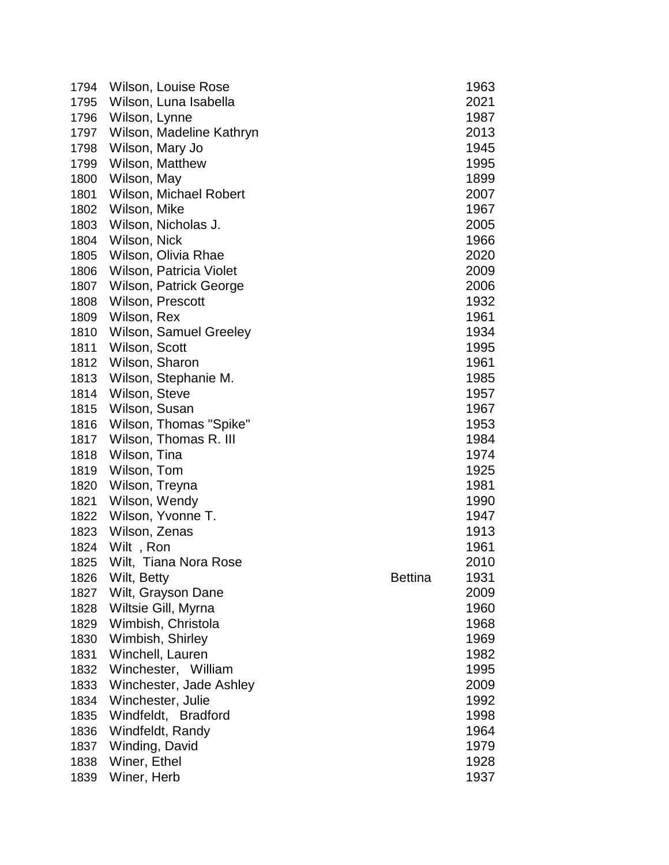| Wilson, Luna Isabella<br>2021<br>1795<br>Wilson, Lynne<br>1987<br>1796<br>1797<br>Wilson, Madeline Kathryn<br>2013<br>Wilson, Mary Jo<br>1798<br>1945<br>Wilson, Matthew<br>1995<br>1799<br>Wilson, May<br>1899<br>1800<br>1801<br>Wilson, Michael Robert<br>2007<br>Wilson, Mike<br>1967<br>1802<br>Wilson, Nicholas J.<br>1803<br>2005<br>1804<br>Wilson, Nick<br>1966<br>Wilson, Olivia Rhae<br>2020<br>1805<br>Wilson, Patricia Violet<br>2009<br>1806<br>2006<br>1807<br>Wilson, Patrick George<br>1932<br>1808<br>Wilson, Prescott<br>1961<br>1809<br>Wilson, Rex<br><b>Wilson, Samuel Greeley</b><br>1810<br>1934<br>Wilson, Scott<br>1811<br>1995<br>Wilson, Sharon<br>1961<br>1812<br>Wilson, Stephanie M.<br>1813<br>1985<br>Wilson, Steve<br>1957<br>1814<br>Wilson, Susan<br>1967<br>1815<br>Wilson, Thomas "Spike"<br>1816<br>1953<br>Wilson, Thomas R. III<br>1984<br>1817<br>1818<br>Wilson, Tina<br>1974<br>Wilson, Tom<br>1925<br>1819<br>1820<br>Wilson, Treyna<br>1981<br>Wilson, Wendy<br>1821<br>1990<br>Wilson, Yvonne T.<br>1822<br>1947<br>Wilson, Zenas<br>1913<br>1823<br>Wilt, Ron<br>1961<br>1824<br>1825<br>Wilt, Tiana Nora Rose<br>2010<br><b>Bettina</b><br>1931<br>1826<br>Wilt, Betty<br>Wilt, Grayson Dane<br>1827<br>2009<br>Wiltsie Gill, Myrna<br>1960<br>1828<br>Wimbish, Christola<br>1829<br>1968<br>Wimbish, Shirley<br>1830<br>1969<br>Winchell, Lauren<br>1982<br>1831<br>Winchester, William<br>1832<br>1995<br>2009<br>1833<br>Winchester, Jade Ashley<br>Winchester, Julie<br>1992<br>1834<br>1835<br>Windfeldt, Bradford<br>1998<br>1836<br>Windfeldt, Randy<br>1964<br>Winding, David<br>1979<br>1837<br>Winer, Ethel<br>1838<br>1928<br>Winer, Herb<br>1839<br>1937 | 1794 | Wilson, Louise Rose | 1963 |
|-----------------------------------------------------------------------------------------------------------------------------------------------------------------------------------------------------------------------------------------------------------------------------------------------------------------------------------------------------------------------------------------------------------------------------------------------------------------------------------------------------------------------------------------------------------------------------------------------------------------------------------------------------------------------------------------------------------------------------------------------------------------------------------------------------------------------------------------------------------------------------------------------------------------------------------------------------------------------------------------------------------------------------------------------------------------------------------------------------------------------------------------------------------------------------------------------------------------------------------------------------------------------------------------------------------------------------------------------------------------------------------------------------------------------------------------------------------------------------------------------------------------------------------------------------------------------------------------------------------------------------------------------------------------------------------------------------------------------|------|---------------------|------|
|                                                                                                                                                                                                                                                                                                                                                                                                                                                                                                                                                                                                                                                                                                                                                                                                                                                                                                                                                                                                                                                                                                                                                                                                                                                                                                                                                                                                                                                                                                                                                                                                                                                                                                                       |      |                     |      |
|                                                                                                                                                                                                                                                                                                                                                                                                                                                                                                                                                                                                                                                                                                                                                                                                                                                                                                                                                                                                                                                                                                                                                                                                                                                                                                                                                                                                                                                                                                                                                                                                                                                                                                                       |      |                     |      |
|                                                                                                                                                                                                                                                                                                                                                                                                                                                                                                                                                                                                                                                                                                                                                                                                                                                                                                                                                                                                                                                                                                                                                                                                                                                                                                                                                                                                                                                                                                                                                                                                                                                                                                                       |      |                     |      |
|                                                                                                                                                                                                                                                                                                                                                                                                                                                                                                                                                                                                                                                                                                                                                                                                                                                                                                                                                                                                                                                                                                                                                                                                                                                                                                                                                                                                                                                                                                                                                                                                                                                                                                                       |      |                     |      |
|                                                                                                                                                                                                                                                                                                                                                                                                                                                                                                                                                                                                                                                                                                                                                                                                                                                                                                                                                                                                                                                                                                                                                                                                                                                                                                                                                                                                                                                                                                                                                                                                                                                                                                                       |      |                     |      |
|                                                                                                                                                                                                                                                                                                                                                                                                                                                                                                                                                                                                                                                                                                                                                                                                                                                                                                                                                                                                                                                                                                                                                                                                                                                                                                                                                                                                                                                                                                                                                                                                                                                                                                                       |      |                     |      |
|                                                                                                                                                                                                                                                                                                                                                                                                                                                                                                                                                                                                                                                                                                                                                                                                                                                                                                                                                                                                                                                                                                                                                                                                                                                                                                                                                                                                                                                                                                                                                                                                                                                                                                                       |      |                     |      |
|                                                                                                                                                                                                                                                                                                                                                                                                                                                                                                                                                                                                                                                                                                                                                                                                                                                                                                                                                                                                                                                                                                                                                                                                                                                                                                                                                                                                                                                                                                                                                                                                                                                                                                                       |      |                     |      |
|                                                                                                                                                                                                                                                                                                                                                                                                                                                                                                                                                                                                                                                                                                                                                                                                                                                                                                                                                                                                                                                                                                                                                                                                                                                                                                                                                                                                                                                                                                                                                                                                                                                                                                                       |      |                     |      |
|                                                                                                                                                                                                                                                                                                                                                                                                                                                                                                                                                                                                                                                                                                                                                                                                                                                                                                                                                                                                                                                                                                                                                                                                                                                                                                                                                                                                                                                                                                                                                                                                                                                                                                                       |      |                     |      |
|                                                                                                                                                                                                                                                                                                                                                                                                                                                                                                                                                                                                                                                                                                                                                                                                                                                                                                                                                                                                                                                                                                                                                                                                                                                                                                                                                                                                                                                                                                                                                                                                                                                                                                                       |      |                     |      |
|                                                                                                                                                                                                                                                                                                                                                                                                                                                                                                                                                                                                                                                                                                                                                                                                                                                                                                                                                                                                                                                                                                                                                                                                                                                                                                                                                                                                                                                                                                                                                                                                                                                                                                                       |      |                     |      |
|                                                                                                                                                                                                                                                                                                                                                                                                                                                                                                                                                                                                                                                                                                                                                                                                                                                                                                                                                                                                                                                                                                                                                                                                                                                                                                                                                                                                                                                                                                                                                                                                                                                                                                                       |      |                     |      |
|                                                                                                                                                                                                                                                                                                                                                                                                                                                                                                                                                                                                                                                                                                                                                                                                                                                                                                                                                                                                                                                                                                                                                                                                                                                                                                                                                                                                                                                                                                                                                                                                                                                                                                                       |      |                     |      |
|                                                                                                                                                                                                                                                                                                                                                                                                                                                                                                                                                                                                                                                                                                                                                                                                                                                                                                                                                                                                                                                                                                                                                                                                                                                                                                                                                                                                                                                                                                                                                                                                                                                                                                                       |      |                     |      |
|                                                                                                                                                                                                                                                                                                                                                                                                                                                                                                                                                                                                                                                                                                                                                                                                                                                                                                                                                                                                                                                                                                                                                                                                                                                                                                                                                                                                                                                                                                                                                                                                                                                                                                                       |      |                     |      |
|                                                                                                                                                                                                                                                                                                                                                                                                                                                                                                                                                                                                                                                                                                                                                                                                                                                                                                                                                                                                                                                                                                                                                                                                                                                                                                                                                                                                                                                                                                                                                                                                                                                                                                                       |      |                     |      |
|                                                                                                                                                                                                                                                                                                                                                                                                                                                                                                                                                                                                                                                                                                                                                                                                                                                                                                                                                                                                                                                                                                                                                                                                                                                                                                                                                                                                                                                                                                                                                                                                                                                                                                                       |      |                     |      |
|                                                                                                                                                                                                                                                                                                                                                                                                                                                                                                                                                                                                                                                                                                                                                                                                                                                                                                                                                                                                                                                                                                                                                                                                                                                                                                                                                                                                                                                                                                                                                                                                                                                                                                                       |      |                     |      |
|                                                                                                                                                                                                                                                                                                                                                                                                                                                                                                                                                                                                                                                                                                                                                                                                                                                                                                                                                                                                                                                                                                                                                                                                                                                                                                                                                                                                                                                                                                                                                                                                                                                                                                                       |      |                     |      |
|                                                                                                                                                                                                                                                                                                                                                                                                                                                                                                                                                                                                                                                                                                                                                                                                                                                                                                                                                                                                                                                                                                                                                                                                                                                                                                                                                                                                                                                                                                                                                                                                                                                                                                                       |      |                     |      |
|                                                                                                                                                                                                                                                                                                                                                                                                                                                                                                                                                                                                                                                                                                                                                                                                                                                                                                                                                                                                                                                                                                                                                                                                                                                                                                                                                                                                                                                                                                                                                                                                                                                                                                                       |      |                     |      |
|                                                                                                                                                                                                                                                                                                                                                                                                                                                                                                                                                                                                                                                                                                                                                                                                                                                                                                                                                                                                                                                                                                                                                                                                                                                                                                                                                                                                                                                                                                                                                                                                                                                                                                                       |      |                     |      |
|                                                                                                                                                                                                                                                                                                                                                                                                                                                                                                                                                                                                                                                                                                                                                                                                                                                                                                                                                                                                                                                                                                                                                                                                                                                                                                                                                                                                                                                                                                                                                                                                                                                                                                                       |      |                     |      |
|                                                                                                                                                                                                                                                                                                                                                                                                                                                                                                                                                                                                                                                                                                                                                                                                                                                                                                                                                                                                                                                                                                                                                                                                                                                                                                                                                                                                                                                                                                                                                                                                                                                                                                                       |      |                     |      |
|                                                                                                                                                                                                                                                                                                                                                                                                                                                                                                                                                                                                                                                                                                                                                                                                                                                                                                                                                                                                                                                                                                                                                                                                                                                                                                                                                                                                                                                                                                                                                                                                                                                                                                                       |      |                     |      |
|                                                                                                                                                                                                                                                                                                                                                                                                                                                                                                                                                                                                                                                                                                                                                                                                                                                                                                                                                                                                                                                                                                                                                                                                                                                                                                                                                                                                                                                                                                                                                                                                                                                                                                                       |      |                     |      |
|                                                                                                                                                                                                                                                                                                                                                                                                                                                                                                                                                                                                                                                                                                                                                                                                                                                                                                                                                                                                                                                                                                                                                                                                                                                                                                                                                                                                                                                                                                                                                                                                                                                                                                                       |      |                     |      |
|                                                                                                                                                                                                                                                                                                                                                                                                                                                                                                                                                                                                                                                                                                                                                                                                                                                                                                                                                                                                                                                                                                                                                                                                                                                                                                                                                                                                                                                                                                                                                                                                                                                                                                                       |      |                     |      |
|                                                                                                                                                                                                                                                                                                                                                                                                                                                                                                                                                                                                                                                                                                                                                                                                                                                                                                                                                                                                                                                                                                                                                                                                                                                                                                                                                                                                                                                                                                                                                                                                                                                                                                                       |      |                     |      |
|                                                                                                                                                                                                                                                                                                                                                                                                                                                                                                                                                                                                                                                                                                                                                                                                                                                                                                                                                                                                                                                                                                                                                                                                                                                                                                                                                                                                                                                                                                                                                                                                                                                                                                                       |      |                     |      |
|                                                                                                                                                                                                                                                                                                                                                                                                                                                                                                                                                                                                                                                                                                                                                                                                                                                                                                                                                                                                                                                                                                                                                                                                                                                                                                                                                                                                                                                                                                                                                                                                                                                                                                                       |      |                     |      |
|                                                                                                                                                                                                                                                                                                                                                                                                                                                                                                                                                                                                                                                                                                                                                                                                                                                                                                                                                                                                                                                                                                                                                                                                                                                                                                                                                                                                                                                                                                                                                                                                                                                                                                                       |      |                     |      |
|                                                                                                                                                                                                                                                                                                                                                                                                                                                                                                                                                                                                                                                                                                                                                                                                                                                                                                                                                                                                                                                                                                                                                                                                                                                                                                                                                                                                                                                                                                                                                                                                                                                                                                                       |      |                     |      |
|                                                                                                                                                                                                                                                                                                                                                                                                                                                                                                                                                                                                                                                                                                                                                                                                                                                                                                                                                                                                                                                                                                                                                                                                                                                                                                                                                                                                                                                                                                                                                                                                                                                                                                                       |      |                     |      |
|                                                                                                                                                                                                                                                                                                                                                                                                                                                                                                                                                                                                                                                                                                                                                                                                                                                                                                                                                                                                                                                                                                                                                                                                                                                                                                                                                                                                                                                                                                                                                                                                                                                                                                                       |      |                     |      |
|                                                                                                                                                                                                                                                                                                                                                                                                                                                                                                                                                                                                                                                                                                                                                                                                                                                                                                                                                                                                                                                                                                                                                                                                                                                                                                                                                                                                                                                                                                                                                                                                                                                                                                                       |      |                     |      |
|                                                                                                                                                                                                                                                                                                                                                                                                                                                                                                                                                                                                                                                                                                                                                                                                                                                                                                                                                                                                                                                                                                                                                                                                                                                                                                                                                                                                                                                                                                                                                                                                                                                                                                                       |      |                     |      |
|                                                                                                                                                                                                                                                                                                                                                                                                                                                                                                                                                                                                                                                                                                                                                                                                                                                                                                                                                                                                                                                                                                                                                                                                                                                                                                                                                                                                                                                                                                                                                                                                                                                                                                                       |      |                     |      |
|                                                                                                                                                                                                                                                                                                                                                                                                                                                                                                                                                                                                                                                                                                                                                                                                                                                                                                                                                                                                                                                                                                                                                                                                                                                                                                                                                                                                                                                                                                                                                                                                                                                                                                                       |      |                     |      |
|                                                                                                                                                                                                                                                                                                                                                                                                                                                                                                                                                                                                                                                                                                                                                                                                                                                                                                                                                                                                                                                                                                                                                                                                                                                                                                                                                                                                                                                                                                                                                                                                                                                                                                                       |      |                     |      |
|                                                                                                                                                                                                                                                                                                                                                                                                                                                                                                                                                                                                                                                                                                                                                                                                                                                                                                                                                                                                                                                                                                                                                                                                                                                                                                                                                                                                                                                                                                                                                                                                                                                                                                                       |      |                     |      |
|                                                                                                                                                                                                                                                                                                                                                                                                                                                                                                                                                                                                                                                                                                                                                                                                                                                                                                                                                                                                                                                                                                                                                                                                                                                                                                                                                                                                                                                                                                                                                                                                                                                                                                                       |      |                     |      |
|                                                                                                                                                                                                                                                                                                                                                                                                                                                                                                                                                                                                                                                                                                                                                                                                                                                                                                                                                                                                                                                                                                                                                                                                                                                                                                                                                                                                                                                                                                                                                                                                                                                                                                                       |      |                     |      |
|                                                                                                                                                                                                                                                                                                                                                                                                                                                                                                                                                                                                                                                                                                                                                                                                                                                                                                                                                                                                                                                                                                                                                                                                                                                                                                                                                                                                                                                                                                                                                                                                                                                                                                                       |      |                     |      |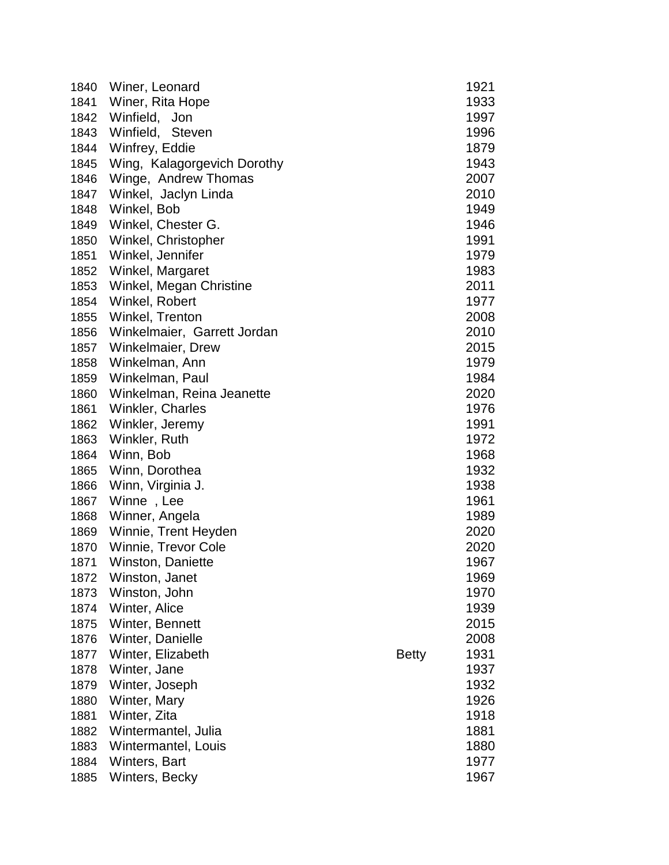| 1840 | Winer, Leonard              |              | 1921 |
|------|-----------------------------|--------------|------|
| 1841 | Winer, Rita Hope            |              | 1933 |
| 1842 | Winfield, Jon               |              | 1997 |
| 1843 | Winfield, Steven            |              | 1996 |
| 1844 | Winfrey, Eddie              |              | 1879 |
| 1845 | Wing, Kalagorgevich Dorothy |              | 1943 |
| 1846 | Winge, Andrew Thomas        |              | 2007 |
| 1847 | Winkel, Jaclyn Linda        |              | 2010 |
| 1848 | Winkel, Bob                 |              | 1949 |
| 1849 | Winkel, Chester G.          |              | 1946 |
| 1850 | Winkel, Christopher         |              | 1991 |
| 1851 | Winkel, Jennifer            |              | 1979 |
| 1852 | Winkel, Margaret            |              | 1983 |
| 1853 | Winkel, Megan Christine     |              | 2011 |
| 1854 | Winkel, Robert              |              | 1977 |
| 1855 | Winkel, Trenton             |              | 2008 |
| 1856 | Winkelmaier, Garrett Jordan |              | 2010 |
| 1857 | Winkelmaier, Drew           |              | 2015 |
| 1858 | Winkelman, Ann              |              | 1979 |
| 1859 | Winkelman, Paul             |              | 1984 |
| 1860 | Winkelman, Reina Jeanette   |              | 2020 |
| 1861 | Winkler, Charles            |              | 1976 |
| 1862 | Winkler, Jeremy             |              | 1991 |
| 1863 | Winkler, Ruth               |              | 1972 |
| 1864 | Winn, Bob                   |              | 1968 |
| 1865 | Winn, Dorothea              |              | 1932 |
| 1866 | Winn, Virginia J.           |              | 1938 |
| 1867 | Winne, Lee                  |              | 1961 |
| 1868 | Winner, Angela              |              | 1989 |
| 1869 | Winnie, Trent Heyden        |              | 2020 |
| 1870 | Winnie, Trevor Cole         |              | 2020 |
| 1871 | Winston, Daniette           |              | 1967 |
| 1872 | Winston, Janet              |              | 1969 |
| 1873 | Winston, John               |              | 1970 |
| 1874 | Winter, Alice               |              | 1939 |
| 1875 | Winter, Bennett             |              | 2015 |
| 1876 | Winter, Danielle            |              | 2008 |
| 1877 | Winter, Elizabeth           | <b>Betty</b> | 1931 |
| 1878 | Winter, Jane                |              | 1937 |
| 1879 | Winter, Joseph              |              | 1932 |
| 1880 | Winter, Mary                |              | 1926 |
| 1881 | Winter, Zita                |              | 1918 |
| 1882 | Wintermantel, Julia         |              | 1881 |
| 1883 | Wintermantel, Louis         |              | 1880 |
| 1884 | Winters, Bart               |              | 1977 |
| 1885 | Winters, Becky              |              | 1967 |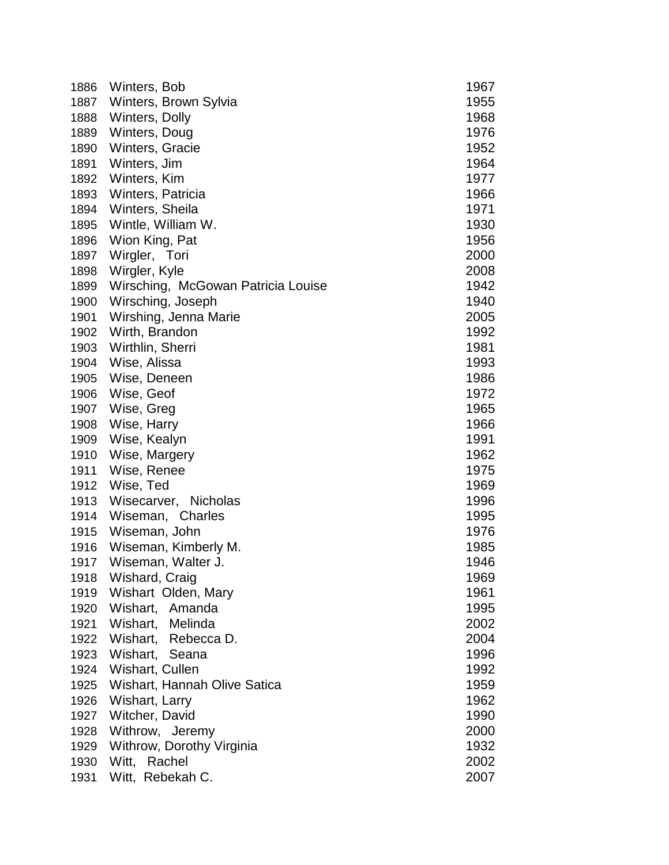| 1886 | Winters, Bob                       | 1967 |
|------|------------------------------------|------|
| 1887 | Winters, Brown Sylvia              | 1955 |
| 1888 | Winters, Dolly                     | 1968 |
| 1889 | Winters, Doug                      | 1976 |
| 1890 | Winters, Gracie                    | 1952 |
| 1891 | Winters, Jim                       | 1964 |
| 1892 | Winters, Kim                       | 1977 |
| 1893 | Winters, Patricia                  | 1966 |
| 1894 | Winters, Sheila                    | 1971 |
| 1895 | Wintle, William W.                 | 1930 |
| 1896 | Wion King, Pat                     | 1956 |
| 1897 | Wirgler, Tori                      | 2000 |
| 1898 | Wirgler, Kyle                      | 2008 |
| 1899 | Wirsching, McGowan Patricia Louise | 1942 |
| 1900 | Wirsching, Joseph                  | 1940 |
| 1901 | Wirshing, Jenna Marie              | 2005 |
| 1902 | Wirth, Brandon                     | 1992 |
| 1903 | Wirthlin, Sherri                   | 1981 |
| 1904 | Wise, Alissa                       | 1993 |
| 1905 | Wise, Deneen                       | 1986 |
| 1906 | Wise, Geof                         | 1972 |
| 1907 | Wise, Greg                         | 1965 |
| 1908 | Wise, Harry                        | 1966 |
| 1909 | Wise, Kealyn                       | 1991 |
| 1910 | Wise, Margery                      | 1962 |
| 1911 | Wise, Renee                        | 1975 |
| 1912 | Wise, Ted                          | 1969 |
| 1913 | Wisecarver, Nicholas               | 1996 |
| 1914 | Wiseman, Charles                   | 1995 |
| 1915 | Wiseman, John                      | 1976 |
| 1916 | Wiseman, Kimberly M.               | 1985 |
| 1917 | Wiseman, Walter J.                 | 1946 |
| 1918 | Wishard, Craig                     | 1969 |
| 1919 | Wishart Olden, Mary                | 1961 |
| 1920 | Wishart, Amanda                    | 1995 |
| 1921 | Wishart, Melinda                   | 2002 |
| 1922 | Wishart, Rebecca D.                | 2004 |
| 1923 | Wishart, Seana                     | 1996 |
| 1924 | Wishart, Cullen                    | 1992 |
| 1925 | Wishart, Hannah Olive Satica       | 1959 |
| 1926 | Wishart, Larry                     | 1962 |
| 1927 | Witcher, David                     | 1990 |
| 1928 | Withrow, Jeremy                    | 2000 |
| 1929 | Withrow, Dorothy Virginia          | 1932 |
| 1930 | Witt, Rachel                       | 2002 |
| 1931 | Witt, Rebekah C.                   | 2007 |
|      |                                    |      |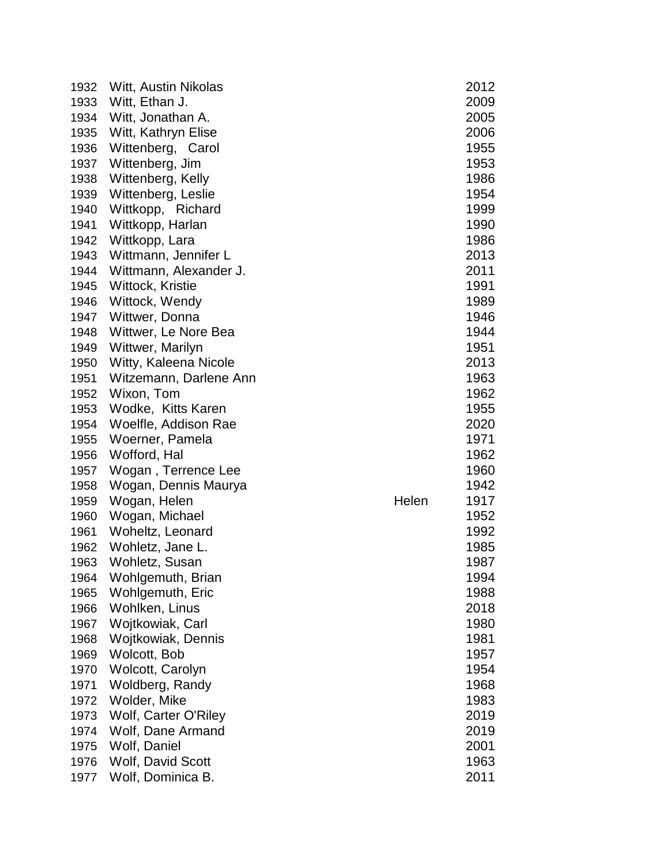| 1932 | Witt, Austin Nikolas   |       | 2012 |
|------|------------------------|-------|------|
| 1933 | Witt, Ethan J.         |       | 2009 |
| 1934 | Witt, Jonathan A.      |       | 2005 |
| 1935 | Witt, Kathryn Elise    |       | 2006 |
| 1936 | Wittenberg, Carol      |       | 1955 |
| 1937 | Wittenberg, Jim        |       | 1953 |
| 1938 | Wittenberg, Kelly      |       | 1986 |
| 1939 | Wittenberg, Leslie     |       | 1954 |
| 1940 | Wittkopp, Richard      |       | 1999 |
| 1941 | Wittkopp, Harlan       |       | 1990 |
| 1942 | Wittkopp, Lara         |       | 1986 |
| 1943 | Wittmann, Jennifer L   |       | 2013 |
| 1944 | Wittmann, Alexander J. |       | 2011 |
| 1945 | Wittock, Kristie       |       | 1991 |
| 1946 | Wittock, Wendy         |       | 1989 |
| 1947 | Wittwer, Donna         |       | 1946 |
| 1948 | Wittwer, Le Nore Bea   |       | 1944 |
| 1949 | Wittwer, Marilyn       |       | 1951 |
| 1950 | Witty, Kaleena Nicole  |       | 2013 |
| 1951 | Witzemann, Darlene Ann |       | 1963 |
| 1952 | Wixon, Tom             |       | 1962 |
| 1953 | Wodke, Kitts Karen     |       | 1955 |
| 1954 | Woelfle, Addison Rae   |       | 2020 |
| 1955 | Woerner, Pamela        |       | 1971 |
| 1956 | Wofford, Hal           |       | 1962 |
| 1957 | Wogan, Terrence Lee    |       | 1960 |
| 1958 | Wogan, Dennis Maurya   |       | 1942 |
| 1959 | Wogan, Helen           | Helen | 1917 |
| 1960 | Wogan, Michael         |       | 1952 |
| 1961 | Woheltz, Leonard       |       | 1992 |
| 1962 | Wohletz, Jane L.       |       | 1985 |
| 1963 | Wohletz, Susan         |       | 1987 |
| 1964 | Wohlgemuth, Brian      |       | 1994 |
| 1965 | Wohlgemuth, Eric       |       | 1988 |
| 1966 | Wohlken, Linus         |       | 2018 |
| 1967 | Wojtkowiak, Carl       |       | 1980 |
| 1968 | Wojtkowiak, Dennis     |       | 1981 |
| 1969 | Wolcott, Bob           |       | 1957 |
| 1970 | Wolcott, Carolyn       |       | 1954 |
| 1971 | Woldberg, Randy        |       | 1968 |
| 1972 | Wolder, Mike           |       | 1983 |
| 1973 | Wolf, Carter O'Riley   |       | 2019 |
| 1974 | Wolf, Dane Armand      |       | 2019 |
| 1975 | Wolf, Daniel           |       | 2001 |
| 1976 | Wolf, David Scott      |       | 1963 |
| 1977 | Wolf, Dominica B.      |       | 2011 |
|      |                        |       |      |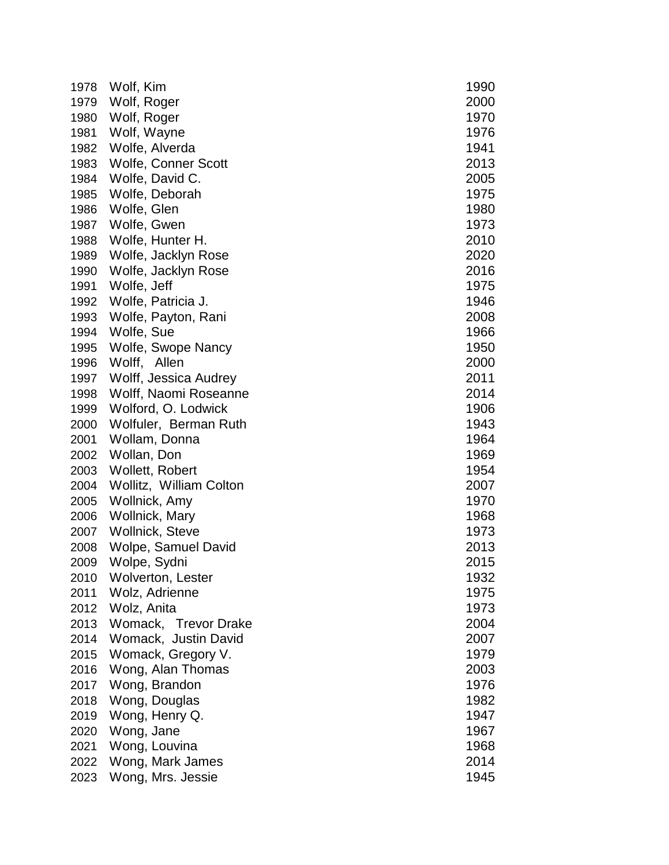| 1978 | Wolf, Kim                  | 1990 |
|------|----------------------------|------|
| 1979 | Wolf, Roger                | 2000 |
| 1980 | Wolf, Roger                | 1970 |
| 1981 | Wolf, Wayne                | 1976 |
| 1982 | Wolfe, Alverda             | 1941 |
| 1983 | Wolfe, Conner Scott        | 2013 |
| 1984 | Wolfe, David C.            | 2005 |
| 1985 | Wolfe, Deborah             | 1975 |
| 1986 | Wolfe, Glen                | 1980 |
| 1987 | Wolfe, Gwen                | 1973 |
| 1988 | Wolfe, Hunter H.           | 2010 |
| 1989 | Wolfe, Jacklyn Rose        | 2020 |
| 1990 | Wolfe, Jacklyn Rose        | 2016 |
| 1991 | Wolfe, Jeff                | 1975 |
| 1992 | Wolfe, Patricia J.         | 1946 |
| 1993 | Wolfe, Payton, Rani        | 2008 |
| 1994 | Wolfe, Sue                 | 1966 |
| 1995 | Wolfe, Swope Nancy         | 1950 |
| 1996 | Wolff, Allen               | 2000 |
| 1997 | Wolff, Jessica Audrey      | 2011 |
| 1998 | Wolff, Naomi Roseanne      | 2014 |
| 1999 | Wolford, O. Lodwick        | 1906 |
| 2000 | Wolfuler, Berman Ruth      | 1943 |
| 2001 | Wollam, Donna              | 1964 |
| 2002 | Wollan, Don                | 1969 |
| 2003 | Wollett, Robert            | 1954 |
| 2004 | Wollitz, William Colton    | 2007 |
| 2005 | Wollnick, Amy              | 1970 |
| 2006 | Wollnick, Mary             | 1968 |
| 2007 | Wollnick, Steve            | 1973 |
| 2008 | <b>Wolpe, Samuel David</b> | 2013 |
| 2009 | Wolpe, Sydni               | 2015 |
| 2010 | Wolverton, Lester          | 1932 |
| 2011 | Wolz, Adrienne             | 1975 |
| 2012 | Wolz, Anita                | 1973 |
| 2013 | Womack, Trevor Drake       | 2004 |
| 2014 | Womack, Justin David       | 2007 |
| 2015 | Womack, Gregory V.         | 1979 |
| 2016 | Wong, Alan Thomas          | 2003 |
| 2017 | Wong, Brandon              | 1976 |
| 2018 | Wong, Douglas              | 1982 |
| 2019 | Wong, Henry Q.             | 1947 |
| 2020 | Wong, Jane                 | 1967 |
| 2021 | Wong, Louvina              | 1968 |
| 2022 | Wong, Mark James           | 2014 |
| 2023 | Wong, Mrs. Jessie          | 1945 |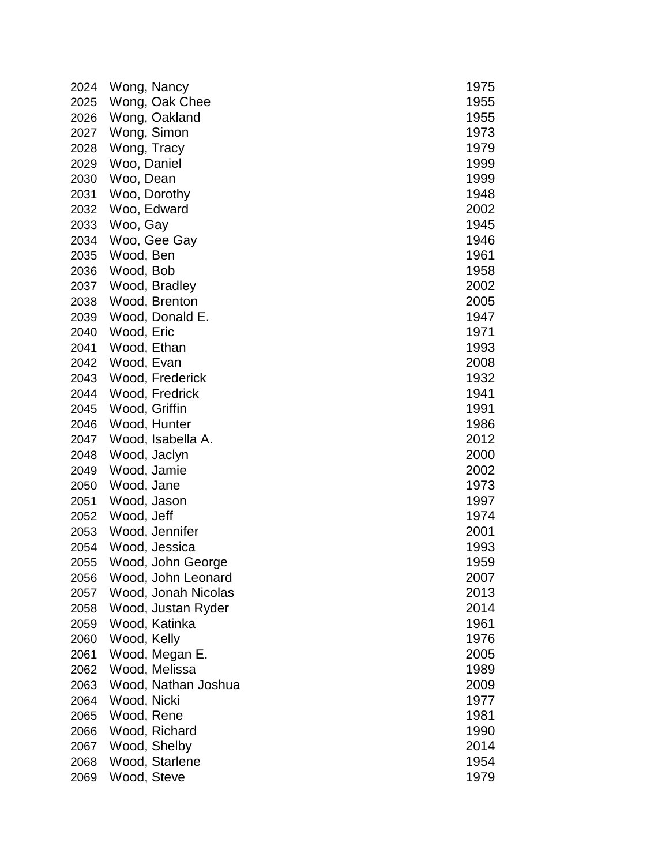| 2024 | Wong, Nancy         | 1975 |
|------|---------------------|------|
| 2025 | Wong, Oak Chee      | 1955 |
| 2026 | Wong, Oakland       | 1955 |
| 2027 | Wong, Simon         | 1973 |
| 2028 | Wong, Tracy         | 1979 |
| 2029 | Woo, Daniel         | 1999 |
| 2030 | Woo, Dean           | 1999 |
| 2031 | Woo, Dorothy        | 1948 |
| 2032 | Woo, Edward         | 2002 |
| 2033 | Woo, Gay            | 1945 |
| 2034 | Woo, Gee Gay        | 1946 |
| 2035 | Wood, Ben           | 1961 |
| 2036 | Wood, Bob           | 1958 |
| 2037 | Wood, Bradley       | 2002 |
| 2038 | Wood, Brenton       | 2005 |
| 2039 | Wood, Donald E.     | 1947 |
| 2040 | Wood, Eric          | 1971 |
| 2041 | Wood, Ethan         | 1993 |
| 2042 | Wood, Evan          | 2008 |
| 2043 | Wood, Frederick     | 1932 |
| 2044 | Wood, Fredrick      | 1941 |
| 2045 | Wood, Griffin       | 1991 |
| 2046 | Wood, Hunter        | 1986 |
| 2047 | Wood, Isabella A.   | 2012 |
| 2048 | Wood, Jaclyn        | 2000 |
| 2049 | Wood, Jamie         | 2002 |
| 2050 | Wood, Jane          | 1973 |
| 2051 | Wood, Jason         | 1997 |
| 2052 | Wood, Jeff          | 1974 |
| 2053 | Wood, Jennifer      | 2001 |
| 2054 | Wood, Jessica       | 1993 |
| 2055 | Wood, John George   | 1959 |
| 2056 | Wood, John Leonard  | 2007 |
| 2057 | Wood, Jonah Nicolas | 2013 |
| 2058 | Wood, Justan Ryder  | 2014 |
| 2059 | Wood, Katinka       | 1961 |
| 2060 | Wood, Kelly         | 1976 |
| 2061 | Wood, Megan E.      | 2005 |
| 2062 | Wood, Melissa       | 1989 |
| 2063 | Wood, Nathan Joshua | 2009 |
| 2064 | Wood, Nicki         | 1977 |
| 2065 | Wood, Rene          | 1981 |
| 2066 | Wood, Richard       | 1990 |
| 2067 | Wood, Shelby        | 2014 |
| 2068 | Wood, Starlene      | 1954 |
| 2069 | Wood, Steve         | 1979 |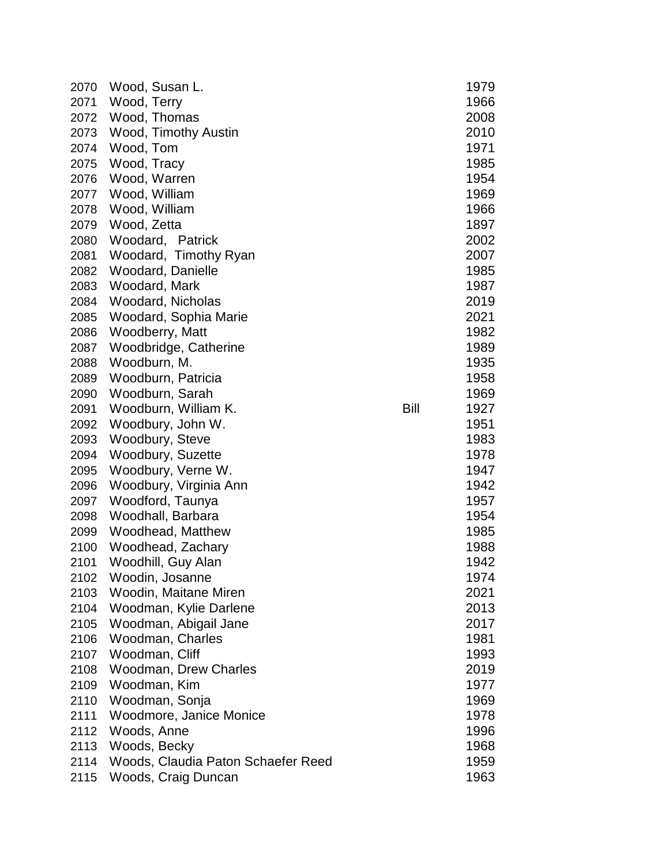| 2070 | Wood, Susan L.                     |      | 1979 |
|------|------------------------------------|------|------|
| 2071 | Wood, Terry                        |      | 1966 |
| 2072 | Wood, Thomas                       |      | 2008 |
| 2073 | <b>Wood, Timothy Austin</b>        |      | 2010 |
| 2074 | Wood, Tom                          |      | 1971 |
| 2075 | Wood, Tracy                        |      | 1985 |
| 2076 | Wood, Warren                       |      | 1954 |
| 2077 | Wood, William                      |      | 1969 |
| 2078 | Wood, William                      |      | 1966 |
| 2079 | Wood, Zetta                        |      | 1897 |
| 2080 | Woodard, Patrick                   |      | 2002 |
| 2081 | Woodard, Timothy Ryan              |      | 2007 |
| 2082 | Woodard, Danielle                  |      | 1985 |
| 2083 | Woodard, Mark                      |      | 1987 |
| 2084 | Woodard, Nicholas                  |      | 2019 |
| 2085 | Woodard, Sophia Marie              |      | 2021 |
| 2086 | Woodberry, Matt                    |      | 1982 |
| 2087 | Woodbridge, Catherine              |      | 1989 |
| 2088 | Woodburn, M.                       |      | 1935 |
| 2089 | Woodburn, Patricia                 |      | 1958 |
| 2090 | Woodburn, Sarah                    |      | 1969 |
| 2091 | Woodburn, William K.               | Bill | 1927 |
| 2092 | Woodbury, John W.                  |      | 1951 |
| 2093 | Woodbury, Steve                    |      | 1983 |
| 2094 | Woodbury, Suzette                  |      | 1978 |
| 2095 | Woodbury, Verne W.                 |      | 1947 |
| 2096 | Woodbury, Virginia Ann             |      | 1942 |
| 2097 | Woodford, Taunya                   |      | 1957 |
| 2098 | Woodhall, Barbara                  |      | 1954 |
| 2099 | Woodhead, Matthew                  |      | 1985 |
| 2100 | Woodhead, Zachary                  |      | 1988 |
| 2101 | Woodhill, Guy Alan                 |      | 1942 |
| 2102 | Woodin, Josanne                    |      | 1974 |
| 2103 | Woodin, Maitane Miren              |      | 2021 |
| 2104 | Woodman, Kylie Darlene             |      | 2013 |
| 2105 | Woodman, Abigail Jane              |      | 2017 |
| 2106 | Woodman, Charles                   |      | 1981 |
| 2107 | Woodman, Cliff                     |      | 1993 |
| 2108 | <b>Woodman, Drew Charles</b>       |      | 2019 |
| 2109 | Woodman, Kim                       |      | 1977 |
| 2110 | Woodman, Sonja                     |      | 1969 |
| 2111 | Woodmore, Janice Monice            |      | 1978 |
| 2112 | Woods, Anne                        |      | 1996 |
| 2113 | Woods, Becky                       |      | 1968 |
| 2114 | Woods, Claudia Paton Schaefer Reed |      | 1959 |
| 2115 | Woods, Craig Duncan                |      | 1963 |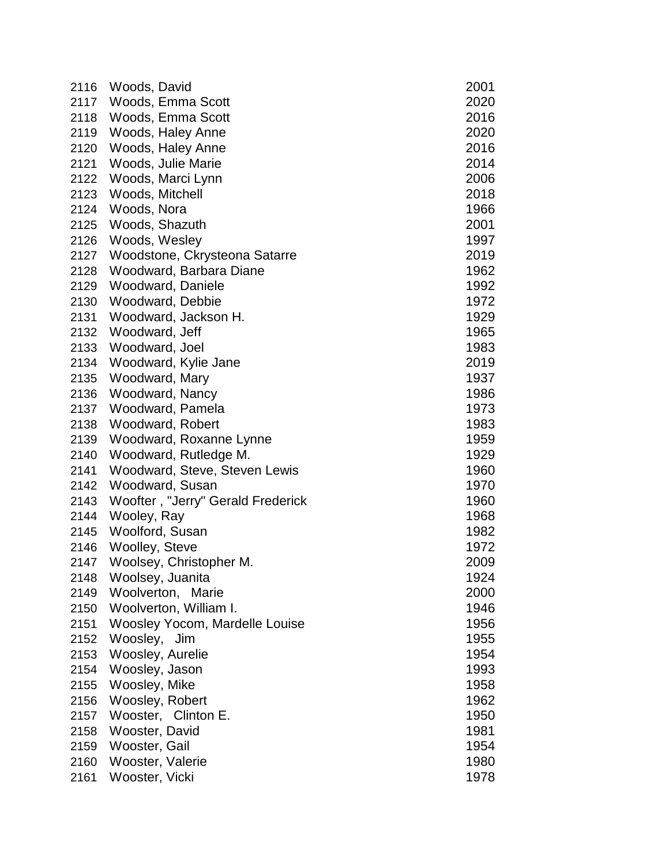| 2116 | Woods, David                      | 2001 |
|------|-----------------------------------|------|
| 2117 | Woods, Emma Scott                 | 2020 |
| 2118 | Woods, Emma Scott                 | 2016 |
| 2119 | Woods, Haley Anne                 | 2020 |
| 2120 | Woods, Haley Anne                 | 2016 |
| 2121 | Woods, Julie Marie                | 2014 |
| 2122 | Woods, Marci Lynn                 | 2006 |
| 2123 | Woods, Mitchell                   | 2018 |
| 2124 | Woods, Nora                       | 1966 |
| 2125 | Woods, Shazuth                    | 2001 |
| 2126 | Woods, Wesley                     | 1997 |
| 2127 | Woodstone, Ckrysteona Satarre     | 2019 |
| 2128 | Woodward, Barbara Diane           | 1962 |
| 2129 | Woodward, Daniele                 | 1992 |
| 2130 | Woodward, Debbie                  | 1972 |
| 2131 | Woodward, Jackson H.              | 1929 |
| 2132 | Woodward, Jeff                    | 1965 |
| 2133 | Woodward, Joel                    | 1983 |
| 2134 | Woodward, Kylie Jane              | 2019 |
| 2135 | Woodward, Mary                    | 1937 |
| 2136 | Woodward, Nancy                   | 1986 |
| 2137 | Woodward, Pamela                  | 1973 |
| 2138 | Woodward, Robert                  | 1983 |
| 2139 | Woodward, Roxanne Lynne           | 1959 |
| 2140 | Woodward, Rutledge M.             | 1929 |
| 2141 | Woodward, Steve, Steven Lewis     | 1960 |
| 2142 | Woodward, Susan                   | 1970 |
| 2143 | Woofter, "Jerry" Gerald Frederick | 1960 |
| 2144 | Wooley, Ray                       | 1968 |
| 2145 | Woolford, Susan                   | 1982 |
| 2146 | <b>Woolley, Steve</b>             | 1972 |
| 2147 | Woolsey, Christopher M.           | 2009 |
| 2148 | Woolsey, Juanita                  | 1924 |
| 2149 | Woolverton, Marie                 | 2000 |
| 2150 | Woolverton, William I.            | 1946 |
| 2151 | Woosley Yocom, Mardelle Louise    | 1956 |
| 2152 | Woosley, Jim                      | 1955 |
| 2153 | Woosley, Aurelie                  | 1954 |
| 2154 | Woosley, Jason                    | 1993 |
| 2155 | Woosley, Mike                     | 1958 |
| 2156 | Woosley, Robert                   | 1962 |
| 2157 | Wooster, Clinton E.               | 1950 |
| 2158 | Wooster, David                    | 1981 |
| 2159 | Wooster, Gail                     | 1954 |
| 2160 | Wooster, Valerie                  | 1980 |
| 2161 | Wooster, Vicki                    | 1978 |
|      |                                   |      |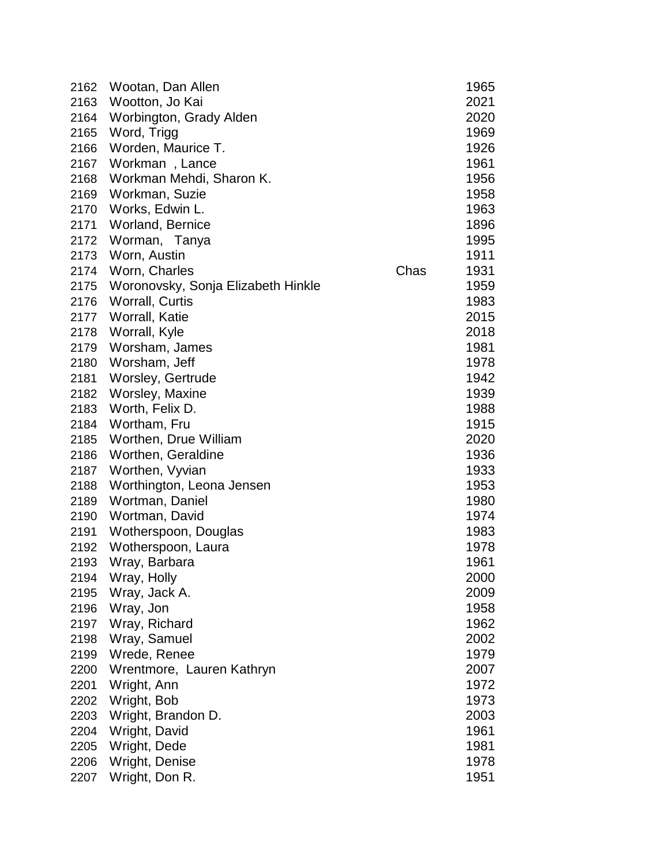| 2162 | Wootan, Dan Allen                  |      | 1965 |
|------|------------------------------------|------|------|
| 2163 | Wootton, Jo Kai                    |      | 2021 |
| 2164 | Worbington, Grady Alden            |      | 2020 |
| 2165 | Word, Trigg                        |      | 1969 |
| 2166 | Worden, Maurice T.                 |      | 1926 |
| 2167 | Workman, Lance                     |      | 1961 |
| 2168 | Workman Mehdi, Sharon K.           |      | 1956 |
| 2169 | Workman, Suzie                     |      | 1958 |
| 2170 | Works, Edwin L.                    |      | 1963 |
| 2171 | <b>Worland, Bernice</b>            |      | 1896 |
| 2172 | Worman, Tanya                      |      | 1995 |
| 2173 | Worn, Austin                       |      | 1911 |
| 2174 | Worn, Charles                      | Chas | 1931 |
| 2175 | Woronovsky, Sonja Elizabeth Hinkle |      | 1959 |
| 2176 | Worrall, Curtis                    |      | 1983 |
| 2177 | Worrall, Katie                     |      | 2015 |
| 2178 | Worrall, Kyle                      |      | 2018 |
| 2179 | Worsham, James                     |      | 1981 |
| 2180 | Worsham, Jeff                      |      | 1978 |
| 2181 | Worsley, Gertrude                  |      | 1942 |
| 2182 | Worsley, Maxine                    |      | 1939 |
| 2183 | Worth, Felix D.                    |      | 1988 |
| 2184 | Wortham, Fru                       |      | 1915 |
| 2185 | Worthen, Drue William              |      | 2020 |
| 2186 | Worthen, Geraldine                 |      | 1936 |
| 2187 | Worthen, Vyvian                    |      | 1933 |
| 2188 | Worthington, Leona Jensen          |      | 1953 |
| 2189 | Wortman, Daniel                    |      | 1980 |
| 2190 | Wortman, David                     |      | 1974 |
| 2191 | Wotherspoon, Douglas               |      | 1983 |
| 2192 | Wotherspoon, Laura                 |      | 1978 |
| 2193 | Wray, Barbara                      |      | 1961 |
| 2194 | Wray, Holly                        |      | 2000 |
| 2195 | Wray, Jack A.                      |      | 2009 |
| 2196 | Wray, Jon                          |      | 1958 |
| 2197 | Wray, Richard                      |      | 1962 |
| 2198 | Wray, Samuel                       |      | 2002 |
| 2199 | Wrede, Renee                       |      | 1979 |
| 2200 | Wrentmore, Lauren Kathryn          |      | 2007 |
| 2201 | Wright, Ann                        |      | 1972 |
| 2202 | Wright, Bob                        |      | 1973 |
| 2203 | Wright, Brandon D.                 |      | 2003 |
| 2204 | Wright, David                      |      | 1961 |
| 2205 | Wright, Dede                       |      | 1981 |
| 2206 | Wright, Denise                     |      | 1978 |
| 2207 | Wright, Don R.                     |      | 1951 |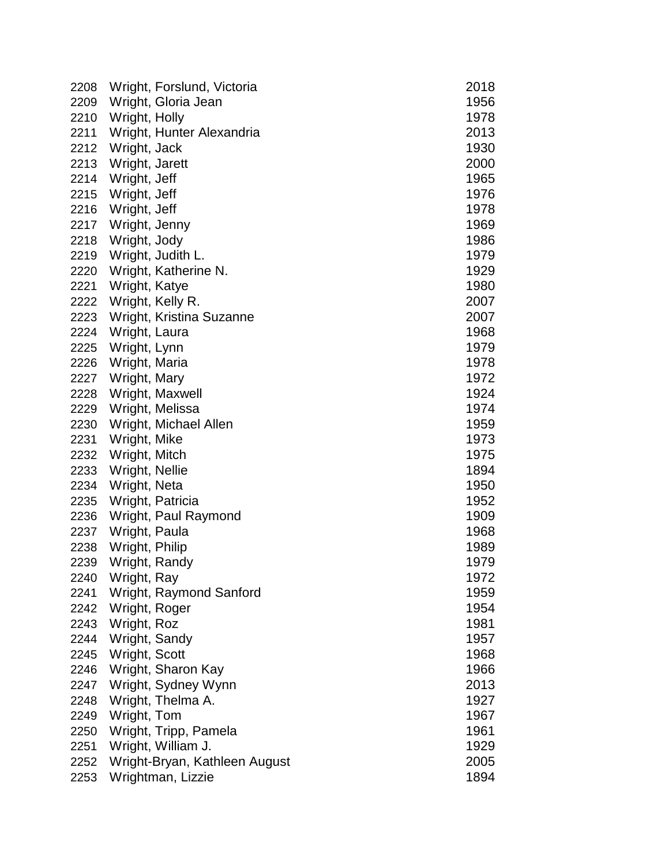| 2208 |                  | Wright, Forslund, Victoria    | 2018 |
|------|------------------|-------------------------------|------|
| 2209 |                  | Wright, Gloria Jean           | 1956 |
| 2210 | Wright, Holly    |                               | 1978 |
| 2211 |                  | Wright, Hunter Alexandria     | 2013 |
| 2212 | Wright, Jack     |                               | 1930 |
| 2213 | Wright, Jarett   |                               | 2000 |
| 2214 | Wright, Jeff     |                               | 1965 |
| 2215 | Wright, Jeff     |                               | 1976 |
| 2216 | Wright, Jeff     |                               | 1978 |
| 2217 | Wright, Jenny    |                               | 1969 |
| 2218 | Wright, Jody     |                               | 1986 |
| 2219 |                  | Wright, Judith L.             | 1979 |
| 2220 |                  | Wright, Katherine N.          | 1929 |
| 2221 | Wright, Katye    |                               | 1980 |
| 2222 | Wright, Kelly R. |                               | 2007 |
| 2223 |                  | Wright, Kristina Suzanne      | 2007 |
| 2224 | Wright, Laura    |                               | 1968 |
| 2225 | Wright, Lynn     |                               | 1979 |
| 2226 | Wright, Maria    |                               | 1978 |
| 2227 | Wright, Mary     |                               | 1972 |
| 2228 |                  | Wright, Maxwell               | 1924 |
| 2229 |                  | Wright, Melissa               | 1974 |
| 2230 |                  | Wright, Michael Allen         | 1959 |
| 2231 | Wright, Mike     |                               | 1973 |
| 2232 | Wright, Mitch    |                               | 1975 |
| 2233 | Wright, Nellie   |                               | 1894 |
| 2234 | Wright, Neta     |                               | 1950 |
| 2235 | Wright, Patricia |                               | 1952 |
| 2236 |                  | Wright, Paul Raymond          | 1909 |
| 2237 | Wright, Paula    |                               | 1968 |
| 2238 | Wright, Philip   |                               | 1989 |
| 2239 | Wright, Randy    |                               | 1979 |
| 2240 | Wright, Ray      |                               | 1972 |
| 2241 |                  | Wright, Raymond Sanford       | 1959 |
| 2242 | Wright, Roger    |                               | 1954 |
| 2243 | Wright, Roz      |                               | 1981 |
| 2244 | Wright, Sandy    |                               | 1957 |
| 2245 | Wright, Scott    |                               | 1968 |
| 2246 |                  | Wright, Sharon Kay            | 1966 |
| 2247 |                  | Wright, Sydney Wynn           | 2013 |
| 2248 |                  | Wright, Thelma A.             | 1927 |
| 2249 | Wright, Tom      |                               | 1967 |
| 2250 |                  | Wright, Tripp, Pamela         | 1961 |
| 2251 |                  | Wright, William J.            | 1929 |
| 2252 |                  | Wright-Bryan, Kathleen August | 2005 |
| 2253 |                  | Wrightman, Lizzie             | 1894 |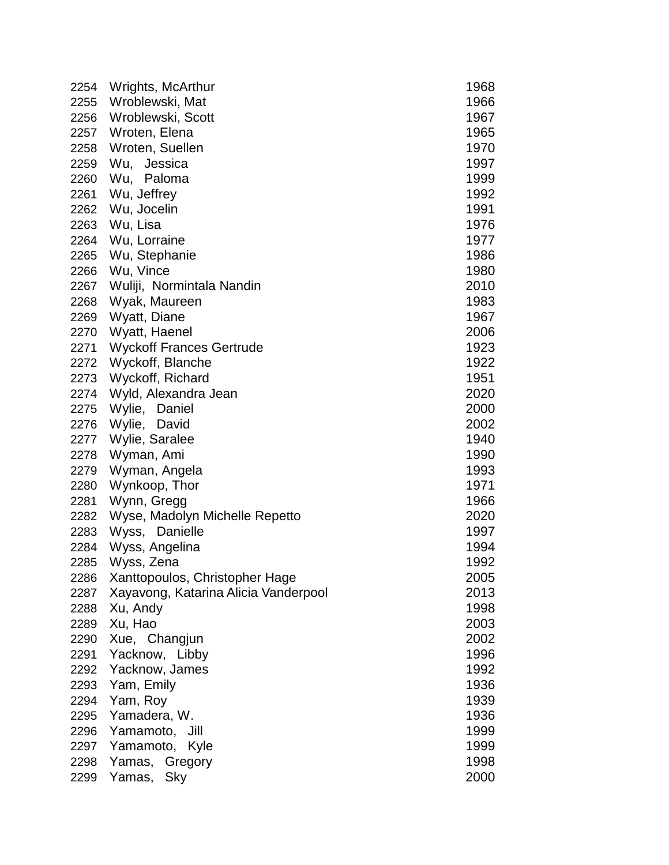| 2254 | Wrights, McArthur                    | 1968 |
|------|--------------------------------------|------|
| 2255 | Wroblewski, Mat                      | 1966 |
| 2256 | Wroblewski, Scott                    | 1967 |
| 2257 | Wroten, Elena                        | 1965 |
| 2258 | Wroten, Suellen                      | 1970 |
| 2259 | Wu, Jessica                          | 1997 |
| 2260 | Wu, Paloma                           | 1999 |
| 2261 | Wu, Jeffrey                          | 1992 |
| 2262 | Wu, Jocelin                          | 1991 |
| 2263 | Wu, Lisa                             | 1976 |
| 2264 | Wu, Lorraine                         | 1977 |
| 2265 | Wu, Stephanie                        | 1986 |
| 2266 | Wu, Vince                            | 1980 |
|      | 2267 Wuliji, Normintala Nandin       | 2010 |
| 2268 | Wyak, Maureen                        | 1983 |
| 2269 | Wyatt, Diane                         | 1967 |
| 2270 | Wyatt, Haenel                        | 2006 |
| 2271 | <b>Wyckoff Frances Gertrude</b>      | 1923 |
| 2272 | Wyckoff, Blanche                     | 1922 |
|      | 2273 Wyckoff, Richard                | 1951 |
|      | 2274 Wyld, Alexandra Jean            | 2020 |
| 2275 | Wylie, Daniel                        | 2000 |
| 2276 | Wylie, David                         | 2002 |
| 2277 | Wylie, Saralee                       | 1940 |
| 2278 | Wyman, Ami                           | 1990 |
| 2279 | Wyman, Angela                        | 1993 |
| 2280 | Wynkoop, Thor                        | 1971 |
| 2281 | Wynn, Gregg                          | 1966 |
| 2282 | Wyse, Madolyn Michelle Repetto       | 2020 |
| 2283 | Wyss, Danielle                       | 1997 |
| 2284 | Wyss, Angelina                       | 1994 |
| 2285 | Wyss, Zena                           | 1992 |
| 2286 | Xanttopoulos, Christopher Hage       | 2005 |
| 2287 | Xayavong, Katarina Alicia Vanderpool | 2013 |
| 2288 | Xu, Andy                             | 1998 |
| 2289 | Xu, Hao                              | 2003 |
| 2290 | Xue, Changjun                        | 2002 |
| 2291 | Yacknow, Libby                       | 1996 |
| 2292 | Yacknow, James                       | 1992 |
| 2293 | Yam, Emily                           | 1936 |
| 2294 | Yam, Roy                             | 1939 |
| 2295 | Yamadera, W.                         | 1936 |
| 2296 | Yamamoto,<br>Jill                    | 1999 |
| 2297 | Yamamoto, Kyle                       | 1999 |
| 2298 | Gregory<br>Yamas,                    | 1998 |
| 2299 | Yamas, Sky                           | 2000 |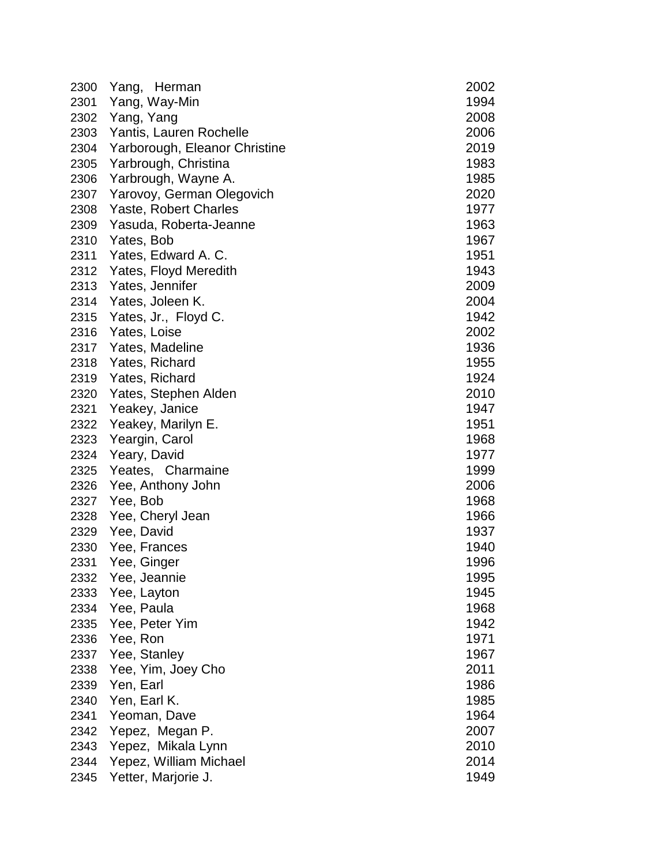| 2300 | Herman<br>Yang,               | 2002 |
|------|-------------------------------|------|
| 2301 | Yang, Way-Min                 | 1994 |
| 2302 | Yang, Yang                    | 2008 |
| 2303 | Yantis, Lauren Rochelle       | 2006 |
| 2304 | Yarborough, Eleanor Christine | 2019 |
| 2305 | Yarbrough, Christina          | 1983 |
| 2306 | Yarbrough, Wayne A.           | 1985 |
| 2307 | Yarovoy, German Olegovich     | 2020 |
| 2308 | Yaste, Robert Charles         | 1977 |
| 2309 | Yasuda, Roberta-Jeanne        | 1963 |
| 2310 | Yates, Bob                    | 1967 |
| 2311 | Yates, Edward A. C.           | 1951 |
| 2312 | Yates, Floyd Meredith         | 1943 |
| 2313 | Yates, Jennifer               | 2009 |
| 2314 | Yates, Joleen K.              | 2004 |
| 2315 | Yates, Jr., Floyd C.          | 1942 |
| 2316 | Yates, Loise                  | 2002 |
| 2317 | Yates, Madeline               | 1936 |
| 2318 | Yates, Richard                | 1955 |
| 2319 | Yates, Richard                | 1924 |
| 2320 | Yates, Stephen Alden          | 2010 |
| 2321 | Yeakey, Janice                | 1947 |
| 2322 | Yeakey, Marilyn E.            | 1951 |
| 2323 | Yeargin, Carol                | 1968 |
| 2324 | Yeary, David                  | 1977 |
| 2325 | Yeates, Charmaine             | 1999 |
| 2326 | Yee, Anthony John             | 2006 |
| 2327 | Yee, Bob                      | 1968 |
| 2328 | Yee, Cheryl Jean              | 1966 |
| 2329 | Yee, David                    | 1937 |
| 2330 | Yee, Frances                  | 1940 |
| 2331 | Yee, Ginger                   | 1996 |
| 2332 | Yee, Jeannie                  | 1995 |
| 2333 | Yee, Layton                   | 1945 |
| 2334 | Yee, Paula                    | 1968 |
| 2335 | Yee, Peter Yim                | 1942 |
| 2336 | Yee, Ron                      | 1971 |
| 2337 | Yee, Stanley                  | 1967 |
| 2338 | Yee, Yim, Joey Cho            | 2011 |
| 2339 | Yen, Earl                     | 1986 |
| 2340 | Yen, Earl K.                  | 1985 |
| 2341 | Yeoman, Dave                  | 1964 |
| 2342 | Yepez, Megan P.               | 2007 |
| 2343 | Yepez, Mikala Lynn            | 2010 |
| 2344 | Yepez, William Michael        | 2014 |
| 2345 | Yetter, Marjorie J.           | 1949 |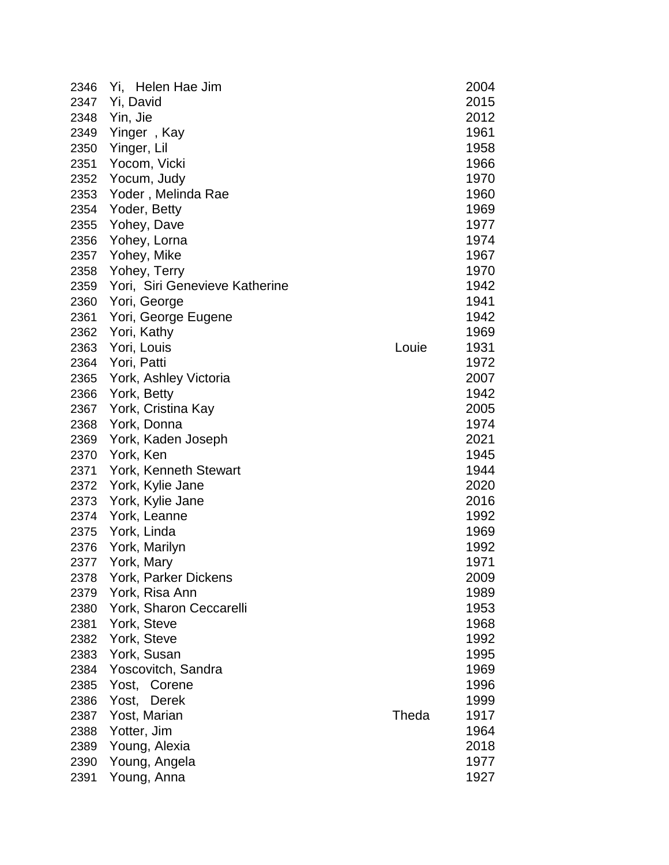| 2346 | Helen Hae Jim<br>Yi,           |       | 2004 |
|------|--------------------------------|-------|------|
| 2347 | Yi, David                      |       | 2015 |
| 2348 | Yin, Jie                       |       | 2012 |
| 2349 | Yinger, Kay                    |       | 1961 |
| 2350 | Yinger, Lil                    |       | 1958 |
| 2351 | Yocom, Vicki                   |       | 1966 |
| 2352 | Yocum, Judy                    |       | 1970 |
| 2353 | Yoder, Melinda Rae             |       | 1960 |
| 2354 | Yoder, Betty                   |       | 1969 |
| 2355 | Yohey, Dave                    |       | 1977 |
| 2356 | Yohey, Lorna                   |       | 1974 |
| 2357 | Yohey, Mike                    |       | 1967 |
| 2358 | Yohey, Terry                   |       | 1970 |
| 2359 | Yori, Siri Genevieve Katherine |       | 1942 |
| 2360 | Yori, George                   |       | 1941 |
| 2361 | Yori, George Eugene            |       | 1942 |
| 2362 | Yori, Kathy                    |       | 1969 |
| 2363 | Yori, Louis                    | Louie | 1931 |
| 2364 | Yori, Patti                    |       | 1972 |
| 2365 | York, Ashley Victoria          |       | 2007 |
| 2366 | York, Betty                    |       | 1942 |
| 2367 | York, Cristina Kay             |       | 2005 |
| 2368 | York, Donna                    |       | 1974 |
| 2369 | York, Kaden Joseph             |       | 2021 |
| 2370 | York, Ken                      |       | 1945 |
| 2371 | York, Kenneth Stewart          |       | 1944 |
| 2372 | York, Kylie Jane               |       | 2020 |
| 2373 | York, Kylie Jane               |       | 2016 |
| 2374 | York, Leanne                   |       | 1992 |
| 2375 | York, Linda                    |       | 1969 |
| 2376 | York, Marilyn                  |       | 1992 |
| 2377 | York, Mary                     |       | 1971 |
| 2378 | York, Parker Dickens           |       | 2009 |
| 2379 | York, Risa Ann                 |       | 1989 |
| 2380 | York, Sharon Ceccarelli        |       | 1953 |
| 2381 | York, Steve                    |       | 1968 |
| 2382 | York, Steve                    |       | 1992 |
| 2383 | York, Susan                    |       | 1995 |
| 2384 | Yoscovitch, Sandra             |       | 1969 |
| 2385 | Yost, Corene                   |       | 1996 |
| 2386 | Yost,<br><b>Derek</b>          |       | 1999 |
| 2387 | Yost, Marian                   | Theda | 1917 |
| 2388 | Yotter, Jim                    |       | 1964 |
| 2389 | Young, Alexia                  |       | 2018 |
| 2390 | Young, Angela                  |       | 1977 |
| 2391 | Young, Anna                    |       | 1927 |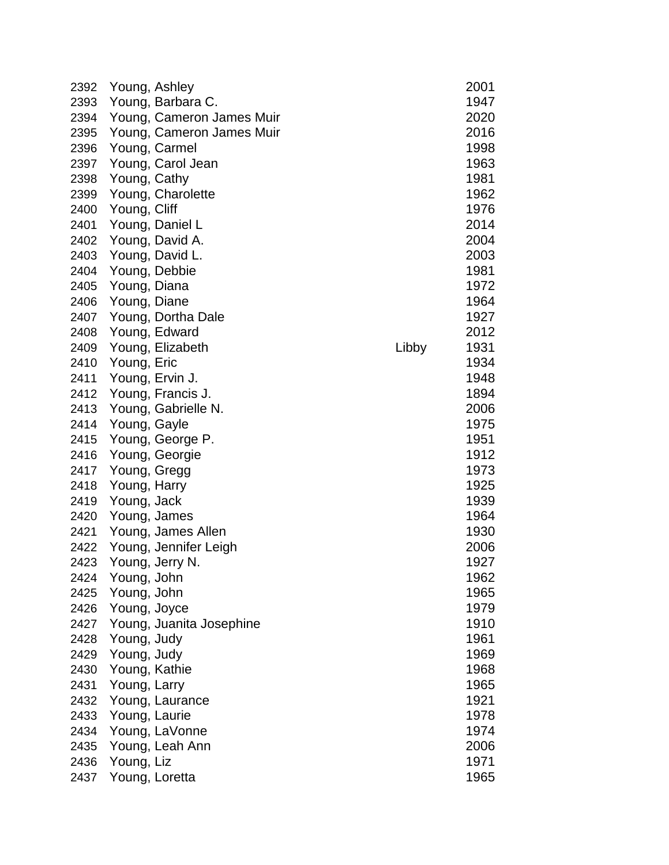| 2392 | Young, Ashley |                           |       | 2001 |
|------|---------------|---------------------------|-------|------|
| 2393 |               | Young, Barbara C.         |       | 1947 |
| 2394 |               | Young, Cameron James Muir |       | 2020 |
| 2395 |               | Young, Cameron James Muir |       | 2016 |
| 2396 |               | Young, Carmel             |       | 1998 |
| 2397 |               | Young, Carol Jean         |       | 1963 |
| 2398 | Young, Cathy  |                           |       | 1981 |
| 2399 |               | Young, Charolette         |       | 1962 |
| 2400 | Young, Cliff  |                           |       | 1976 |
| 2401 |               | Young, Daniel L           |       | 2014 |
| 2402 |               | Young, David A.           |       | 2004 |
| 2403 |               | Young, David L.           |       | 2003 |
| 2404 |               | Young, Debbie             |       | 1981 |
| 2405 | Young, Diana  |                           |       | 1972 |
| 2406 | Young, Diane  |                           |       | 1964 |
| 2407 |               | Young, Dortha Dale        |       | 1927 |
| 2408 |               | Young, Edward             |       | 2012 |
| 2409 |               | Young, Elizabeth          | Libby | 1931 |
| 2410 | Young, Eric   |                           |       | 1934 |
| 2411 |               | Young, Ervin J.           |       | 1948 |
| 2412 |               | Young, Francis J.         |       | 1894 |
| 2413 |               | Young, Gabrielle N.       |       | 2006 |
| 2414 | Young, Gayle  |                           |       | 1975 |
| 2415 |               | Young, George P.          |       | 1951 |
| 2416 |               | Young, Georgie            |       | 1912 |
| 2417 | Young, Gregg  |                           |       | 1973 |
| 2418 | Young, Harry  |                           |       | 1925 |
| 2419 | Young, Jack   |                           |       | 1939 |
| 2420 | Young, James  |                           |       | 1964 |
| 2421 |               | Young, James Allen        |       | 1930 |
| 2422 |               | Young, Jennifer Leigh     |       | 2006 |
| 2423 |               | Young, Jerry N.           |       | 1927 |
| 2424 | Young, John   |                           |       | 1962 |
| 2425 | Young, John   |                           |       | 1965 |
| 2426 | Young, Joyce  |                           |       | 1979 |
| 2427 |               | Young, Juanita Josephine  |       | 1910 |
| 2428 | Young, Judy   |                           |       | 1961 |
| 2429 | Young, Judy   |                           |       | 1969 |
| 2430 | Young, Kathie |                           |       | 1968 |
| 2431 | Young, Larry  |                           |       | 1965 |
| 2432 |               | Young, Laurance           |       | 1921 |
| 2433 | Young, Laurie |                           |       | 1978 |
| 2434 |               | Young, LaVonne            |       | 1974 |
| 2435 |               | Young, Leah Ann           |       | 2006 |
| 2436 | Young, Liz    |                           |       | 1971 |
| 2437 |               | Young, Loretta            |       | 1965 |
|      |               |                           |       |      |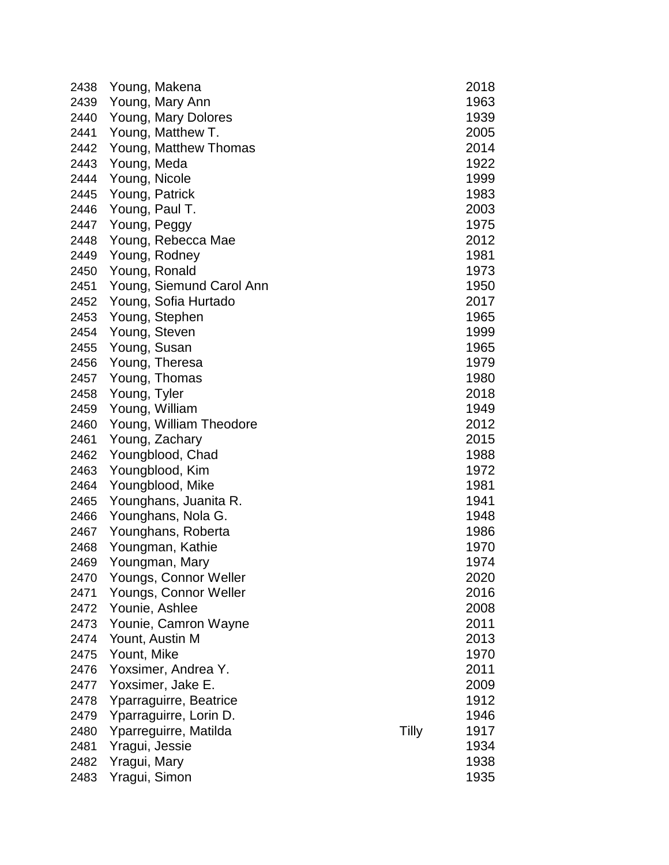| 2438 | Young, Makena            |       | 2018 |
|------|--------------------------|-------|------|
| 2439 | Young, Mary Ann          |       | 1963 |
| 2440 | Young, Mary Dolores      |       | 1939 |
| 2441 | Young, Matthew T.        |       | 2005 |
| 2442 | Young, Matthew Thomas    |       | 2014 |
| 2443 | Young, Meda              |       | 1922 |
| 2444 | Young, Nicole            |       | 1999 |
| 2445 | Young, Patrick           |       | 1983 |
| 2446 | Young, Paul T.           |       | 2003 |
| 2447 | Young, Peggy             |       | 1975 |
| 2448 | Young, Rebecca Mae       |       | 2012 |
| 2449 | Young, Rodney            |       | 1981 |
| 2450 | Young, Ronald            |       | 1973 |
| 2451 | Young, Siemund Carol Ann |       | 1950 |
| 2452 | Young, Sofia Hurtado     |       | 2017 |
| 2453 | Young, Stephen           |       | 1965 |
| 2454 | Young, Steven            |       | 1999 |
| 2455 | Young, Susan             |       | 1965 |
| 2456 | Young, Theresa           |       | 1979 |
| 2457 | Young, Thomas            |       | 1980 |
| 2458 | Young, Tyler             |       | 2018 |
| 2459 | Young, William           |       | 1949 |
| 2460 | Young, William Theodore  |       | 2012 |
| 2461 | Young, Zachary           |       | 2015 |
| 2462 | Youngblood, Chad         |       | 1988 |
| 2463 | Youngblood, Kim          |       | 1972 |
| 2464 | Youngblood, Mike         |       | 1981 |
| 2465 | Younghans, Juanita R.    |       | 1941 |
| 2466 | Younghans, Nola G.       |       | 1948 |
| 2467 | Younghans, Roberta       |       | 1986 |
| 2468 | Youngman, Kathie         |       | 1970 |
| 2469 | Youngman, Mary           |       | 1974 |
| 2470 | Youngs, Connor Weller    |       | 2020 |
| 2471 | Youngs, Connor Weller    |       | 2016 |
| 2472 | Younie, Ashlee           |       | 2008 |
| 2473 | Younie, Camron Wayne     |       | 2011 |
| 2474 | Yount, Austin M          |       | 2013 |
| 2475 | Yount, Mike              |       | 1970 |
| 2476 | Yoxsimer, Andrea Y.      |       | 2011 |
| 2477 | Yoxsimer, Jake E.        |       | 2009 |
| 2478 | Yparraguirre, Beatrice   |       | 1912 |
| 2479 | Yparraguirre, Lorin D.   |       | 1946 |
| 2480 | Yparreguirre, Matilda    | Tilly | 1917 |
| 2481 | Yragui, Jessie           |       | 1934 |
| 2482 | Yragui, Mary             |       | 1938 |
| 2483 | Yragui, Simon            |       | 1935 |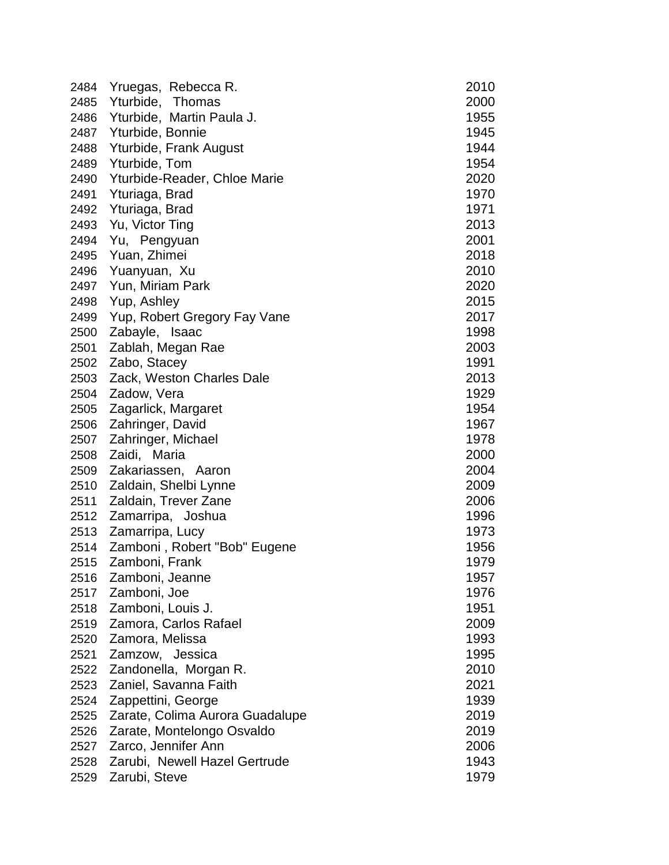| 2484 | Yruegas, Rebecca R.             | 2010 |
|------|---------------------------------|------|
| 2485 | Yturbide, Thomas                | 2000 |
| 2486 | Yturbide, Martin Paula J.       | 1955 |
| 2487 | Yturbide, Bonnie                | 1945 |
| 2488 | Yturbide, Frank August          | 1944 |
| 2489 | Yturbide, Tom                   | 1954 |
| 2490 | Yturbide-Reader, Chloe Marie    | 2020 |
| 2491 | Yturiaga, Brad                  | 1970 |
| 2492 | Yturiaga, Brad                  | 1971 |
| 2493 | Yu, Victor Ting                 | 2013 |
| 2494 | Yu, Pengyuan                    | 2001 |
| 2495 | Yuan, Zhimei                    | 2018 |
| 2496 | Yuanyuan, Xu                    | 2010 |
| 2497 | Yun, Miriam Park                | 2020 |
| 2498 | Yup, Ashley                     | 2015 |
| 2499 | Yup, Robert Gregory Fay Vane    | 2017 |
| 2500 | Zabayle, Isaac                  | 1998 |
| 2501 | Zablah, Megan Rae               | 2003 |
| 2502 | Zabo, Stacey                    | 1991 |
| 2503 | Zack, Weston Charles Dale       | 2013 |
| 2504 | Zadow, Vera                     | 1929 |
| 2505 | Zagarlick, Margaret             | 1954 |
| 2506 | Zahringer, David                | 1967 |
| 2507 | Zahringer, Michael              | 1978 |
| 2508 | Zaidi, Maria                    | 2000 |
| 2509 | Zakariassen, Aaron              | 2004 |
| 2510 | Zaldain, Shelbi Lynne           | 2009 |
| 2511 | Zaldain, Trever Zane            | 2006 |
| 2512 | Zamarripa, Joshua               | 1996 |
| 2513 | Zamarripa, Lucy                 | 1973 |
| 2514 | Zamboni, Robert "Bob" Eugene    | 1956 |
| 2515 | Zamboni, Frank                  | 1979 |
| 2516 | Zamboni, Jeanne                 | 1957 |
| 2517 | Zamboni, Joe                    | 1976 |
| 2518 | Zamboni, Louis J.               | 1951 |
| 2519 | Zamora, Carlos Rafael           | 2009 |
| 2520 | Zamora, Melissa                 | 1993 |
| 2521 | Zamzow, Jessica                 | 1995 |
| 2522 | Zandonella, Morgan R.           | 2010 |
| 2523 | Zaniel, Savanna Faith           | 2021 |
| 2524 | Zappettini, George              | 1939 |
| 2525 | Zarate, Colima Aurora Guadalupe | 2019 |
| 2526 | Zarate, Montelongo Osvaldo      | 2019 |
| 2527 | Zarco, Jennifer Ann             | 2006 |
| 2528 | Zarubi, Newell Hazel Gertrude   | 1943 |
| 2529 | Zarubi, Steve                   | 1979 |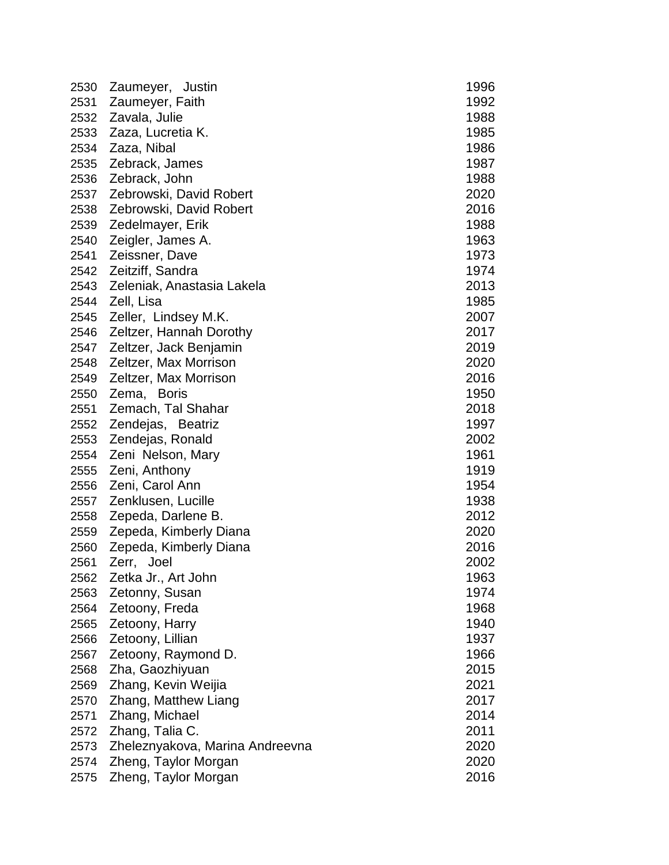| 2530 | Zaumeyer, Justin                | 1996 |
|------|---------------------------------|------|
| 2531 | Zaumeyer, Faith                 | 1992 |
| 2532 | Zavala, Julie                   | 1988 |
| 2533 | Zaza, Lucretia K.               | 1985 |
| 2534 | Zaza, Nibal                     | 1986 |
| 2535 | Zebrack, James                  | 1987 |
| 2536 | Zebrack, John                   | 1988 |
| 2537 | Zebrowski, David Robert         | 2020 |
| 2538 | Zebrowski, David Robert         | 2016 |
| 2539 | Zedelmayer, Erik                | 1988 |
| 2540 | Zeigler, James A.               | 1963 |
| 2541 | Zeissner, Dave                  | 1973 |
| 2542 | Zeitziff, Sandra                | 1974 |
| 2543 | Zeleniak, Anastasia Lakela      | 2013 |
| 2544 | Zell, Lisa                      | 1985 |
| 2545 | Zeller, Lindsey M.K.            | 2007 |
| 2546 | Zeltzer, Hannah Dorothy         | 2017 |
| 2547 | Zeltzer, Jack Benjamin          | 2019 |
| 2548 | Zeltzer, Max Morrison           | 2020 |
| 2549 | Zeltzer, Max Morrison           | 2016 |
| 2550 | Zema, Boris                     | 1950 |
| 2551 | Zemach, Tal Shahar              | 2018 |
| 2552 | Zendejas, Beatriz               | 1997 |
| 2553 | Zendejas, Ronald                | 2002 |
| 2554 | Zeni Nelson, Mary               | 1961 |
| 2555 | Zeni, Anthony                   | 1919 |
| 2556 | Zeni, Carol Ann                 | 1954 |
| 2557 | Zenklusen, Lucille              | 1938 |
| 2558 | Zepeda, Darlene B.              | 2012 |
| 2559 | Zepeda, Kimberly Diana          | 2020 |
| 2560 | Zepeda, Kimberly Diana          | 2016 |
| 2561 | Zerr,<br>Joel                   | 2002 |
| 2562 | Zetka Jr., Art John             | 1963 |
| 2563 | Zetonny, Susan                  | 1974 |
| 2564 | Zetoony, Freda                  | 1968 |
| 2565 | Zetoony, Harry                  | 1940 |
| 2566 | Zetoony, Lillian                | 1937 |
| 2567 | Zetoony, Raymond D.             | 1966 |
| 2568 | Zha, Gaozhiyuan                 | 2015 |
| 2569 | Zhang, Kevin Weijia             | 2021 |
| 2570 | Zhang, Matthew Liang            | 2017 |
| 2571 | Zhang, Michael                  | 2014 |
| 2572 | Zhang, Talia C.                 | 2011 |
| 2573 | Zheleznyakova, Marina Andreevna | 2020 |
| 2574 | Zheng, Taylor Morgan            | 2020 |
| 2575 | Zheng, Taylor Morgan            | 2016 |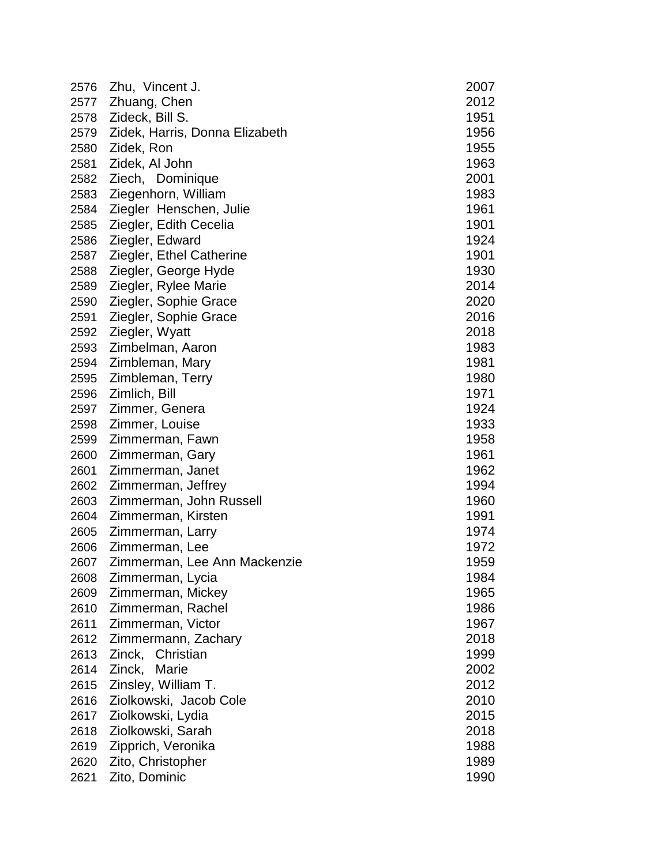| 2576 | Zhu, Vincent J.                | 2007 |
|------|--------------------------------|------|
| 2577 | Zhuang, Chen                   | 2012 |
| 2578 | Zideck, Bill S.                | 1951 |
| 2579 | Zidek, Harris, Donna Elizabeth | 1956 |
| 2580 | Zidek, Ron                     | 1955 |
| 2581 | Zidek, Al John                 | 1963 |
| 2582 | Ziech, Dominique               | 2001 |
| 2583 | Ziegenhorn, William            | 1983 |
| 2584 | Ziegler Henschen, Julie        | 1961 |
| 2585 | Ziegler, Edith Cecelia         | 1901 |
| 2586 | Ziegler, Edward                | 1924 |
| 2587 | Ziegler, Ethel Catherine       | 1901 |
| 2588 | Ziegler, George Hyde           | 1930 |
| 2589 | Ziegler, Rylee Marie           | 2014 |
| 2590 | Ziegler, Sophie Grace          | 2020 |
| 2591 | Ziegler, Sophie Grace          | 2016 |
| 2592 | Ziegler, Wyatt                 | 2018 |
| 2593 | Zimbelman, Aaron               | 1983 |
| 2594 | Zimbleman, Mary                | 1981 |
| 2595 | Zimbleman, Terry               | 1980 |
| 2596 | Zimlich, Bill                  | 1971 |
| 2597 | Zimmer, Genera                 | 1924 |
| 2598 | Zimmer, Louise                 | 1933 |
| 2599 | Zimmerman, Fawn                | 1958 |
| 2600 | Zimmerman, Gary                | 1961 |
| 2601 | Zimmerman, Janet               | 1962 |
| 2602 | Zimmerman, Jeffrey             | 1994 |
| 2603 | Zimmerman, John Russell        | 1960 |
| 2604 | Zimmerman, Kirsten             | 1991 |
| 2605 | Zimmerman, Larry               | 1974 |
| 2606 | Zimmerman, Lee                 | 1972 |
| 2607 | Zimmerman, Lee Ann Mackenzie   | 1959 |
| 2608 | Zimmerman, Lycia               | 1984 |
| 2609 | Zimmerman, Mickey              | 1965 |
| 2610 | Zimmerman, Rachel              | 1986 |
| 2611 | Zimmerman, Victor              | 1967 |
| 2612 | Zimmermann, Zachary            | 2018 |
| 2613 | Zinck, Christian               | 1999 |
| 2614 | Zinck,<br>Marie                | 2002 |
| 2615 | Zinsley, William T.            | 2012 |
| 2616 | Ziolkowski, Jacob Cole         | 2010 |
| 2617 | Ziolkowski, Lydia              | 2015 |
| 2618 | Ziolkowski, Sarah              | 2018 |
| 2619 | Zipprich, Veronika             | 1988 |
| 2620 | Zito, Christopher              | 1989 |
| 2621 | Zito, Dominic                  | 1990 |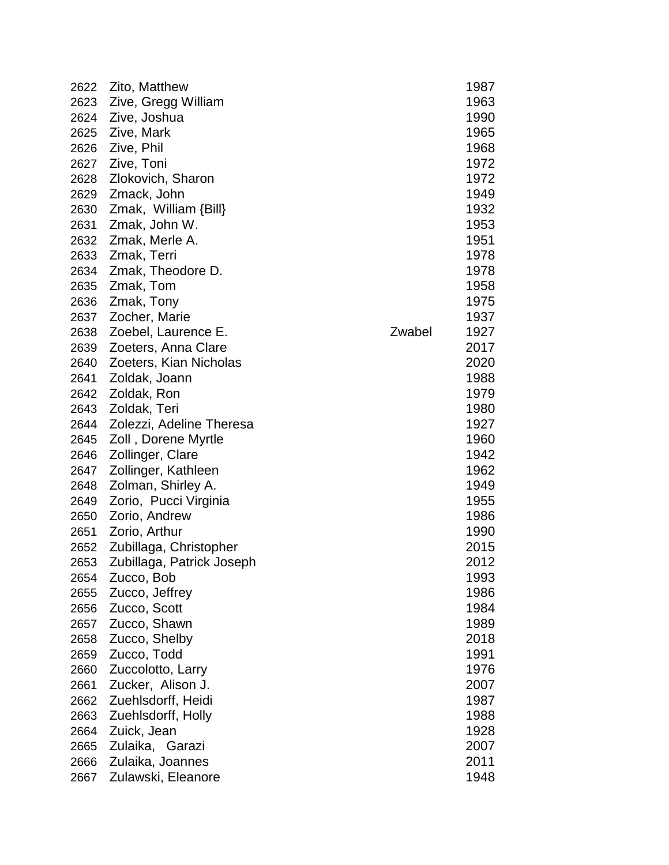| 2622 | Zito, Matthew               |        | 1987 |
|------|-----------------------------|--------|------|
| 2623 | Zive, Gregg William         |        | 1963 |
| 2624 | Zive, Joshua                |        | 1990 |
| 2625 | Zive, Mark                  |        | 1965 |
| 2626 | Zive, Phil                  |        | 1968 |
| 2627 | Zive, Toni                  |        | 1972 |
| 2628 | Zlokovich, Sharon           |        | 1972 |
| 2629 | Zmack, John                 |        | 1949 |
| 2630 | $Zmak$ , William $\{Bill\}$ |        | 1932 |
| 2631 | Zmak, John W.               |        | 1953 |
| 2632 | Zmak, Merle A.              |        | 1951 |
| 2633 | Zmak, Terri                 |        | 1978 |
| 2634 | Zmak, Theodore D.           |        | 1978 |
| 2635 | Zmak, Tom                   |        | 1958 |
| 2636 | Zmak, Tony                  |        | 1975 |
| 2637 | Zocher, Marie               |        | 1937 |
| 2638 | Zoebel, Laurence E.         | Zwabel | 1927 |
| 2639 | Zoeters, Anna Clare         |        | 2017 |
| 2640 | Zoeters, Kian Nicholas      |        | 2020 |
| 2641 | Zoldak, Joann               |        | 1988 |
| 2642 | Zoldak, Ron                 |        | 1979 |
| 2643 | Zoldak, Teri                |        | 1980 |
| 2644 | Zolezzi, Adeline Theresa    |        | 1927 |
| 2645 | Zoll, Dorene Myrtle         |        | 1960 |
| 2646 | Zollinger, Clare            |        | 1942 |
| 2647 | Zollinger, Kathleen         |        | 1962 |
| 2648 | Zolman, Shirley A.          |        | 1949 |
| 2649 | Zorio, Pucci Virginia       |        | 1955 |
| 2650 | Zorio, Andrew               |        | 1986 |
| 2651 | Zorio, Arthur               |        | 1990 |
| 2652 | Zubillaga, Christopher      |        | 2015 |
| 2653 | Zubillaga, Patrick Joseph   |        | 2012 |
| 2654 | Zucco, Bob                  |        | 1993 |
| 2655 | Zucco, Jeffrey              |        | 1986 |
| 2656 | Zucco, Scott                |        | 1984 |
| 2657 | Zucco, Shawn                |        | 1989 |
| 2658 | Zucco, Shelby               |        | 2018 |
| 2659 | Zucco, Todd                 |        | 1991 |
| 2660 | Zuccolotto, Larry           |        | 1976 |
| 2661 | Zucker, Alison J.           |        | 2007 |
| 2662 | Zuehlsdorff, Heidi          |        | 1987 |
| 2663 | Zuehlsdorff, Holly          |        | 1988 |
| 2664 | Zuick, Jean                 |        | 1928 |
| 2665 | Zulaika, Garazi             |        | 2007 |
| 2666 | Zulaika, Joannes            |        | 2011 |
| 2667 | Zulawski, Eleanore          |        | 1948 |